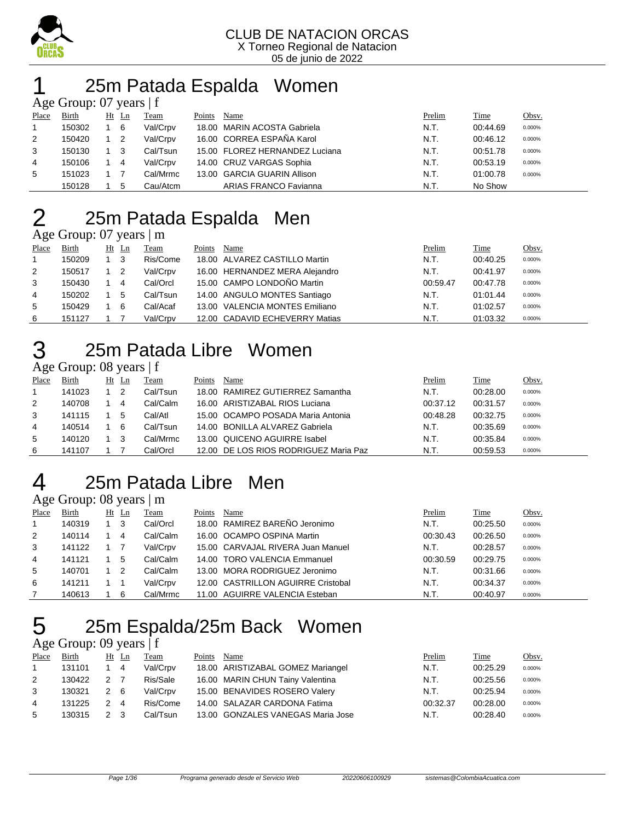

## 25m Patada Espalda Women

|       | Age Group: 07 years $ f $ |  |                |          |        |                                |        |          |        |  |  |  |  |
|-------|---------------------------|--|----------------|----------|--------|--------------------------------|--------|----------|--------|--|--|--|--|
| Place | <b>Birth</b>              |  | $Ht$ Ln        | Team     | Points | Name                           | Prelim | Time     | Obsv.  |  |  |  |  |
|       | 150302                    |  | - 6            | Val/Crpv |        | 18.00 MARIN ACOSTA Gabriela    | N.T.   | 00:44.69 | 0.000% |  |  |  |  |
| 2     | 150420                    |  | $\overline{2}$ | Val/Crpv |        | 16.00 CORREA ESPAÑA Karol      | N.T.   | 00:46.12 | 0.000% |  |  |  |  |
| 3     | 150130                    |  | 3              | Cal/Tsun |        | 15.00 FLOREZ HERNANDEZ Luciana | N.T.   | 00:51.78 | 0.000% |  |  |  |  |
| 4     | 150106                    |  | 4              | Val/Crpv |        | 14.00 CRUZ VARGAS Sophia       | N.T.   | 00:53.19 | 0.000% |  |  |  |  |
| 5     | 151023                    |  |                | Cal/Mrmc |        | 13.00 GARCIA GUARIN Allison    | N.T.   | 01:00.78 | 0.000% |  |  |  |  |
|       | 150128                    |  | 5              | Cau/Atcm |        | <b>ARIAS FRANCO Favianna</b>   | N.T.   | No Show  |        |  |  |  |  |

## 25m Patada Espalda Men

|  | Age Group: $07$ years $\vert$ m |                |
|--|---------------------------------|----------------|
|  | חד דות היח וח                   | $\mathbf{p}$ . |

| Place | <b>Birth</b> | $Ht$ Ln | <b>Team</b> | Points | Name                           | Prelim   | Time     | Obsv.  |
|-------|--------------|---------|-------------|--------|--------------------------------|----------|----------|--------|
|       | 150209       | - 3     | Ris/Come    |        | 18.00 ALVAREZ CASTILLO Martin  | N.T.     | 00:40.25 | 0.000% |
| 2     | 150517       | - 2     | Val/Crpv    |        | 16.00 HERNANDEZ MERA Alejandro | N.T.     | 00:41.97 | 0.000% |
| 3     | 150430       | 4       | Cal/Orcl    |        | 15.00 CAMPO LONDOÑO Martin     | 00:59.47 | 00:47.78 | 0.000% |
| 4     | 150202       | 5       | Cal/Tsun    |        | 14.00 ANGULO MONTES Santiago   | N.T.     | 01:01.44 | 0.000% |
| 5     | 150429       | 6       | Cal/Acaf    |        | 13.00 VALENCIA MONTES Emiliano | N.T.     | 01:02.57 | 0.000% |
| -6    | 151127       |         | Val/Crpv    |        | 12.00 CADAVID ECHEVERRY Matias | N.T.     | 01:03.32 | 0.000% |

## 25m Patada Libre Women

#### Age Group: 08 years | f

| Place | Birth  | Ht Ln | Team     | Points | Name                                  | Prelim   | Time     | <u>Obsv.</u> |
|-------|--------|-------|----------|--------|---------------------------------------|----------|----------|--------------|
|       | 141023 |       | Cal/Tsun |        | 18.00 RAMIREZ GUTIERREZ Samantha      | N.T.     | 00:28.00 | 0.000%       |
| 2     | 140708 | 4     | Cal/Calm |        | 16.00 ARISTIZABAL RIOS Luciana        | 00:37.12 | 00:31.57 | 0.000%       |
| 3     | 141115 | 5     | Cal/Atl  |        | 15.00 OCAMPO POSADA Maria Antonia     | 00:48.28 | 00:32.75 | 0.000%       |
| 4     | 140514 | -6    | Cal/Tsun |        | 14.00 BONILLA ALVAREZ Gabriela        | N.T.     | 00:35.69 | 0.000%       |
| 5     | 140120 |       | Cal/Mrmc |        | 13.00 QUICENO AGUIRRE Isabel          | N.T.     | 00:35.84 | 0.000%       |
| 6     | 141107 |       | Cal/Orcl |        | 12.00 DE LOS RIOS RODRIGUEZ Maria Paz | N.T.     | 00.59.53 | 0.000%       |

## 25m Patada Libre Men

#### Age Group: 08 years | m

| Place | <b>Birth</b> | $Ht$ Ln        | Team     | Points | Name                               | Prelim   | Time     | Obsv.  |
|-------|--------------|----------------|----------|--------|------------------------------------|----------|----------|--------|
|       | 140319       | - 3            | Cal/Orcl |        | 18.00 RAMIREZ BAREÑO Jeronimo      | N.T.     | 00:25.50 | 0.000% |
| 2     | 140114       | 4              | Cal/Calm |        | 16.00 OCAMPO OSPINA Martin         | 00:30.43 | 00:26.50 | 0.000% |
| 3     | 141122       |                | Val/Crpv |        | 15.00 CARVAJAL RIVERA Juan Manuel  | N.T.     | 00:28.57 | 0.000% |
| 4     | 141121       | 5              | Cal/Calm |        | 14.00 TORO VALENCIA Emmanuel       | 00:30.59 | 00:29.75 | 0.000% |
| 5     | 140701       | $\overline{2}$ | Cal/Calm |        | 13.00 MORA RODRIGUEZ Jeronimo      | N.T.     | 00:31.66 | 0.000% |
| 6     | 141211       |                | Val/Crpv |        | 12.00 CASTRILLON AGUIRRE Cristobal | N.T.     | 00:34.37 | 0.000% |
|       | 140613       | 6              | Cal/Mrmc |        | 11.00 AGUIRRE VALENCIA Esteban     | N.T.     | 00:40.97 | 0.000% |

## 25m Espalda/25m Back Women

#### Age Group: 09 years | f

| Place | Birth  |                | Ht Ln          | Team     | Points | Name                              | Prelim   | Time     | Obsv.  |
|-------|--------|----------------|----------------|----------|--------|-----------------------------------|----------|----------|--------|
|       | 131101 |                | $\overline{4}$ | Val/Crpv |        | 18.00 ARISTIZABAL GOMEZ Mariangel | N.T.     | 00:25.29 | 0.000% |
| 2     | 130422 | 2 <sub>7</sub> |                | Ris/Sale |        | 16.00 MARIN CHUN Tainy Valentina  | N.T.     | 00:25.56 | 0.000% |
| 3     | 130321 | 2 6            |                | Val/Crpv |        | 15.00 BENAVIDES ROSERO Valery     | N.T.     | 00:25.94 | 0.000% |
| 4     | 131225 | 2              | $\overline{4}$ | Ris/Come |        | 14.00 SALAZAR CARDONA Fatima      | 00:32.37 | 00:28.00 | 0.000% |
| 5     | 130315 | 2 3            |                | Cal/Tsun |        | 13.00 GONZALES VANEGAS Maria Jose | N.T.     | 00:28.40 | 0.000% |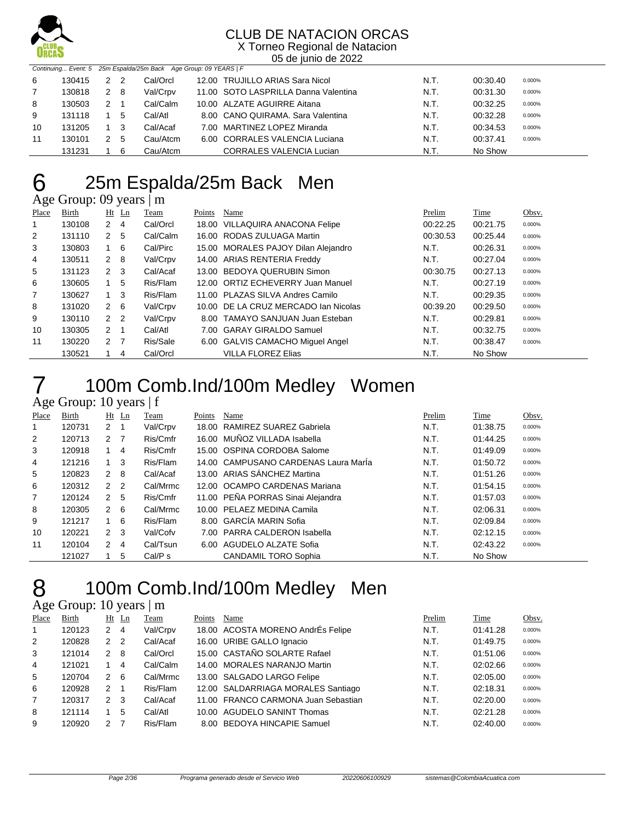

X Torneo Regional de Natacion 05 de junio de 2022

|    |        |     |        | Continuing Event: 5 25m Espalda/25m Back Age Group: 09 YEARS   F |                                      |      |          |        |
|----|--------|-----|--------|------------------------------------------------------------------|--------------------------------------|------|----------|--------|
| -6 | 130415 | 2 2 |        | Cal/Orcl                                                         | 12.00 TRUJILLO ARIAS Sara Nicol      | N.T. | 00:30.40 | 0.000% |
|    | 130818 | 2 8 |        | Val/Crpv                                                         | 11.00 SOTO LASPRILLA Danna Valentina | N.T. | 00:31.30 | 0.000% |
| 8  | 130503 | 2 1 |        | Cal/Calm                                                         | 10.00 ALZATE AGUIRRE Aitana          | N.T. | 00:32.25 | 0.000% |
| 9  | 131118 |     | 5      | Cal/Atl                                                          | 8.00 CANO QUIRAMA, Sara Valentina    | N.T. | 00:32.28 | 0.000% |
| 10 | 131205 |     | $_{3}$ | Cal/Acaf                                                         | 7.00 MARTINEZ LOPEZ Miranda          | N.T. | 00:34.53 | 0.000% |
| 11 | 130101 | 2 5 |        | Cau/Atcm                                                         | 6.00 CORRALES VALENCIA Luciana       | N.T. | 00:37.41 | 0.000% |
|    | 131231 |     | -6     | Cau/Atcm                                                         | <b>CORRALES VALENCIA Lucian</b>      | N.T. | No Show  |        |

## 25m Espalda/25m Back Men

Age Group: 09 years | m

| Place | Birth  | Ht                              | Team<br>$\mathbf{L}$ n | Points | Name                                 | Prelim   | Time     | Obsv.  |
|-------|--------|---------------------------------|------------------------|--------|--------------------------------------|----------|----------|--------|
|       | 130108 | 2<br>4                          | Cal/Orcl               |        | 18.00 VILLAQUIRA ANACONA Felipe      | 00:22.25 | 00:21.75 | 0.000% |
| 2     | 131110 | $\mathcal{P}$<br>5              | Cal/Calm               |        | 16.00 RODAS ZULUAGA Martin           | 00:30.53 | 00:25.44 | 0.000% |
| 3     | 130803 | 6<br>1.                         | Cal/Pirc               |        | 15.00 MORALES PAJOY Dilan Alejandro  | N.T.     | 00:26.31 | 0.000% |
| 4     | 130511 | 8<br>2                          | Val/Crpv               |        | 14.00 ARIAS RENTERIA Freddy          | N.T.     | 00:27.04 | 0.000% |
| 5     | 131123 | 3<br>$\mathcal{P}$              | Cal/Acaf               |        | 13.00 BEDOYA QUERUBIN Simon          | 00:30.75 | 00:27.13 | 0.000% |
| 6     | 130605 | 5<br>1                          | Ris/Flam               |        | 12.00 ORTIZ ECHEVERRY Juan Manuel    | N.T.     | 00:27.19 | 0.000% |
| 7     | 130627 | 3<br>$\mathbf{1}$               | Ris/Flam               |        | 11.00 PLAZAS SILVA Andres Camilo     | N.T.     | 00:29.35 | 0.000% |
| 8     | 131020 | 6<br>2                          | Val/Crpv               |        | 10.00 DE LA CRUZ MERCADO Ian Nicolas | 00:39.20 | 00:29.50 | 0.000% |
| 9     | 130110 | 2 <sub>2</sub>                  | Val/Crpv               |        | 8.00 TAMAYO SANJUAN Juan Esteban     | N.T.     | 00:29.81 | 0.000% |
| 10    | 130305 | $\mathcal{P}$                   | Cal/Atl                |        | 7.00 GARAY GIRALDO Samuel            | N.T.     | 00:32.75 | 0.000% |
| 11    | 130220 | $\overline{7}$<br>$\mathcal{P}$ | Ris/Sale               |        | 6.00 GALVIS CAMACHO Miquel Angel     | N.T.     | 00:38.47 | 0.000% |
|       | 130521 | 4                               | Cal/Orcl               |        | <b>VILLA FLOREZ Elias</b>            | N.T.     | No Show  |        |

### 100m Comb.Ind/100m Medley Women

#### Age Group: 10 years | f

| Place | Birth  | $Ht$ Ln          |                | Team     | Points | Name                                 | Prelim | Time     | Obsv.  |
|-------|--------|------------------|----------------|----------|--------|--------------------------------------|--------|----------|--------|
| 1     | 120731 | $2 \quad 1$      |                | Val/Crpv | 18.00  | RAMIREZ SUAREZ Gabriela              | N.T.   | 01:38.75 | 0.000% |
| 2     | 120713 | $2 \overline{7}$ |                | Ris/Cmfr | 16.00  | MUÑOZ VILLADA Isabella               | N.T.   | 01:44.25 | 0.000% |
| 3     | 120918 |                  | 4              | Ris/Cmfr |        | 15.00 OSPINA CORDOBA Salome          | N.T.   | 01:49.09 | 0.000% |
| 4     | 121216 |                  | 3              | Ris/Flam |        | 14.00 CAMPUSANO CARDENAS Laura Marla | N.T.   | 01:50.72 | 0.000% |
| 5     | 120823 | $2 \quad 8$      |                | Cal/Acaf |        | 13.00 ARIAS SÁNCHEZ Martina          | N.T.   | 01:51.26 | 0.000% |
| 6     | 120312 | 2 <sub>2</sub>   |                | Cal/Mrmc |        | 12.00 OCAMPO CARDENAS Mariana        | N.T.   | 01:54.15 | 0.000% |
| 7     | 120124 | 2 <sub>5</sub>   |                | Ris/Cmfr |        | 11.00 PEÑA PORRAS Sinai Alejandra    | N.T.   | 01:57.03 | 0.000% |
| 8     | 120305 | $2 \quad 6$      |                | Cal/Mrmc |        | 10.00 PELAEZ MEDINA Camila           | N.T.   | 02:06.31 | 0.000% |
| 9     | 121217 | 1                | - 6            | Ris/Flam |        | 8.00 GARCÍA MARIN Sofia              | N.T.   | 02:09.84 | 0.000% |
| 10    | 120221 | 2 <sub>3</sub>   |                | Val/Cofv |        | 7.00 PARRA CALDERON Isabella         | N.T.   | 02:12.15 | 0.000% |
| 11    | 120104 | $\mathcal{P}$    | $\overline{4}$ | Cal/Tsun | 6.00   | AGUDELO ALZATE Sofia                 | N.T.   | 02:43.22 | 0.000% |
|       | 121027 |                  | 5              | Cal/P s  |        | <b>CANDAMIL TORO Sophia</b>          | N.T.   | No Show  |        |

### 100m Comb.Ind/100m Medley Men

#### Age Group: 10 years | m

| Place          | Birth  |               | $Ht$ Ln | Team     | Points | Name                                | Prelim | Time     | Obsv.  |
|----------------|--------|---------------|---------|----------|--------|-------------------------------------|--------|----------|--------|
| 1.             | 120123 | 2             | 4       | Val/Crpv |        | 18.00 ACOSTA MORENO AndrÉs Felipe   | N.T.   | 01:41.28 | 0.000% |
| 2              | 120828 | 2             | -2      | Cal/Acaf |        | 16.00 URIBE GALLO Ignacio           | N.T.   | 01:49.75 | 0.000% |
| 3              | 121014 | $\mathcal{P}$ | 8       | Cal/Orcl |        | 15.00 CASTAÑO SOLARTE Rafael        | N.T.   | 01:51.06 | 0.000% |
| 4              | 121021 |               | 4       | Cal/Calm |        | 14.00 MORALES NARANJO Martin        | N.T.   | 02:02.66 | 0.000% |
| 5              | 120704 | $\mathcal{P}$ | -6      | Cal/Mrmc |        | 13.00 SALGADO LARGO Felipe          | N.T.   | 02:05.00 | 0.000% |
| 6              | 120928 | 2             | -1      | Ris/Flam |        | 12.00 SALDARRIAGA MORALES Santiago  | N.T.   | 02:18.31 | 0.000% |
| $\overline{7}$ | 120317 | 2             | -3      | Cal/Acaf |        | 11.00 FRANCO CARMONA Juan Sebastian | N.T.   | 02:20.00 | 0.000% |
| 8              | 121114 |               | 5       | Cal/Atl  |        | 10.00 AGUDELO SANINT Thomas         | N.T.   | 02:21.28 | 0.000% |
| 9              | 120920 | 2             |         | Ris/Flam |        | 8.00 BEDOYA HINCAPIE Samuel         | N.T.   | 02:40.00 | 0.000% |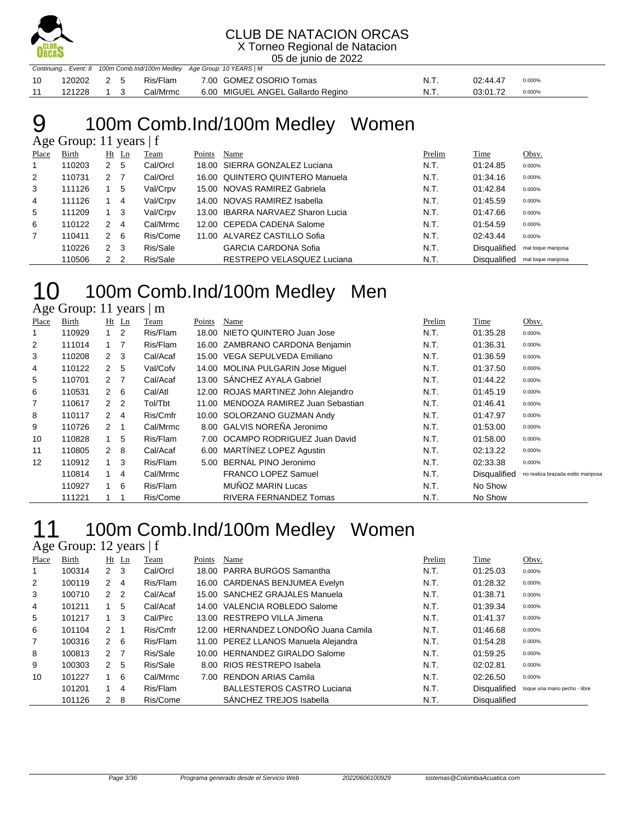

X Torneo Regional de Natacion 05 de junio de 2022

|    |            | Continuing Event: 8 100m Comb.Ind/100m Medley Age Group: 10 YEARS   M |  |  |                                                 |      |          |        |  |  |
|----|------------|-----------------------------------------------------------------------|--|--|-------------------------------------------------|------|----------|--------|--|--|
| 10 |            |                                                                       |  |  | 120202  2 5  Ris/Flam  7.00  GOMEZ OSORIO Tomas | N.T. | 02:44.47 | 0.000% |  |  |
| 11 | 121228 1 3 |                                                                       |  |  | Cal/Mrmc 6.00 MIGUEL ANGEL Gallardo Regino      | N.T. | 03:01.72 | 0.000% |  |  |

## 100m Comb.Ind/100m Medley Women

|       | Age Group: 11 years |              |                |          |        |                                   |        |                     |                    |  |  |  |  |
|-------|---------------------|--------------|----------------|----------|--------|-----------------------------------|--------|---------------------|--------------------|--|--|--|--|
| Place | Birth               | Ht           | $\mathbf{L}$ n | Team     | Points | Name                              | Prelim | Time                | Obsv.              |  |  |  |  |
|       | 110203              | 2            | 5              | Cal/Orcl |        | 18.00 SIERRA GONZALEZ Luciana     | N.T.   | 01:24.85            | 0.000%             |  |  |  |  |
| 2     | 110731              | 2            |                | Cal/Orcl |        | 16.00 QUINTERO QUINTERO Manuela   | N.T.   | 01:34.16            | 0.000%             |  |  |  |  |
| 3     | 111126              |              | 5              | Val/Crpv |        | 15.00 NOVAS RAMIREZ Gabriela      | N.T.   | 01:42.84            | 0.000%             |  |  |  |  |
| 4     | 111126              |              | 4              | Val/Crpv |        | 14.00 NOVAS RAMIREZ Isabella      | N.T.   | 01:45.59            | 0.000%             |  |  |  |  |
| 5     | 111209              |              | -3             | Val/Crpv |        | 13.00 IBARRA NARVAEZ Sharon Lucia | N.T.   | 01:47.66            | 0.000%             |  |  |  |  |
| 6     | 110122              | 2            | 4              | Cal/Mrmc |        | 12.00 CEPEDA CADENA Salome        | N.T.   | 01:54.59            | 0.000%             |  |  |  |  |
| 7     | 110411              | 2            | - 6            | Ris/Come |        | 11.00 ALVAREZ CASTILLO Sofia      | N.T.   | 02:43.44            | 0.000%             |  |  |  |  |
|       | 110226              | $\mathbf{2}$ | -3             | Ris/Sale |        | <b>GARCIA CARDONA Sofia</b>       | N.T.   | <b>Disqualified</b> | mal toque mariposa |  |  |  |  |
|       | 110506              | $\mathbf{2}$ | $\overline{2}$ | Ris/Sale |        | RESTREPO VELASQUEZ Luciana        | N.T.   | <b>Disqualified</b> | mal toque mariposa |  |  |  |  |

#### 10 100m Comb.Ind/100m Medley Men Age Group: 11 years | m

| Place             | Birth  |                | $Ht$ Ln        | Team     | Points | Name                                | Prelim | Time         | Obsv.                              |
|-------------------|--------|----------------|----------------|----------|--------|-------------------------------------|--------|--------------|------------------------------------|
|                   | 110929 | 1              | 2              | Ris/Flam |        | 18.00 NIETO QUINTERO Juan Jose      | N.T.   | 01:35.28     | 0.000%                             |
| 2                 | 111014 | 1              | - 7            | Ris/Flam |        | 16.00 ZAMBRANO CARDONA Benjamin     | N.T.   | 01:36.31     | 0.000%                             |
| 3                 | 110208 | $\mathbf{2}$   | -3             | Cal/Acaf |        | 15.00 VEGA SEPULVEDA Emiliano       | N.T.   | 01:36.59     | 0.000%                             |
| 4                 | 110122 | $\mathbf{2}$   | 5              | Val/Cofv |        | 14.00 MOLINA PULGARIN Jose Miquel   | N.T.   | 01:37.50     | 0.000%                             |
| 5                 | 110701 | 2 7            |                | Cal/Acaf |        | 13.00 SÁNCHEZ AYALA Gabriel         | N.T.   | 01:44.22     | 0.000%                             |
| 6                 | 110531 |                | $2\quad 6$     | Cal/Atl  |        | 12.00 ROJAS MARTINEZ John Alejandro | N.T.   | 01:45.19     | 0.000%                             |
| 7                 | 110617 |                | 2 <sub>2</sub> | Tol/Tbt  | 11.00  | MENDOZA RAMIREZ Juan Sebastian      | N.T.   | 01:46.41     | 0.000%                             |
| 8                 | 110117 |                | 2 4            | Ris/Cmfr |        | 10.00 SOLORZANO GUZMAN Andy         | N.T.   | 01:47.97     | 0.000%                             |
| 9                 | 110726 | $\overline{2}$ | - 1            | Cal/Mrmc |        | 8.00 GALVIS NOREÑA Jeronimo         | N.T.   | 01:53.00     | 0.000%                             |
| 10                | 110828 | $\mathbf{1}$   | 5              | Ris/Flam |        | 7.00 OCAMPO RODRIGUEZ Juan David    | N.T.   | 01:58.00     | 0.000%                             |
| 11                | 110805 | 2              | -8             | Cal/Acaf | 6.00   | MARTÍNEZ LOPEZ Agustin              | N.T.   | 02:13.22     | 0.000%                             |
| $12 \overline{ }$ | 110912 | 1              | 3              | Ris/Flam | 5.00   | BERNAL PINO Jeronimo                | N.T.   | 02:33.38     | 0.000%                             |
|                   | 110814 | 1              | $\overline{4}$ | Cal/Mrmc |        | <b>FRANCO LOPEZ Samuel</b>          | N.T.   | Disqualified | no realiza brazada estilo mariposa |
|                   | 110927 | 1              | 6              | Ris/Flam |        | MUÑOZ MARIN Lucas                   | N.T.   | No Show      |                                    |
|                   | 111221 |                |                | Ris/Come |        | RIVERA FERNANDEZ Tomas              | N.T.   | No Show      |                                    |

#### 100m Comb.Ind/100m Medley Women Age Group: 12 years  $|f|$

|                | $1.45$ $0.04$ $0.12$ $0.04$ $0.12$ |                |         |          |        |                                      |        |              |                              |  |  |  |  |
|----------------|------------------------------------|----------------|---------|----------|--------|--------------------------------------|--------|--------------|------------------------------|--|--|--|--|
| Place          | Birth                              |                | $Ht$ Ln | Team     | Points | Name                                 | Prelim | Time         | Obsv.                        |  |  |  |  |
| 1              | 100314                             | $2 \quad 3$    |         | Cal/Orcl |        | 18.00 PARRA BURGOS Samantha          | N.T.   | 01:25.03     | 0.000%                       |  |  |  |  |
| 2              | 100119                             | 2              | -4      | Ris/Flam |        | 16.00 CARDENAS BENJUMEA Evelyn       | N.T.   | 01:28.32     | 0.000%                       |  |  |  |  |
| 3              | 100710                             | 2 2            |         | Cal/Acaf |        | 15.00 SANCHEZ GRAJALES Manuela       | N.T.   | 01:38.71     | 0.000%                       |  |  |  |  |
| 4              | 101211                             |                | 5       | Cal/Acaf |        | 14.00 VALENCIA ROBLEDO Salome        | N.T.   | 01:39.34     | 0.000%                       |  |  |  |  |
| 5              | 101217                             |                | 3       | Cal/Pirc |        | 13.00 RESTREPO VILLA Jimena          | N.T.   | 01:41.37     | 0.000%                       |  |  |  |  |
| 6              | 101104                             | $2 \quad 1$    |         | Ris/Cmfr |        | 12.00 HERNANDEZ LONDOÑO Juana Camila | N.T.   | 01:46.68     | 0.000%                       |  |  |  |  |
| $\overline{7}$ | 100316                             | $2 \quad 6$    |         | Ris/Flam |        | 11.00 PEREZ LLANOS Manuela Alejandra | N.T.   | 01:54.28     | 0.000%                       |  |  |  |  |
| 8              | 100813                             | 2 <sub>7</sub> |         | Ris/Sale |        | 10.00 HERNANDEZ GIRALDO Salome       | N.T.   | 01:59.25     | 0.000%                       |  |  |  |  |
| 9              | 100303                             | 2 5            |         | Ris/Sale |        | 8.00 RIOS RESTREPO Isabela           | N.T.   | 02:02.81     | 0.000%                       |  |  |  |  |
| 10             | 101227                             |                | 6       | Cal/Mrmc |        | 7.00 RENDON ARIAS Camila             | N.T.   | 02:26.50     | 0.000%                       |  |  |  |  |
|                | 101201                             |                | 4       | Ris/Flam |        | <b>BALLESTEROS CASTRO Luciana</b>    | N.T.   | Disqualified | toque una mano pecho - libre |  |  |  |  |
|                | 101126                             | 2              | -8      | Ris/Come |        | SANCHEZ TREJOS Isabella              | N.T.   | Disqualified |                              |  |  |  |  |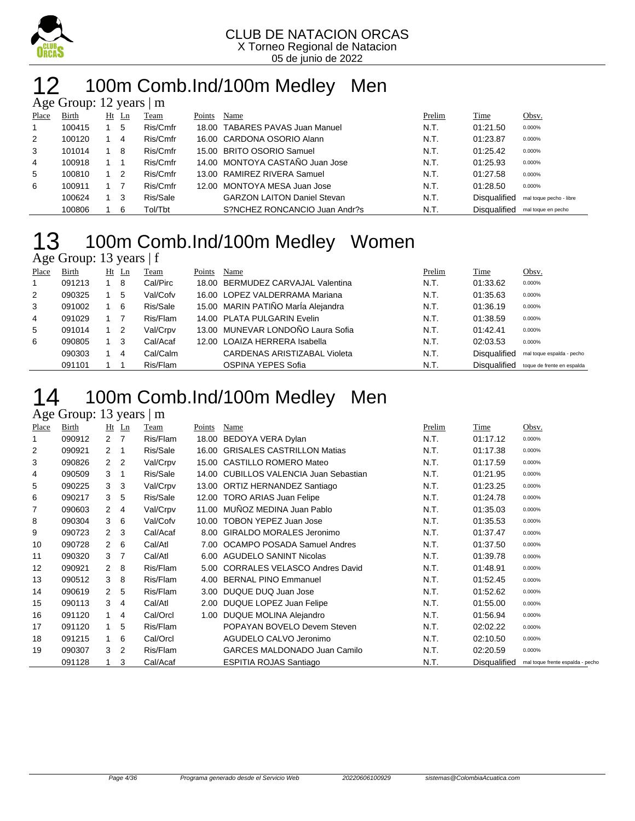

### 12 100m Comb.Ind/100m Medley Men

|       | Age Group: 12 years   m |    |     |          |        |                                    |        |              |                         |  |  |  |  |  |
|-------|-------------------------|----|-----|----------|--------|------------------------------------|--------|--------------|-------------------------|--|--|--|--|--|
| Place | Birth                   | Ht | Ln  | Team     | Points | Name                               | Prelim | Time         | Obsv.                   |  |  |  |  |  |
| 1     | 100415                  |    | 5   | Ris/Cmfr |        | 18.00 TABARES PAVAS Juan Manuel    | N.T.   | 01:21.50     | 0.000%                  |  |  |  |  |  |
| 2     | 100120                  |    | 4   | Ris/Cmfr |        | 16.00 CARDONA OSORIO Alann         | N.T.   | 01:23.87     | 0.000%                  |  |  |  |  |  |
| 3     | 101014                  |    | -8  | Ris/Cmfr |        | 15.00 BRITO OSORIO Samuel          | N.T.   | 01:25.42     | 0.000%                  |  |  |  |  |  |
| 4     | 100918                  |    |     | Ris/Cmfr |        | 14.00 MONTOYA CASTAÑO Juan Jose    | N.T.   | 01:25.93     | 0.000%                  |  |  |  |  |  |
| 5     | 100810                  |    | - 2 | Ris/Cmfr |        | 13.00 RAMIREZ RIVERA Samuel        | N.T.   | 01:27.58     | 0.000%                  |  |  |  |  |  |
| 6     | 100911                  |    |     | Ris/Cmfr |        | 12.00 MONTOYA MESA Juan Jose       | N.T.   | 01:28.50     | 0.000%                  |  |  |  |  |  |
|       | 100624                  |    | -3  | Ris/Sale |        | <b>GARZON LAITON Daniel Stevan</b> | N.T.   | Disqualified | mal toque pecho - libre |  |  |  |  |  |
|       | 100806                  |    | 6   | Tol/Tbt  |        | S?NCHEZ RONCANCIO Juan Andr?s      | N.T.   | Disqualified | mal toque en pecho      |  |  |  |  |  |

#### 100m Comb.Ind/100m Medley Women Age Group: 13 years | f

|              | $1.45$ $0.04$ $0.10$ $0.04$ $0.04$ $0.04$ |  |                |          |        |                                     |        |                     |                            |  |  |  |
|--------------|-------------------------------------------|--|----------------|----------|--------|-------------------------------------|--------|---------------------|----------------------------|--|--|--|
| Place        | Birth                                     |  | $Ht$ Ln        | Team     | Points | Name                                | Prelim | <b>Time</b>         | Obsv.                      |  |  |  |
| $\mathbf{1}$ | 091213                                    |  | 8              | Cal/Pirc |        | 18.00 BERMUDEZ CARVAJAL Valentina   | N.T.   | 01:33.62            | 0.000%                     |  |  |  |
| 2            | 090325                                    |  | 5              | Val/Cofv |        | 16.00 LOPEZ VALDERRAMA Mariana      | N.T.   | 01:35.63            | 0.000%                     |  |  |  |
| 3            | 091002                                    |  | -6             | Ris/Sale |        | 15.00 MARIN PATIÑO MarÍa Alejandra  | N.T.   | 01:36.19            | 0.000%                     |  |  |  |
| 4            | 091029                                    |  |                | Ris/Flam |        | 14.00 PLATA PULGARIN Evelin         | N.T.   | 01:38.59            | 0.000%                     |  |  |  |
| 5            | 091014                                    |  | $\overline{2}$ | Val/Crpv |        | 13.00 MUNEVAR LONDOÑO Laura Sofia   | N.T.   | 01:42.41            | 0.000%                     |  |  |  |
| 6            | 090805                                    |  | 3              | Cal/Acaf |        | 12.00 LOAIZA HERRERA Isabella       | N.T.   | 02:03.53            | 0.000%                     |  |  |  |
|              | 090303                                    |  | 4              | Cal/Calm |        | <b>CARDENAS ARISTIZABAL Violeta</b> | N.T.   | <b>Disqualified</b> | mal toque espalda - pecho  |  |  |  |
|              | 091101                                    |  |                | Ris/Flam |        | <b>OSPINA YEPES Sofia</b>           | N.T.   | Disqualified        | toque de frente en espalda |  |  |  |

### 100m Comb.Ind/100m Medley Men

#### Age Group: 13 years | m

| Place | <b>Birth</b> | Ht           | Ln                       | Team     | Points            | Name                                   | Prelim | Time         | Obsv.                            |
|-------|--------------|--------------|--------------------------|----------|-------------------|----------------------------------------|--------|--------------|----------------------------------|
| 1     | 090912       | 2            | $\overline{7}$           | Ris/Flam | 18.00             | BEDOYA VERA Dylan                      | N.T.   | 01:17.12     | 0.000%                           |
| 2     | 090921       | $\mathbf{2}$ | $\overline{\phantom{1}}$ | Ris/Sale |                   | 16.00 GRISALES CASTRILLON Matias       | N.T.   | 01:17.38     | 0.000%                           |
| 3     | 090826       | $\mathbf{2}$ | 2                        | Val/Crpv |                   | 15.00 CASTILLO ROMERO Mateo            | N.T.   | 01:17.59     | 0.000%                           |
| 4     | 090509       | 3            | $\overline{1}$           | Ris/Sale |                   | 14.00 CUBILLOS VALENCIA Juan Sebastian | N.T.   | 01:21.95     | 0.000%                           |
| 5     | 090225       | 3            | 3                        | Val/Crpv |                   | 13.00 ORTIZ HERNANDEZ Santiago         | N.T.   | 01:23.25     | 0.000%                           |
| 6     | 090217       | 3            | 5                        | Ris/Sale |                   | 12.00 TORO ARIAS Juan Felipe           | N.T.   | 01:24.78     | 0.000%                           |
| 7     | 090603       | $\mathbf{2}$ | -4                       | Val/Crpv | 11.00             | MUÑOZ MEDINA Juan Pablo                | N.T.   | 01:35.03     | 0.000%                           |
| 8     | 090304       | 3            | - 6                      | Val/Cofv | 10.00             | <b>TOBON YEPEZ Juan Jose</b>           | N.T.   | 01:35.53     | 0.000%                           |
| 9     | 090723       | $\mathbf{2}$ | 3                        | Cal/Acaf |                   | 8.00 GIRALDO MORALES Jeronimo          | N.T.   | 01:37.47     | 0.000%                           |
| 10    | 090728       | 2            | - 6                      | Cal/Atl  | 7.00              | OCAMPO POSADA Samuel Andres            | N.T.   | 01:37.50     | 0.000%                           |
| 11    | 090320       | 3            | -7                       | Cal/Atl  |                   | 6.00 AGUDELO SANINT Nicolas            | N.T.   | 01:39.78     | 0.000%                           |
| 12    | 090921       | $\mathbf{2}$ | -8                       | Ris/Flam | 5.00              | CORRALES VELASCO Andres David          | N.T.   | 01:48.91     | 0.000%                           |
| 13    | 090512       | 3            | -8                       | Ris/Flam | 4.00              | <b>BERNAL PINO Emmanuel</b>            | N.T.   | 01:52.45     | 0.000%                           |
| 14    | 090619       | $\mathbf{2}$ | 5                        | Ris/Flam | 3.00 <sub>1</sub> | DUQUE DUQ Juan Jose                    | N.T.   | 01:52.62     | 0.000%                           |
| 15    | 090113       | 3            | $\overline{4}$           | Cal/Atl  | 2.00              | DUQUE LOPEZ Juan Felipe                | N.T.   | 01:55.00     | 0.000%                           |
| 16    | 091120       | 1            | 4                        | Cal/Orcl |                   | 1.00 DUQUE MOLINA Alejandro            | N.T.   | 01:56.94     | 0.000%                           |
| 17    | 091120       | 1            | 5                        | Ris/Flam |                   | POPAYAN BOVELO Devem Steven            | N.T.   | 02:02.22     | 0.000%                           |
| 18    | 091215       | $\mathbf{1}$ | 6                        | Cal/Orcl |                   | AGUDELO CALVO Jeronimo                 | N.T.   | 02:10.50     | 0.000%                           |
| 19    | 090307       | 3            | $\overline{2}$           | Ris/Flam |                   | <b>GARCES MALDONADO Juan Camilo</b>    | N.T.   | 02:20.59     | 0.000%                           |
|       | 091128       | 1            | 3                        | Cal/Acaf |                   | <b>ESPITIA ROJAS Santiago</b>          | N.T.   | Disqualified | mal toque frente espalda - pecho |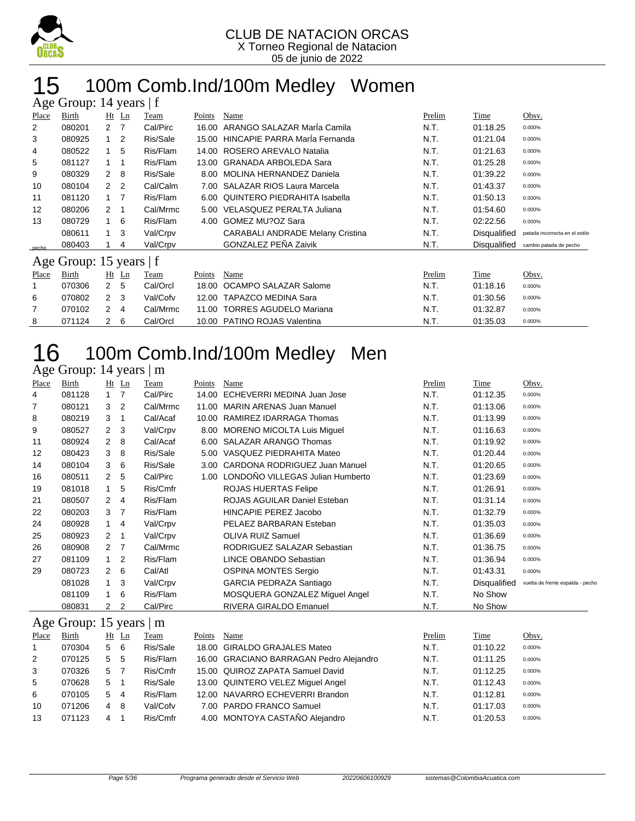

### 100m Comb.Ind/100m Medley Women

|       | Age Group: 14 years   f |                      |                |          |        |                                         |        |                     |                                |  |  |  |
|-------|-------------------------|----------------------|----------------|----------|--------|-----------------------------------------|--------|---------------------|--------------------------------|--|--|--|
| Place | Birth                   |                      | $Ht$ Ln        | Team     | Points | Name                                    | Prelim | Time                | Obsv.                          |  |  |  |
| 2     | 080201                  | $\overline{2}$       | -7             | Cal/Pirc | 16.00  | ARANGO SALAZAR MarÍa Camila             | N.T.   | 01:18.25            | 0.000%                         |  |  |  |
| 3     | 080925                  | 1                    | $\overline{2}$ | Ris/Sale | 15.00  | HINCAPIE PARRA Maria Fernanda           | N.T.   | 01:21.04            | 0.000%                         |  |  |  |
| 4     | 080522                  | 1                    | 5              | Ris/Flam | 14.00  | ROSERO AREVALO Natalia                  | N.T.   | 01:21.63            | 0.000%                         |  |  |  |
| 5     | 081127                  | 1                    |                | Ris/Flam | 13.00  | <b>GRANADA ARBOLEDA Sara</b>            | N.T.   | 01:25.28            | 0.000%                         |  |  |  |
| 9     | 080329                  | $\mathbf{2}^{\circ}$ | -8             | Ris/Sale | 8.00   | MOLINA HERNANDEZ Daniela                | N.T.   | 01:39.22            | 0.000%                         |  |  |  |
| 10    | 080104                  | $\mathbf{2}^{\circ}$ | $\overline{2}$ | Cal/Calm | 7.00   | <b>SALAZAR RIOS Laura Marcela</b>       | N.T.   | 01:43.37            | 0.000%                         |  |  |  |
| 11    | 081120                  | 1                    | $\overline{7}$ | Ris/Flam | 6.00   | QUINTERO PIEDRAHITA Isabella            | N.T.   | 01:50.13            | 0.000%                         |  |  |  |
| 12    | 080206                  | 2                    | -1             | Cal/Mrmc | 5.00   | VELASQUEZ PERALTA Juliana               | N.T.   | 01:54.60            | 0.000%                         |  |  |  |
| 13    | 080729                  | 1                    | 6              | Ris/Flam | 4.00   | <b>GOMEZ MU?OZ Sara</b>                 | N.T.   | 02:22.56            | 0.000%                         |  |  |  |
|       | 080611                  | 1                    | 3              | Val/Crpv |        | <b>CARABALI ANDRADE Melany Cristina</b> | N.T.   | Disqualified        | patada incorrecta en el estilo |  |  |  |
| pecho | 080403                  |                      | 4              | Val/Crpv |        | <b>GONZALEZ PEÑA Zaivik</b>             | N.T.   | <b>Disqualified</b> | cambio patada de pecho         |  |  |  |
|       | Age Group: 15 years   f |                      |                |          |        |                                         |        |                     |                                |  |  |  |
| Place | Birth                   |                      | $Ht$ Ln        | Team     | Points | Name                                    | Prelim | Time                | Obsv.                          |  |  |  |
|       | 070306                  | 2 <sub>5</sub>       |                | Cal/Orcl | 18.00  | OCAMPO SALAZAR Salome                   | N.T.   | 01:18.16            | 0.000%                         |  |  |  |
| 6     | 070802                  | 2 <sub>3</sub>       |                | Val/Cofv | 12.00  | <b>TAPAZCO MEDINA Sara</b>              | N.T.   | 01:30.56            | 0.000%                         |  |  |  |
| 7     | 070102                  | 2                    | 4              | Cal/Mrmc | 11.00  | <b>TORRES AGUDELO Mariana</b>           | N.T.   | 01:32.87            | 0.000%                         |  |  |  |
| 8     | 071124                  | 2                    | 6              | Cal/Orcl |        | 10.00 PATINO ROJAS Valentina            | N.T.   | 01:35.03            | 0.000%                         |  |  |  |

## 16 100m Comb.Ind/100m Medley Men

#### Age Group: 14 years | m

| Place             | Birth  | Ht                   | Ln             | Team     | Points | Name                              | Prelim | Time         | Obsv.                            |
|-------------------|--------|----------------------|----------------|----------|--------|-----------------------------------|--------|--------------|----------------------------------|
| 4                 | 081128 | $\mathbf{1}$         | 7              | Cal/Pirc | 14.00  | ECHEVERRI MEDINA Juan Jose        | N.T.   | 01:12.35     | 0.000%                           |
| $\overline{7}$    | 080121 | 3                    | $\overline{2}$ | Cal/Mrmc | 11.00  | <b>MARIN ARENAS Juan Manuel</b>   | N.T.   | 01:13.06     | 0.000%                           |
| 8                 | 080219 | 3                    | 1              | Cal/Acaf | 10.00  | RAMIREZ IDARRAGA Thomas           | N.T.   | 01:13.99     | 0.000%                           |
| 9                 | 080527 | $\mathbf{2}$         | 3              | Val/Crpv | 8.00   | <b>MORENO MICOLTA Luis Miguel</b> | N.T.   | 01:16.63     | 0.000%                           |
| 11                | 080924 | $\mathbf{2}^{\circ}$ | 8              | Cal/Acaf | 6.00   | <b>SALAZAR ARANGO Thomas</b>      | N.T.   | 01:19.92     | 0.000%                           |
| $12 \overline{ }$ | 080423 | 3                    | 8              | Ris/Sale | 5.00   | VASQUEZ PIEDRAHITA Mateo          | N.T.   | 01:20.44     | 0.000%                           |
| 14                | 080104 | 3                    | - 6            | Ris/Sale | 3.00   | CARDONA RODRIGUEZ Juan Manuel     | N.T.   | 01:20.65     | 0.000%                           |
| 16                | 080511 | 2                    | 5              | Cal/Pirc | 1.00   | LONDOÑO VILLEGAS Julian Humberto  | N.T.   | 01:23.69     | 0.000%                           |
| 19                | 081018 | $\mathbf{1}$         | 5              | Ris/Cmfr |        | ROJAS HUERTAS Felipe              | N.T.   | 01:26.91     | 0.000%                           |
| 21                | 080507 | $\mathbf{2}$         | $\overline{4}$ | Ris/Flam |        | ROJAS AGUILAR Daniel Esteban      | N.T.   | 01:31.14     | 0.000%                           |
| 22                | 080203 | 3                    | - 7            | Ris/Flam |        | HINCAPIE PEREZ Jacobo             | N.T.   | 01:32.79     | 0.000%                           |
| 24                | 080928 | 1                    | -4             | Val/Crpv |        | PELAEZ BARBARAN Esteban           | N.T.   | 01:35.03     | 0.000%                           |
| 25                | 080923 | $\mathbf{2}$         | -1             | Val/Crpv |        | <b>OLIVA RUIZ Samuel</b>          | N.T.   | 01:36.69     | 0.000%                           |
| 26                | 080908 | $2 \overline{7}$     |                | Cal/Mrmc |        | RODRIGUEZ SALAZAR Sebastian       | N.T.   | 01:36.75     | 0.000%                           |
| 27                | 081109 | $\mathbf{1}$         | $\overline{2}$ | Ris/Flam |        | LINCE OBANDO Sebastian            | N.T.   | 01:36.94     | 0.000%                           |
| 29                | 080723 | $\mathbf{2}$         | 6              | Cal/Atl  |        | <b>OSPINA MONTES Sergio</b>       | N.T.   | 01:43.31     | 0.000%                           |
|                   | 081028 | $\mathbf{1}$         | 3              | Val/Crpv |        | GARCIA PEDRAZA Santiago           | N.T.   | Disqualified | vuelta de frente espalda - pecho |
|                   | 081109 | $\mathbf{1}$         | 6              | Ris/Flam |        | MOSQUERA GONZALEZ Miguel Angel    | N.T.   | No Show      |                                  |
|                   | 080831 | 2                    | 2              | Cal/Pirc |        | RIVERA GIRALDO Emanuel            | N.T.   | No Show      |                                  |

#### Age Group: 15 years | m

| Place          | <b>Birth</b> | $Ht$ Ln  | <b>Team</b> | Points | Name                                    | Prelim | Time     | Obsv.  |
|----------------|--------------|----------|-------------|--------|-----------------------------------------|--------|----------|--------|
| $\overline{1}$ | 070304       | 5 6      | Ris/Sale    |        | 18.00 GIRALDO GRAJALES Mateo            | N.T.   | 01:10.22 | 0.000% |
| 2              | 070125       | 5<br>-5  | Ris/Flam    |        | 16.00 GRACIANO BARRAGAN Pedro Alejandro | N.T.   | 01:11.25 | 0.000% |
| 3              | 070326       | 5        | Ris/Cmfr    |        | 15.00 QUIROZ ZAPATA Samuel David        | N.T.   | 01:12.25 | 0.000% |
| 5              | 070628       | 5        | Ris/Sale    |        | 13.00 QUINTERO VELEZ Miguel Angel       | N.T.   | 01:12.43 | 0.000% |
| 6              | 070105       | 5<br>-4  | Ris/Flam    |        | 12.00 NAVARRO ECHEVERRI Brandon         | N.T.   | 01:12.81 | 0.000% |
| 10             | 071206       | - 8<br>4 | Val/Cofv    |        | 7.00 PARDO FRANCO Samuel                | N.T.   | 01:17.03 | 0.000% |
| 13             | 071123       | 4        | Ris/Cmfr    |        | 4.00 MONTOYA CASTAÑO Alejandro          | N.T.   | 01:20.53 | 0.000% |
|                |              |          |             |        |                                         |        |          |        |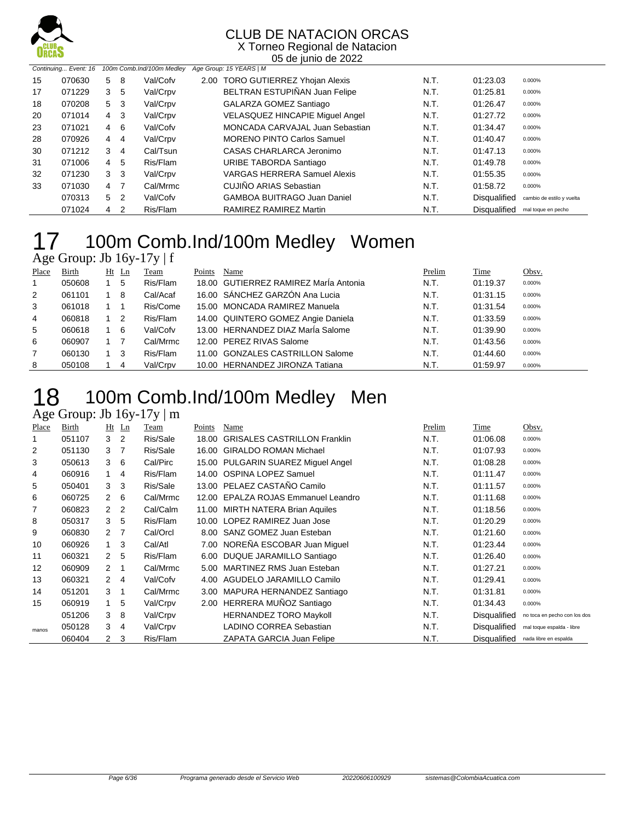

X Torneo Regional de Natacion 05 de junio de 2022

|    | Continuing Event: 16 |                |                | 100m Comb.Ind/100m Medley | Age Group: 15 YEARS   M                |      |                     |                           |
|----|----------------------|----------------|----------------|---------------------------|----------------------------------------|------|---------------------|---------------------------|
| 15 | 070630               | 5              | -8             | Val/Cofv                  | 2.00 TORO GUTIERREZ Yhojan Alexis      | N.T. | 01:23.03            | 0.000%                    |
| 17 | 071229               | 3              | -5             | Val/Crpv                  | BELTRAN ESTUPIÑAN Juan Felipe          | N.T. | 01:25.81            | 0.000%                    |
| 18 | 070208               | 5              | - 3            | Val/Crpv                  | GALARZA GOMEZ Santiago                 | N.T. | 01:26.47            | 0.000%                    |
| 20 | 071014               | 4              | -3             | Val/Crpv                  | <b>VELASQUEZ HINCAPIE Miguel Angel</b> | N.T. | 01:27.72            | 0.000%                    |
| 23 | 071021               | 4 6            |                | Val/Cofv                  | MONCADA CARVAJAL Juan Sebastian        | N.T. | 01:34.47            | 0.000%                    |
| 28 | 070926               | 4              | 4              | Val/Crpv                  | <b>MORENO PINTO Carlos Samuel</b>      | N.T. | 01:40.47            | 0.000%                    |
| 30 | 071212               | 3              | 4              | Cal/Tsun                  | CASAS CHARLARCA Jeronimo               | N.T. | 01:47.13            | 0.000%                    |
| 31 | 071006               | 4              | -5             | Ris/Flam                  | URIBE TABORDA Santiago                 | N.T. | 01:49.78            | 0.000%                    |
| 32 | 071230               | 3 <sub>3</sub> |                | Val/Crpv                  | <b>VARGAS HERRERA Samuel Alexis</b>    | N.T. | 01:55.35            | 0.000%                    |
| 33 | 071030               | 4 7            |                | Cal/Mrmc                  | <b>CUJIÑO ARIAS Sebastian</b>          | N.T. | 01:58.72            | 0.000%                    |
|    | 070313               | 5              | $\overline{2}$ | Val/Cofv                  | <b>GAMBOA BUITRAGO Juan Daniel</b>     | N.T. | <b>Disqualified</b> | cambio de estilo y vuelta |
|    | 071024               | 4              | 2              | Ris/Flam                  | RAMIREZ RAMIREZ Martin                 | N.T. | <b>Disqualified</b> | mal toque en pecho        |

## 17 100m Comb.Ind/100m Medley Women

|       | Age Group: Jb $16y-17y \mid f$ |             |    |          |        |                                       |        |          |        |
|-------|--------------------------------|-------------|----|----------|--------|---------------------------------------|--------|----------|--------|
| Place | Birth                          | Ht          | Ln | Team     | Points | Name                                  | Prelim | Time     | Obsv.  |
| 1.    | 050608                         | 1           | 5  | Ris/Flam |        | 18.00 GUTIERREZ RAMIREZ Marla Antonia | N.T.   | 01:19.37 | 0.000% |
| 2     | 061101                         |             | 8  | Cal/Acaf |        | 16.00 SÁNCHEZ GARZÓN Ana Lucia        | N.T.   | 01:31.15 | 0.000% |
| 3     | 061018                         |             |    | Ris/Come |        | 15.00 MONCADA RAMIREZ Manuela         | N.T.   | 01:31.54 | 0.000% |
| 4     | 060818                         |             | 2  | Ris/Flam |        | 14.00 QUINTERO GOMEZ Angie Daniela    | N.T.   | 01:33.59 | 0.000% |
| 5     | 060618                         | 1           | 6  | Val/Cofv |        | 13.00 HERNANDEZ DIAZ Marla Salome     | N.T.   | 01:39.90 | 0.000% |
| 6     | 060907                         |             |    | Cal/Mrmc |        | 12.00 PEREZ RIVAS Salome              | N.T.   | 01:43.56 | 0.000% |
| 7     | 060130                         | $1 \quad 3$ |    | Ris/Flam |        | 11.00 GONZALES CASTRILLON Salome      | N.T.   | 01:44.60 | 0.000% |
| 8     | 050108                         |             | 4  | Val/Crpv |        | 10.00 HERNANDEZ JIRONZA Tatiana       | N.T.   | 01:59.97 | 0.000% |

### 100m Comb.Ind/100m Medley Men

Age Group: Jb 16y-17y | m

| Place          | Birth  | Ht                   | Ln             | Team     | Points | Name                                | Prelim | Time                | Obsv.                        |
|----------------|--------|----------------------|----------------|----------|--------|-------------------------------------|--------|---------------------|------------------------------|
|                | 051107 | 3                    | $\overline{2}$ | Ris/Sale | 18.00  | <b>GRISALES CASTRILLON Franklin</b> | N.T.   | 01:06.08            | 0.000%                       |
| $\overline{2}$ | 051130 | 3                    | 7              | Ris/Sale |        | 16.00 GIRALDO ROMAN Michael         | N.T.   | 01:07.93            | 0.000%                       |
| 3              | 050613 | 3                    | 6              | Cal/Pirc |        | 15.00 PULGARIN SUAREZ Miguel Angel  | N.T.   | 01:08.28            | 0.000%                       |
| 4              | 060916 |                      | 4              | Ris/Flam |        | 14.00 OSPINA LOPEZ Samuel           | N.T.   | 01:11.47            | 0.000%                       |
| 5              | 050401 | 3                    | 3              | Ris/Sale |        | 13.00 PELAEZ CASTAÑO Camilo         | N.T.   | 01:11.57            | 0.000%                       |
| 6              | 060725 | 2                    | 6              | Cal/Mrmc |        | 12.00 EPALZA ROJAS Emmanuel Leandro | N.T.   | 01:11.68            | 0.000%                       |
| 7              | 060823 | $\mathbf{2}$         | $\overline{2}$ | Cal/Calm | 11.00  | MIRTH NATERA Brian Aquiles          | N.T.   | 01:18.56            | 0.000%                       |
| 8              | 050317 | 3                    | 5              | Ris/Flam |        | 10.00 LOPEZ RAMIREZ Juan Jose       | N.T.   | 01:20.29            | 0.000%                       |
| 9              | 060830 | 2                    | -7             | Cal/Orcl |        | 8.00 SANZ GOMEZ Juan Esteban        | N.T.   | 01:21.60            | 0.000%                       |
| 10             | 060926 | $\overline{1}$       | 3              | Cal/Atl  |        | 7.00 NOREÑA ESCOBAR Juan Miquel     | N.T.   | 01:23.44            | 0.000%                       |
| 11             | 060321 | 2                    | 5              | Ris/Flam |        | 6.00 DUQUE JARAMILLO Santiago       | N.T.   | 01:26.40            | 0.000%                       |
| 12             | 060909 | 2                    | -1             | Cal/Mrmc |        | 5.00 MARTINEZ RMS Juan Esteban      | N.T.   | 01:27.21            | 0.000%                       |
| 13             | 060321 | $\mathbf{2}^{\circ}$ | 4              | Val/Cofv |        | 4.00 AGUDELO JARAMILLO Camilo       | N.T.   | 01:29.41            | 0.000%                       |
| 14             | 051201 | 3                    | 1              | Cal/Mrmc |        | 3.00 MAPURA HERNANDEZ Santiago      | N.T.   | 01:31.81            | 0.000%                       |
| 15             | 060919 | $\overline{1}$       | 5              | Val/Crpv |        | 2.00 HERRERA MUÑOZ Santiago         | N.T.   | 01:34.43            | 0.000%                       |
|                | 051206 | 3                    | 8              | Val/Crpv |        | <b>HERNANDEZ TORO Maykoll</b>       | N.T.   | Disqualified        | no toca en pecho con los dos |
| manos          | 050128 | 3                    | 4              | Val/Crpv |        | LADINO CORREA Sebastian             | N.T.   | <b>Disqualified</b> | mal toque espalda - libre    |
|                | 060404 | $\overline{2}$       | 3              | Ris/Flam |        | ZAPATA GARCIA Juan Felipe           | N.T.   | Disqualified        | nada libre en espalda        |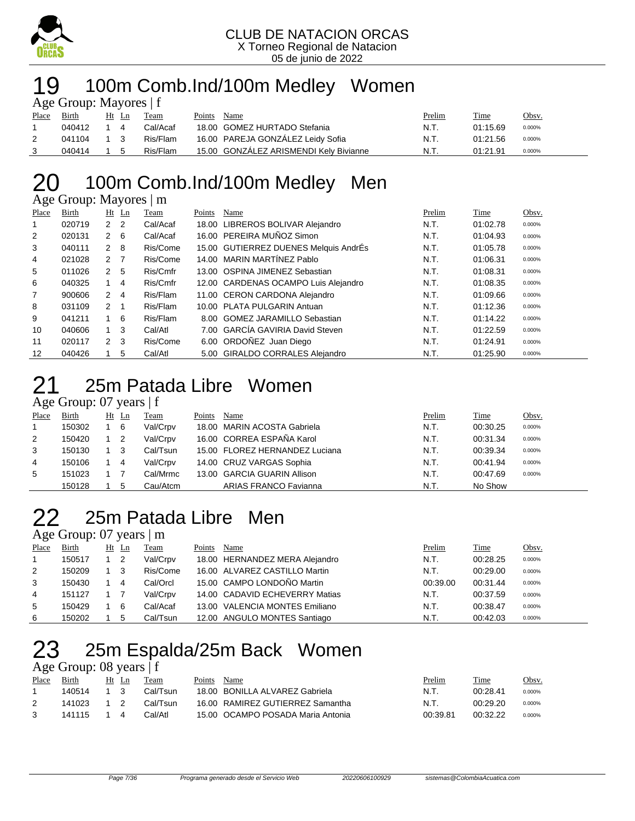

#### 100m Comb.Ind/100m Medley Women Age Group: Mayores | f

| $T_{\rm X}$ Oroup. Mayores $T$ |        |             |  |          |        |                                        |        |          |        |  |  |  |  |
|--------------------------------|--------|-------------|--|----------|--------|----------------------------------------|--------|----------|--------|--|--|--|--|
| Place                          | Birth  | Ht Ln       |  | Team     | Points | Name                                   | Prelim | Time     | Obsv.  |  |  |  |  |
|                                | 040412 | 14          |  | Cal/Acaf |        | 18.00 GOMEZ HURTADO Stefania           | N.T.   | 01:15.69 | 0.000% |  |  |  |  |
|                                | 041104 | $1 \quad 3$ |  | Ris/Flam |        | 16.00 PAREJA GONZALEZ Leidy Sofia      | N.T.   | 01:21.56 | 0.000% |  |  |  |  |
|                                | 040414 | 1 5         |  | Ris/Flam |        | 15.00 GONZALEZ ARISMENDI Kely Bivianne | N.T.   | 01:21.91 | 0.000% |  |  |  |  |

### 100m Comb.Ind/100m Medley Men

Age Group: Mayores | m

| Place          | Birth  | $Ht$ Ln        | Team     | Points | Name                                  | Prelim | Time     | Obsv.  |
|----------------|--------|----------------|----------|--------|---------------------------------------|--------|----------|--------|
|                | 020719 | 2 <sub>2</sub> | Cal/Acaf | 18.00  | LIBREROS BOLIVAR Alejandro            | N.T.   | 01:02.78 | 0.000% |
| 2              | 020131 | $2 \quad 6$    | Cal/Acaf |        | 16.00 PEREIRA MUÑOZ Simon             | N.T.   | 01:04.93 | 0.000% |
| 3              | 040111 | $2 \quad 8$    | Ris/Come |        | 15.00 GUTIERREZ DUENES Melquis AndrÉs | N.T.   | 01:05.78 | 0.000% |
| 4              | 021028 | 2 <sub>7</sub> | Ris/Come |        | 14.00 MARIN MARTÍNEZ Pablo            | N.T.   | 01:06.31 | 0.000% |
| 5              | 011026 | 2 5            | Ris/Cmfr |        | 13.00 OSPINA JIMENEZ Sebastian        | N.T.   | 01:08.31 | 0.000% |
| 6              | 040325 | 4<br>1         | Ris/Cmfr |        | 12.00 CARDENAS OCAMPO Luis Alejandro  | N.T.   | 01:08.35 | 0.000% |
| $\overline{7}$ | 900606 | 2 4            | Ris/Flam |        | 11.00 CERON CARDONA Alejandro         | N.T.   | 01:09.66 | 0.000% |
| 8              | 031109 | 2 1            | Ris/Flam |        | 10.00 PLATA PULGARIN Antuan           | N.T.   | 01:12.36 | 0.000% |
| 9              | 041211 | 1 6            | Ris/Flam |        | 8.00 GOMEZ JARAMILLO Sebastian        | N.T.   | 01:14.22 | 0.000% |
| 10             | 040606 | $1 \quad 3$    | Cal/Atl  |        | 7.00 GARCÍA GAVIRIA David Steven      | N.T.   | 01:22.59 | 0.000% |
| 11             | 020117 | $2 \quad 3$    | Ris/Come |        | 6.00 ORDOÑEZ Juan Diego               | N.T.   | 01:24.91 | 0.000% |
| 12             | 040426 | 5              | Cal/Atl  |        | 5.00 GIRALDO CORRALES Alejandro       | N.T.   | 01:25.90 | 0.000% |

### 25m Patada Libre Women

#### Age Group: 07 years | f

| Place | Birth  | $Ht$ Ln |                            | Team     | Points | Name                           | Prelim | Time     | Obsv.  |
|-------|--------|---------|----------------------------|----------|--------|--------------------------------|--------|----------|--------|
|       | 150302 |         | - 6                        | Val/Crpv |        | 18.00 MARIN ACOSTA Gabriela    | N.T.   | 00:30.25 | 0.000% |
| 2     | 150420 |         | $\overline{\phantom{0}}^2$ | Val/Crpv |        | 16.00 CORREA ESPAÑA Karol      | N.T.   | 00:31.34 | 0.000% |
| 3     | 150130 |         | - 3                        | Cal/Tsun |        | 15.00 FLOREZ HERNANDEZ Luciana | N.T.   | 00:39.34 | 0.000% |
| 4     | 150106 |         | 4                          | Val/Crpv |        | 14.00 CRUZ VARGAS Sophia       | N.T.   | 00:41.94 | 0.000% |
| 5     | 151023 |         |                            | Cal/Mrmc |        | 13.00 GARCIA GUARIN Allison    | N.T.   | 00:47.69 | 0.000% |
|       | 150128 |         | 5                          | Cau/Atcm |        | <b>ARIAS FRANCO Favianna</b>   | N.T.   | No Show  |        |

### 25m Patada Libre Men

#### Age Group: 07 years | m

| Place | Birth  | $Ht$ Ln | Team     | Points | Name                           | Prelim   | Time     | Obsv.  |
|-------|--------|---------|----------|--------|--------------------------------|----------|----------|--------|
|       | 150517 |         | Val/Crpv |        | 18.00 HERNANDEZ MERA Alejandro | N.T.     | 00:28.25 | 0.000% |
| 2     | 150209 | -3      | Ris/Come |        | 16.00 ALVAREZ CASTILLO Martin  | N.T.     | 00:29.00 | 0.000% |
| 3     | 150430 | 4       | Cal/Orcl |        | 15.00 CAMPO LONDOÑO Martin     | 00:39.00 | 00:31.44 | 0.000% |
| 4     | 151127 |         | Val/Crpv |        | 14.00 CADAVID ECHEVERRY Matias | N.T.     | 00:37.59 | 0.000% |
| 5     | 150429 | 6       | Cal/Acaf |        | 13.00 VALENCIA MONTES Emiliano | N.T.     | 00:38.47 | 0.000% |
| 6     | 150202 |         | Cal/Tsun |        | 12.00 ANGULO MONTES Santiago   | N.T.     | 00:42.03 | 0.000% |

## 25m Espalda/25m Back Women

Age Group: 08 years | f

| Place | Birth  | Ht Ln | Team     | Points | Name                              | Prelim   | Time     | <u>Obsv.</u> |
|-------|--------|-------|----------|--------|-----------------------------------|----------|----------|--------------|
|       | 140514 |       | Cal/Tsun |        | 18.00 BONILLA ALVAREZ Gabriela    | N.T      | 00:28:41 | 0.000%       |
|       | 141023 |       | Cal/Tsun |        | 16.00 RAMIREZ GUTIERREZ Samantha  | N.T      | 00.29.20 | 0.000%       |
|       | 141115 |       | Cal/Atl. |        | 15.00 OCAMPO POSADA Maria Antonia | 00:39.81 | 00:32.22 | 0.000%       |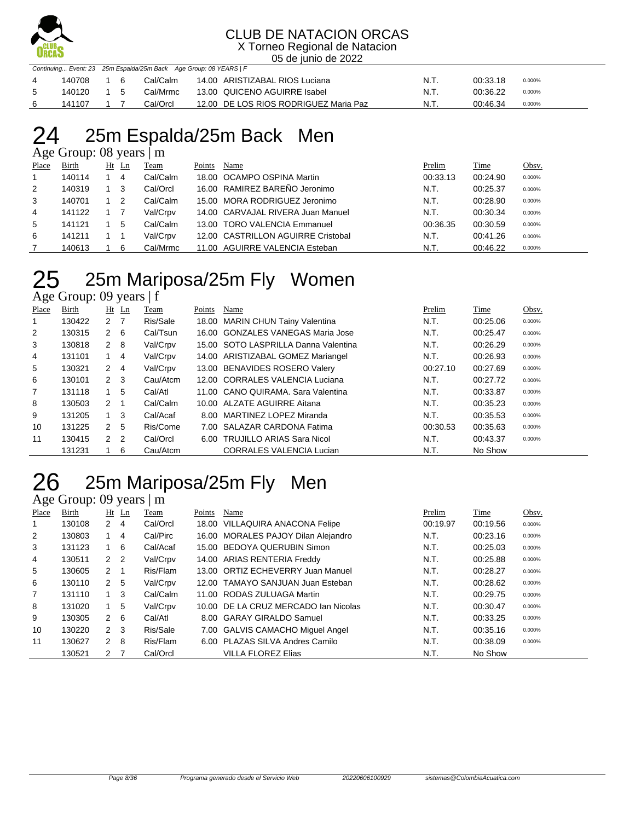

X Torneo Regional de Natacion 05 de junio de 2022

|                |            |      |          | Continuing Event: 23 25m Espalda/25m Back Age Group: 08 YEARS   F |       |          |        |
|----------------|------------|------|----------|-------------------------------------------------------------------|-------|----------|--------|
| $\overline{4}$ | 140708     | - 16 | Cal/Calm | 14.00 ARISTIZABAL RIOS Luciana                                    | -N.T. | 00:33.18 | 0.000% |
| -5             | 140120 1 5 |      | Cal/Mrmc | 13.00 QUICENO AGUIRRE Isabel                                      | N.T.  | 00:36.22 | 0.000% |
| - 6            | 141107     |      | Cal/Orcl | 12.00 DE LOS RIOS RODRIGUEZ Maria Paz                             | N.T.  | 00:46.34 | 0.000% |

## 25m Espalda/25m Back Men

Age Group: 08 years | m

| Place | <b>Birth</b> | $Ht$ Ln | Team     | Points | Name                               | Prelim   | <b>Time</b> | Obsv.  |
|-------|--------------|---------|----------|--------|------------------------------------|----------|-------------|--------|
|       | 140114       | 4       | Cal/Calm |        | 18.00 OCAMPO OSPINA Martin         | 00:33.13 | 00:24.90    | 0.000% |
| 2     | 140319       | 3       | Cal/Orcl |        | 16.00 RAMIREZ BAREÑO Jeronimo      | N.T.     | 00:25.37    | 0.000% |
| 3     | 140701       | 2       | Cal/Calm |        | 15.00 MORA RODRIGUEZ Jeronimo      | N.T.     | 00:28.90    | 0.000% |
| 4     | 141122       |         | Val/Crpv |        | 14.00 CARVAJAL RIVERA Juan Manuel  | N.T.     | 00:30.34    | 0.000% |
| 5     | 141121       | 5       | Cal/Calm |        | 13.00 TORO VALENCIA Emmanuel       | 00:36.35 | 00:30.59    | 0.000% |
| 6     | 141211       |         | Val/Crpv |        | 12.00 CASTRILLON AGUIRRE Cristobal | N.T.     | 00:41.26    | 0.000% |
|       | 140613       | 6       | Cal/Mrmc |        | 11.00 AGUIRRE VALENCIA Esteban     | N.T.     | 00:46.22    | 0.000% |

## 25 25m Mariposa/25m Fly Women

Age Group: 09 years | f

| Place          | Birth  |                | $Ht$ Ln | Team     | Points | Name                                 | Prelim   | Time     | Obsv.  |
|----------------|--------|----------------|---------|----------|--------|--------------------------------------|----------|----------|--------|
|                | 130422 | 2 7            |         | Ris/Sale |        | 18.00 MARIN CHUN Tainy Valentina     | N.T.     | 00:25.06 | 0.000% |
| $\overline{2}$ | 130315 | $2 \quad 6$    |         | Cal/Tsun |        | 16.00 GONZALES VANEGAS Maria Jose    | N.T.     | 00:25.47 | 0.000% |
| 3              | 130818 | $2 \quad 8$    |         | Val/Crpv |        | 15.00 SOTO LASPRILLA Danna Valentina | N.T.     | 00:26.29 | 0.000% |
| 4              | 131101 | $1 \quad 4$    |         | Val/Crpv |        | 14.00 ARISTIZABAL GOMEZ Mariangel    | N.T.     | 00:26.93 | 0.000% |
| 5              | 130321 | $2 \quad 4$    |         | Val/Crpv |        | 13.00 BENAVIDES ROSERO Valery        | 00:27.10 | 00:27.69 | 0.000% |
| 6              | 130101 | $2 \quad 3$    |         | Cau/Atcm |        | 12.00 CORRALES VALENCIA Luciana      | N.T.     | 00:27.72 | 0.000% |
| 7              | 131118 | $1 \quad$      | -5      | Cal/Atl  |        | 11.00 CANO QUIRAMA, Sara Valentina   | N.T.     | 00:33.87 | 0.000% |
| 8              | 130503 | 2 <sub>1</sub> |         | Cal/Calm |        | 10.00 ALZATE AGUIRRE Aitana          | N.T.     | 00:35.23 | 0.000% |
| 9              | 131205 | $1 \quad 3$    |         | Cal/Acaf |        | 8.00 MARTINEZ LOPEZ Miranda          | N.T.     | 00:35.53 | 0.000% |
| 10             | 131225 | 2 <sub>5</sub> |         | Ris/Come |        | 7.00 SALAZAR CARDONA Fatima          | 00:30.53 | 00:35.63 | 0.000% |
| 11             | 130415 | 2 <sub>2</sub> |         | Cal/Orcl |        | 6.00 TRUJILLO ARIAS Sara Nicol       | N.T.     | 00:43.37 | 0.000% |
|                | 131231 |                | 6       | Cau/Atcm |        | <b>CORRALES VALENCIA Lucian</b>      | N.T.     | No Show  |        |

## 25m Mariposa/25m Fly Men

Age Group: 09 years | m

| Place | Birth  | $Ht$ Ln        | Team     | Points | Name                                 | Prelim   | Time     | Obsv.  |
|-------|--------|----------------|----------|--------|--------------------------------------|----------|----------|--------|
|       | 130108 | 2<br>4         | Cal/Orcl |        | 18.00 VILLAQUIRA ANACONA Felipe      | 00:19.97 | 00:19.56 | 0.000% |
| 2     | 130803 | 4              | Cal/Pirc |        | 16.00 MORALES PAJOY Dilan Alejandro  | N.T.     | 00:23.16 | 0.000% |
| 3     | 131123 | 6              | Cal/Acaf |        | 15.00 BEDOYA QUERUBIN Simon          | N.T.     | 00:25.03 | 0.000% |
| 4     | 130511 | 2 <sub>2</sub> | Val/Crpv |        | 14.00 ARIAS RENTERIA Freddy          | N.T.     | 00:25.88 | 0.000% |
| 5     | 130605 | $2 \quad 1$    | Ris/Flam |        | 13.00 ORTIZ ECHEVERRY Juan Manuel    | N.T.     | 00:28.27 | 0.000% |
| 6     | 130110 | 2 <sub>5</sub> | Val/Crpv |        | 12.00 TAMAYO SANJUAN Juan Esteban    | N.T.     | 00:28.62 | 0.000% |
| 7     | 131110 | 3              | Cal/Calm |        | 11.00 RODAS ZULUAGA Martin           | N.T.     | 00:29.75 | 0.000% |
| 8     | 131020 | 5              | Val/Crpv |        | 10.00 DE LA CRUZ MERCADO Ian Nicolas | N.T.     | 00:30.47 | 0.000% |
| 9     | 130305 | $2 \quad 6$    | Cal/Atl  |        | 8.00 GARAY GIRALDO Samuel            | N.T.     | 00:33.25 | 0.000% |
| 10    | 130220 | $2 \quad 3$    | Ris/Sale |        | 7.00 GALVIS CAMACHO Miquel Angel     | N.T.     | 00:35.16 | 0.000% |
| 11    | 130627 | $2 \quad 8$    | Ris/Flam |        | 6.00 PLAZAS SILVA Andres Camilo      | N.T.     | 00:38.09 | 0.000% |
|       | 130521 | 2              | Cal/Orcl |        | VILLA FLOREZ Elias                   | N.T.     | No Show  |        |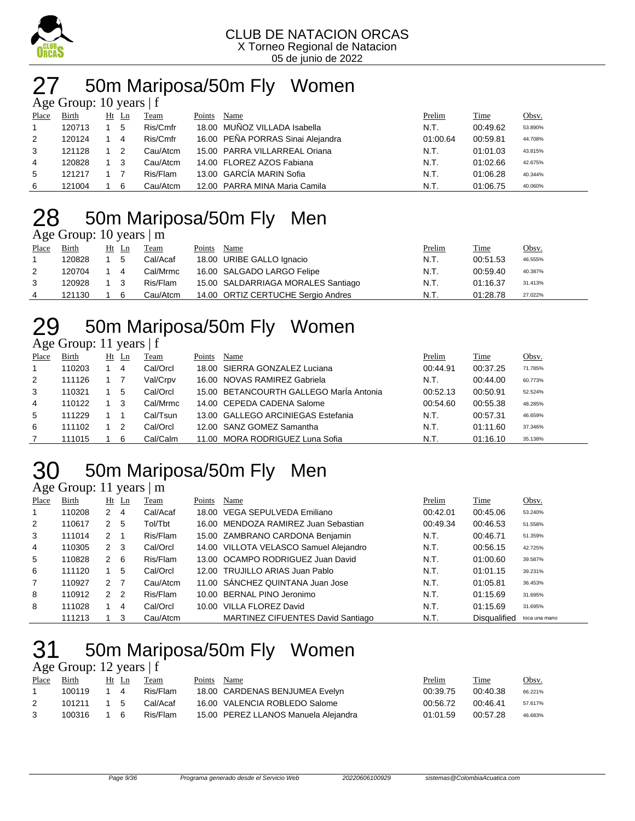

## 27 50m Mariposa/50m Fly Women

| Age Group: 10 years $ f $ |        |  |       |          |        |                                   |          |          |         |  |
|---------------------------|--------|--|-------|----------|--------|-----------------------------------|----------|----------|---------|--|
| Place                     | Birth  |  | Ht Ln | Team     | Points | Name                              | Prelim   | Time     | Obsv.   |  |
| $\mathbf{1}$              | 120713 |  | 5     | Ris/Cmfr |        | 18.00 MUÑOZ VILLADA Isabella      | N.T.     | 00:49.62 | 53.890% |  |
| 2                         | 120124 |  | 4     | Ris/Cmfr |        | 16.00 PEÑA PORRAS Sinai Alejandra | 01:00.64 | 00:59.81 | 44.708% |  |
| 3                         | 121128 |  | -2    | Cau/Atcm |        | 15.00 PARRA VILLARREAL Oriana     | N.T.     | 01:01.03 | 43.815% |  |
| 4                         | 120828 |  | -3    | Cau/Atcm |        | 14.00 FLOREZ AZOS Fabiana         | N.T.     | 01:02.66 | 42.675% |  |
| 5                         | 121217 |  |       | Ris/Flam |        | 13.00 GARCÍA MARIN Sofia          | N.T.     | 01:06.28 | 40.344% |  |
| 6                         | 121004 |  | 6     | Cau/Atcm |        | 12.00 PARRA MINA Maria Camila     | N.T.     | 01:06.75 | 40.060% |  |

## 50m Mariposa/50m Fly Men

Age Group: 10 years | m

| Place | Birth  | Ht Ln | <b>Team</b> | Points | Name                               | Prelim | <b>Time</b> | <u>Obsv.</u> |
|-------|--------|-------|-------------|--------|------------------------------------|--------|-------------|--------------|
|       | 120828 | 5     | Cal/Acaf    |        | 18.00 URIBE GALLO Ignacio          | N.T.   | 00:51.53    | 46.555%      |
| 2     | 120704 | 4     | Cal/Mrmc    |        | 16.00 SALGADO LARGO Felipe         | N.T.   | 00:59.40    | 40.387%      |
| 3     | 120928 | - 3   | Ris/Flam    |        | 15.00 SALDARRIAGA MORALES Santiago | N.T.   | 01:16.37    | 31.413%      |
| 4     | 121130 | 6     | Cau/Atcm    |        | 14.00 ORTIZ CERTUCHE Sergio Andres | N.T.   | 01:28.78    | 27.022%      |

## 29 50m Mariposa/50m Fly Women

| Age Group: 11 years   f |  |  |
|-------------------------|--|--|
|                         |  |  |

| ~     |        |    |    |          |        |                                         |          |             |         |
|-------|--------|----|----|----------|--------|-----------------------------------------|----------|-------------|---------|
| Place | Birth  | Ht | Ln | Team     | Points | Name                                    | Prelim   | <b>Time</b> | Obsv.   |
|       | 110203 |    | 4  | Cal/Orcl |        | 18.00 SIERRA GONZALEZ Luciana           | 00:44.91 | 00:37.25    | 71.785% |
| 2     | 111126 |    |    | Val/Crpv |        | 16.00 NOVAS RAMIREZ Gabriela            | N.T.     | 00:44.00    | 60.773% |
| 3     | 110321 |    | 5  | Cal/Orcl |        | 15.00 BETANCOURTH GALLEGO MarÍa Antonia | 00:52.13 | 00:50.91    | 52.524% |
| 4     | 110122 |    | -3 | Cal/Mrmc |        | 14.00 CEPEDA CADENA Salome              | 00:54.60 | 00:55.38    | 48.285% |
| 5     | 111229 |    |    | Cal/Tsun |        | 13.00 GALLEGO ARCINIEGAS Estefania      | N.T.     | 00:57.31    | 46.659% |
| 6     | 111102 |    | 2  | Cal/Orcl |        | 12.00 SANZ GOMEZ Samantha               | N.T.     | 01:11.60    | 37.346% |
|       | 111015 |    | 6  | Cal/Calm |        | 11.00 MORA RODRIGUEZ Luna Sofia         | N.T.     | 01:16.10    | 35.138% |

## 50m Mariposa/50m Fly Men

#### Age Group: 11 years | m

| Place        | Birth  |              | $Ht$ Ln        | Team     | Points | Name                                   | Prelim   | Time                | Obsv.         |
|--------------|--------|--------------|----------------|----------|--------|----------------------------------------|----------|---------------------|---------------|
|              | 110208 | 2            | 4              | Cal/Acaf |        | 18.00 VEGA SEPULVEDA Emiliano          | 00:42.01 | 00:45.06            | 53.240%       |
| 2            | 110617 | 2            | -5             | Tol/Tbt  |        | 16.00 MENDOZA RAMIREZ Juan Sebastian   | 00:49.34 | 00:46.53            | 51.558%       |
| 3            | 111014 | 2            |                | Ris/Flam |        | 15.00 ZAMBRANO CARDONA Benjamin        | N.T.     | 00:46.71            | 51.359%       |
| 4            | 110305 | $\mathbf{2}$ | -3             | Cal/Orcl |        | 14.00 VILLOTA VELASCO Samuel Alejandro | N.T.     | 00:56.15            | 42.725%       |
| 5            | 110828 | 2            | - 6            | Ris/Flam |        | 13.00 OCAMPO RODRIGUEZ Juan David      | N.T.     | 01:00.60            | 39.587%       |
| 6            | 111120 |              | 5              | Cal/Orcl |        | 12.00 TRUJILLO ARIAS Juan Pablo        | N.T.     | 01:01.15            | 39.231%       |
| $\mathbf{7}$ | 110927 | $\mathbf{2}$ |                | Cau/Atcm |        | 11.00 SANCHEZ QUINTANA Juan Jose       | N.T.     | 01:05.81            | 36.453%       |
| 8            | 110912 | $\mathbf{2}$ | $\overline{2}$ | Ris/Flam |        | 10.00 BERNAL PINO Jeronimo             | N.T.     | 01:15.69            | 31.695%       |
| 8            | 111028 |              | 4              | Cal/Orcl |        | 10.00 VILLA FLOREZ David               | N.T.     | 01:15.69            | 31.695%       |
|              | 111213 |              | 3              | Cau/Atcm |        | MARTINEZ CIFUENTES David Santiago      | N.T.     | <b>Disqualified</b> | toca una mano |

## 50m Mariposa/50m Fly Women

Age Group: 12 years | f

| Place | <b>Birth</b> |     | Ht Ln | Team     | Points | Name                                 | Prelim   | Time     | Obsv.   |
|-------|--------------|-----|-------|----------|--------|--------------------------------------|----------|----------|---------|
|       | 100119       |     | 4     | Ris/Flam |        | 18.00 CARDENAS BENJUMEA Evelyn       | 00:39.75 | 00:40.38 | 66.221% |
|       | 101211       | 1 5 |       | Cal/Acaf |        | 16.00 VALENCIA ROBLEDO Salome        | 00:56.72 | 00:46.41 | 57.617% |
|       | 100316       | 16  |       | Ris/Flam |        | 15.00 PEREZ LLANOS Manuela Alejandra | 01:01.59 | 00:57.28 | 46.683% |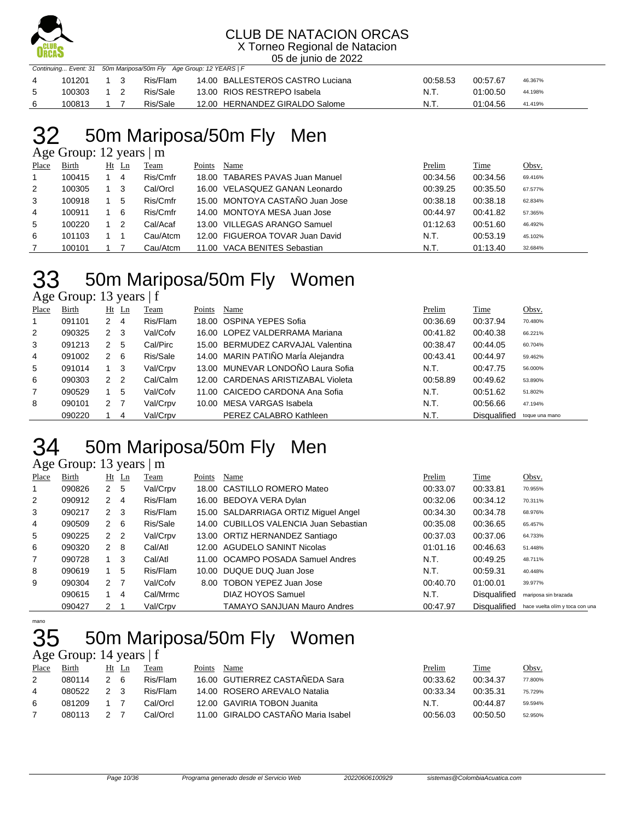

X Torneo Regional de Natacion 05 de junio de 2022

|                 | Continuing Event: 31 50m Mariposa/50m Fly Age Group: 12 YEARS   F |     |  |          |                                  |          |          |         |  |  |  |
|-----------------|-------------------------------------------------------------------|-----|--|----------|----------------------------------|----------|----------|---------|--|--|--|
|                 | 101201                                                            | 1 3 |  | Ris/Flam | 14.00 BALLESTEROS CASTRO Luciana | 00:58.53 | 00:57.67 | 46.367% |  |  |  |
| $5\overline{5}$ | 100303                                                            |     |  | Ris/Sale | 13.00 RIOS RESTREPO Isabela      | - N.T.   | 01:00.50 | 44.198% |  |  |  |
|                 | 100813                                                            |     |  | Ris/Sale | 12.00 HERNANDEZ GIRALDO Salome   | .N.T     | 01:04.56 | 41.419% |  |  |  |

## 50m Mariposa/50m Fly Men

Age Group: 12 years | m

| Place | Birth  | Ht | Ln | Team     | Points | Name                            | Prelim   | Time     | Obsv.   |
|-------|--------|----|----|----------|--------|---------------------------------|----------|----------|---------|
|       | 100415 |    | 4  | Ris/Cmfr |        | 18.00 TABARES PAVAS Juan Manuel | 00:34.56 | 00:34.56 | 69.416% |
| 2     | 100305 |    | 3  | Cal/Orcl |        | 16.00 VELASQUEZ GANAN Leonardo  | 00:39.25 | 00:35.50 | 67.577% |
| 3     | 100918 |    | 5  | Ris/Cmfr |        | 15.00 MONTOYA CASTAÑO Juan Jose | 00:38.18 | 00:38.18 | 62.834% |
| 4     | 100911 |    | 6  | Ris/Cmfr |        | 14.00 MONTOYA MESA Juan Jose    | 00:44.97 | 00:41.82 | 57.365% |
| 5     | 100220 |    | -2 | Cal/Acaf |        | 13.00 VILLEGAS ARANGO Samuel    | 01:12.63 | 00:51.60 | 46.492% |
| 6     | 101103 |    |    | Cau/Atcm |        | 12.00 FIGUEROA TOVAR Juan David | N.T.     | 00:53.19 | 45.102% |
|       | 100101 |    |    | Cau/Atcm | 11.00  | VACA BENITES Sebastian          | N.T.     | 01:13.40 | 32.684% |

## 50m Mariposa/50m Fly Women

Age Group: 13 years | f

| Place | Birth  | $Ht$ Ln |                | Team     | Points | Name                               | Prelim   | Time         | Obsv.          |
|-------|--------|---------|----------------|----------|--------|------------------------------------|----------|--------------|----------------|
|       | 091101 | 2       | 4              | Ris/Flam |        | 18.00 OSPINA YEPES Sofia           | 00:36.69 | 00:37.94     | 70.480%        |
| 2     | 090325 | 2       | - 3            | Val/Cofv |        | 16.00 LOPEZ VALDERRAMA Mariana     | 00:41.82 | 00:40.38     | 66.221%        |
| 3     | 091213 | 2       | 5              | Cal/Pirc |        | 15.00 BERMUDEZ CARVAJAL Valentina  | 00:38.47 | 00:44.05     | 60.704%        |
| 4     | 091002 | 2       | -6             | Ris/Sale |        | 14.00 MARIN PATIÑO MarÍa Alejandra | 00:43.41 | 00:44.97     | 59.462%        |
| 5     | 091014 |         | -3             | Val/Crpv |        | 13.00 MUNEVAR LONDOÑO Laura Sofia  | N.T.     | 00:47.75     | 56.000%        |
| 6     | 090303 | 2       | - 2            | Cal/Calm |        | 12.00 CARDENAS ARISTIZABAL Violeta | 00:58.89 | 00:49.62     | 53.890%        |
| 7     | 090529 |         | 5              | Val/Cofv |        | 11.00 CAICEDO CARDONA Ana Sofia    | N.T.     | 00:51.62     | 51.802%        |
| 8     | 090101 | 2       | $\overline{7}$ | Val/Crpv |        | 10.00 MESA VARGAS Isabela          | N.T.     | 00:56.66     | 47.194%        |
|       | 090220 |         | 4              | Val/Crpv |        | PEREZ CALABRO Kathleen             | N.T.     | Disqualified | toque una mano |

## 34 50m Mariposa/50m Fly Men

|                | Age Group: 13 years   m |                |    |          |        |                                        |          |                     |                                 |  |  |  |
|----------------|-------------------------|----------------|----|----------|--------|----------------------------------------|----------|---------------------|---------------------------------|--|--|--|
| Place          | Birth                   | Ht             | Ln | Team     | Points | Name                                   | Prelim   | Time                | Obsv.                           |  |  |  |
| 1              | 090826                  | 2              | 5  | Val/Crpv |        | 18.00 CASTILLO ROMERO Mateo            | 00:33.07 | 00:33.81            | 70.955%                         |  |  |  |
| 2              | 090912                  | 2              | -4 | Ris/Flam |        | 16.00 BEDOYA VERA Dylan                | 00:32.06 | 00:34.12            | 70.311%                         |  |  |  |
| 3              | 090217                  | $2 \quad 3$    |    | Ris/Flam |        | 15.00 SALDARRIAGA ORTIZ Miguel Angel   | 00:34.30 | 00:34.78            | 68.976%                         |  |  |  |
| 4              | 090509                  | $2 \quad 6$    |    | Ris/Sale |        | 14.00 CUBILLOS VALENCIA Juan Sebastian | 00:35.08 | 00:36.65            | 65.457%                         |  |  |  |
| 5              | 090225                  | 2 <sub>2</sub> |    | Val/Crpv |        | 13.00 ORTIZ HERNANDEZ Santiago         | 00:37.03 | 00:37.06            | 64.733%                         |  |  |  |
| 6              | 090320                  | 2              | -8 | Cal/Atl  |        | 12.00 AGUDELO SANINT Nicolas           | 01:01.16 | 00:46.63            | 51.448%                         |  |  |  |
| $\overline{7}$ | 090728                  | 1              | 3  | Cal/Atl  |        | 11.00 OCAMPO POSADA Samuel Andres      | N.T.     | 00:49.25            | 48.711%                         |  |  |  |
| 8              | 090619                  | 1              | 5  | Ris/Flam |        | 10.00 DUQUE DUQ Juan Jose              | N.T.     | 00:59.31            | 40.448%                         |  |  |  |
| 9              | 090304                  | 2 <sub>7</sub> |    | Val/Cofv | 8.00   | TOBON YEPEZ Juan Jose                  | 00:40.70 | 01:00.01            | 39.977%                         |  |  |  |
|                | 090615                  | 1              | 4  | Cal/Mrmc |        | DIAZ HOYOS Samuel                      | N.T.     | <b>Disqualified</b> | mariposa sin brazada            |  |  |  |
|                | 090427                  | 2              |    | Val/Crpv |        | <b>TAMAYO SANJUAN Mauro Andres</b>     | 00:47.97 | <b>Disqualified</b> | hace vuelta olím y toca con una |  |  |  |

mano

### 50m Mariposa/50m Fly Women

Age Group: 14 years | f

| Place | Birth  | Ht Ln | l`eam    | Points | Name                               | Prelim   | Time     | <u>Obsv.</u> |
|-------|--------|-------|----------|--------|------------------------------------|----------|----------|--------------|
|       | 080114 | - 6   | Ris/Flam |        | 16.00 GUTIERREZ CASTAÑEDA Sara     | 00:33.62 | 00:34.37 | 77.800%      |
| 4     | 080522 |       | Ris/Flam |        | 14.00 ROSERO AREVALO Natalia       | 00:33.34 | 00:35.31 | 75.729%      |
| 6     | 081209 |       | Cal/Orcl |        | 12.00 GAVIRIA TOBON Juanita        | N.T.     | 00:44.87 | 59.594%      |
|       | 080113 |       | Cal/Orcl |        | 11.00 GIRALDO CASTAÑO Maria Isabel | 00:56.03 | 00:50.50 | 52.950%      |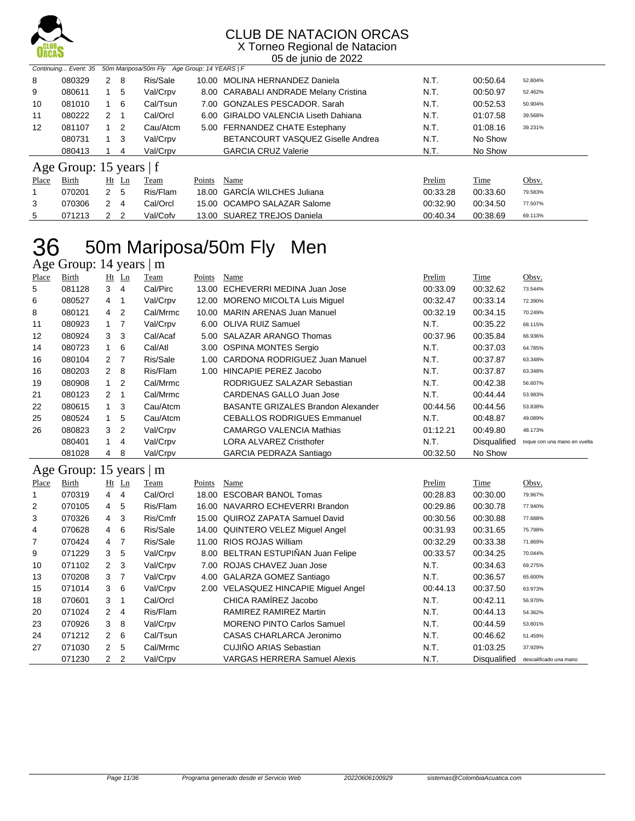

X Torneo Regional de Natacion 05 de junio de 2022

|       | 50m Mariposa/50m Fly Age Group: 14 YEARS   F<br>Continuing Event: 35 |              |                |          |        |                                       |          |          |         |  |  |
|-------|----------------------------------------------------------------------|--------------|----------------|----------|--------|---------------------------------------|----------|----------|---------|--|--|
| 8     | 080329                                                               |              | $2 \quad 8$    | Ris/Sale |        | 10.00 MOLINA HERNANDEZ Daniela        | N.T.     | 00:50.64 | 52.804% |  |  |
| 9     | 080611                                                               |              | $1\quad 5$     | Val/Crpv |        | 8.00 CARABALI ANDRADE Melany Cristina | N.T.     | 00:50.97 | 52.462% |  |  |
| 10    | 081010                                                               |              | - 6            | Cal/Tsun |        | 7.00 GONZALES PESCADOR, Sarah         | N.T.     | 00:52.53 | 50.904% |  |  |
| 11    | 080222                                                               | $\mathbf{2}$ | - 1            | Cal/Orcl |        | 6.00 GIRALDO VALENCIA Liseth Dahiana  | N.T.     | 01:07.58 | 39.568% |  |  |
| 12    | 081107                                                               |              | -2             | Cau/Atcm |        | 5.00 FERNANDEZ CHATE Estephany        | N.T.     | 01:08.16 | 39.231% |  |  |
|       | 080731                                                               |              | $1 \quad 3$    | Val/Crpv |        | BETANCOURT VASQUEZ Giselle Andrea     | N.T.     | No Show  |         |  |  |
|       | 080413                                                               |              | 4              | Val/Crpv |        | <b>GARCIA CRUZ Valerie</b>            | N.T.     | No Show  |         |  |  |
|       | Age Group: 15 years   f                                              |              |                |          |        |                                       |          |          |         |  |  |
| Place | Birth                                                                |              | Ht Ln          | Team     | Points | Name                                  | Prelim   | Time     | Obsv.   |  |  |
| 1     | 070201                                                               |              | 2 <sub>5</sub> | Ris/Flam |        | 18.00 GARCÍA WILCHES Juliana          | 00:33.28 | 00:33.60 | 79.583% |  |  |
| 3     | 070306                                                               | 2            | $\overline{4}$ | Cal/Orcl |        | 15.00 OCAMPO SALAZAR Salome           | 00:32.90 | 00:34.50 | 77.507% |  |  |
| 5     | 071213                                                               | $\mathbf{2}$ | $\overline{2}$ | Val/Cofv |        | 13.00 SUAREZ TREJOS Daniela           | 00:40.34 | 00:38.69 | 69.113% |  |  |

## 36 50m Mariposa/50m Fly Men

Age Group: 14 years | m

| <b>Place</b> | <b>Birth</b>            | Ht             | $\mathbf{L}$ n | <b>Team</b> | <u>Points</u> | <b>Name</b>                               | <b>Prelim</b> | <b>Time</b>  | Obsv.                        |
|--------------|-------------------------|----------------|----------------|-------------|---------------|-------------------------------------------|---------------|--------------|------------------------------|
| 5            | 081128                  | $3 \quad 4$    |                | Cal/Pirc    | 13.00         | ECHEVERRI MEDINA Juan Jose                | 00:33.09      | 00:32.62     | 73.544%                      |
| 6            | 080527                  | 4              | -1             | Val/Crpv    |               | 12.00 MORENO MICOLTA Luis Miguel          | 00:32.47      | 00:33.14     | 72.390%                      |
| 8            | 080121                  | 4              | 2              | Cal/Mrmc    | 10.00         | MARIN ARENAS Juan Manuel                  | 00:32.19      | 00:34.15     | 70.249%                      |
| 11           | 080923                  | $\mathbf{1}$   | -7             | Val/Crpv    |               | 6.00 OLIVA RUIZ Samuel                    | N.T.          | 00:35.22     | 68.115%                      |
| 12           | 080924                  | 3 <sub>3</sub> |                | Cal/Acaf    |               | 5.00 SALAZAR ARANGO Thomas                | 00:37.96      | 00:35.84     | 66.936%                      |
| 14           | 080723                  |                | 6              | Cal/Atl     |               | 3.00 OSPINA MONTES Sergio                 | N.T.          | 00:37.03     | 64.785%                      |
| 16           | 080104                  | 2 <sub>7</sub> |                | Ris/Sale    |               | 1.00 CARDONA RODRIGUEZ Juan Manuel        | N.T.          | 00:37.87     | 63.348%                      |
| 16           | 080203                  | $\overline{2}$ | 8              | Ris/Flam    | 1.00          | HINCAPIE PEREZ Jacobo                     | N.T.          | 00:37.87     | 63.348%                      |
| 19           | 080908                  | 1              | $\overline{2}$ | Cal/Mrmc    |               | RODRIGUEZ SALAZAR Sebastian               | N.T.          | 00:42.38     | 56.607%                      |
| 21           | 080123                  | 2              | -1             | Cal/Mrmc    |               | <b>CARDENAS GALLO Juan Jose</b>           | N.T.          | 00:44.44     | 53.983%                      |
| 22           | 080615                  | $\mathbf{1}$   | 3              | Cau/Atcm    |               | <b>BASANTE GRIZALES Brandon Alexander</b> | 00:44.56      | 00:44.56     | 53.838%                      |
| 25           | 080524                  | 1              | 5              | Cau/Atcm    |               | <b>CEBALLOS RODRIGUES Emmanuel</b>        | N.T.          | 00:48.87     | 49.089%                      |
| 26           | 080823                  | 3              | 2              | Val/Crpv    |               | <b>CAMARGO VALENCIA Mathias</b>           | 01:12.21      | 00:49.80     | 48.173%                      |
|              | 080401                  | 1              | 4              | Val/Crpv    |               | LORA ALVAREZ Cristhofer                   | N.T.          | Disqualified | toque con una mano en vuelta |
|              | 081028                  | 4              | 8              | Val/Crpv    |               | <b>GARCIA PEDRAZA Santiago</b>            | 00:32.50      | No Show      |                              |
|              | Age Group: 15 years   m |                |                |             |               |                                           |               |              |                              |
| Place        | Birth                   |                | $Ht$ Ln        | Team        | Points        | Name                                      | Prelim        | Time         | Obsv.                        |
| 1            | 070319                  | 4              | 4              | Cal/Orcl    | 18.00         | <b>ESCOBAR BANOL Tomas</b>                | 00:28.83      | 00:30.00     | 79.967%                      |
| 2            | 070105                  | 4              | 5              | Ris/Flam    |               | 16.00 NAVARRO ECHEVERRI Brandon           | 00:29.86      | 00:30.78     | 77.940%                      |

|    | 070319 | 4              | 4              | Cal/Orcl | 18.00 ESCOBAR BANOL Tomas            | 00:28.83 | 00:30.00            | 79.967%                |
|----|--------|----------------|----------------|----------|--------------------------------------|----------|---------------------|------------------------|
| 2  | 070105 | 4              | 5              | Ris/Flam | 16.00 NAVARRO ECHEVERRI Brandon      | 00:29.86 | 00:30.78            | 77.940%                |
| 3  | 070326 | 4              | -3             | Ris/Cmfr | 15.00 QUIROZ ZAPATA Samuel David     | 00:30.56 | 00:30.88            | 77.688%                |
| 4  | 070628 | 4              | - 6            | Ris/Sale | 14.00 QUINTERO VELEZ Miquel Angel    | 00:31.93 | 00:31.65            | 75.798%                |
| 7  | 070424 | 4              | $\overline{7}$ | Ris/Sale | 11.00 RIOS ROJAS William             | 00:32.29 | 00:33.38            | 71.869%                |
| 9  | 071229 | 3              | 5              | Val/Crpv | 8.00 BELTRAN ESTUPIÑAN Juan Felipe   | 00:33.57 | 00:34.25            | 70.044%                |
| 10 | 071102 | $2 \quad 3$    |                | Val/Crpv | 7.00 ROJAS CHAVEZ Juan Jose          | N.T.     | 00:34.63            | 69.275%                |
| 13 | 070208 | 3 <sub>7</sub> |                | Val/Crpv | 4.00 GALARZA GOMEZ Santiago          | N.T.     | 00:36.57            | 65.600%                |
| 15 | 071014 | $3\quad 6$     |                | Val/Crpv | 2.00 VELASQUEZ HINCAPIE Miquel Angel | 00:44.13 | 00:37.50            | 63.973%                |
| 18 | 070601 | 3              |                | Cal/Orcl | CHICA RAMIREZ Jacobo                 | N.T.     | 00:42.11            | 56.970%                |
| 20 | 071024 | $2 \quad 4$    |                | Ris/Flam | RAMIREZ RAMIREZ Martin               | N.T.     | 00:44.13            | 54.362%                |
| 23 | 070926 | 3              | - 8            | Val/Crpv | <b>MORENO PINTO Carlos Samuel</b>    | N.T.     | 00:44.59            | 53.801%                |
| 24 | 071212 | $2 \quad 6$    |                | Cal/Tsun | CASAS CHARLARCA Jeronimo             | N.T.     | 00:46.62            | 51.459%                |
| 27 | 071030 | 2 <sub>5</sub> |                | Cal/Mrmc | <b>CUJIÑO ARIAS Sebastian</b>        | N.T.     | 01:03.25            | 37.929%                |
|    | 071230 | $\mathbf{2}$   | $\overline{2}$ | Val/Crpv | <b>VARGAS HERRERA Samuel Alexis</b>  | N.T.     | <b>Disqualified</b> | descalificado una mano |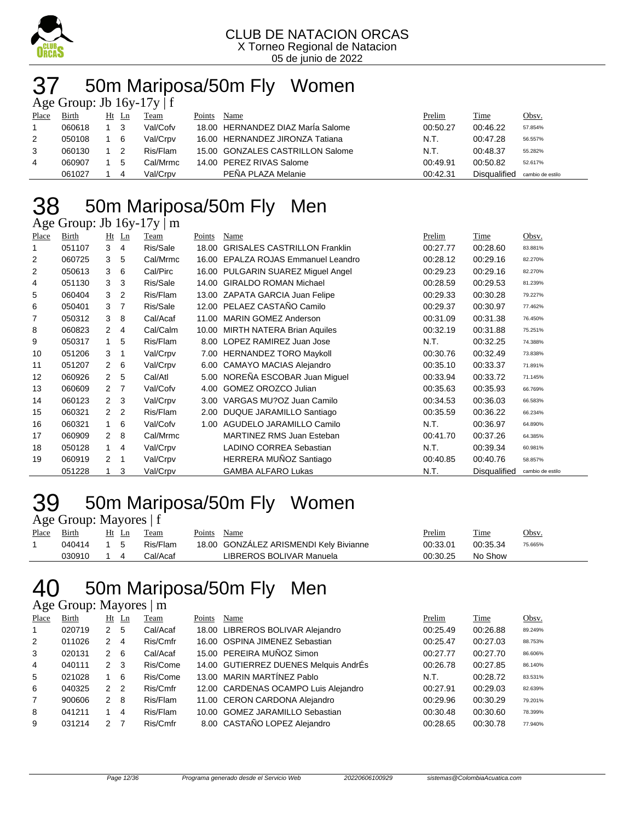

## 50m Mariposa/50m Fly Women

| Age Group: Jb $16y-17y \mid f$ |        |  |       |          |        |                                   |          |              |                  |  |  |
|--------------------------------|--------|--|-------|----------|--------|-----------------------------------|----------|--------------|------------------|--|--|
| Place                          | Birth  |  | Ht Ln | Team     | Points | Name                              | Prelim   | Time         | Obsv.            |  |  |
|                                | 060618 |  | - 3   | Val/Cofv |        | 18.00 HERNANDEZ DIAZ Maria Salome | 00:50.27 | 00:46.22     | 57.854%          |  |  |
| 2                              | 050108 |  | - 6   | Val/Crpv |        | 16.00 HERNANDEZ JIRONZA Tatiana   | N.T.     | 00:47.28     | 56.557%          |  |  |
| 3                              | 060130 |  |       | Ris/Flam |        | 15.00 GONZALES CASTRILLON Salome  | N.T.     | 00:48.37     | 55.282%          |  |  |
| 4                              | 060907 |  | 5     | Cal/Mrmc |        | 14.00 PEREZ RIVAS Salome          | 00:49.91 | 00:50.82     | 52.617%          |  |  |
|                                | 061027 |  | 4     | Val/Crpv |        | PEÑA PLAZA Melanie                | 00:42.31 | Disqualified | cambio de estilo |  |  |

# 50m Mariposa/50m Fly Men

| Age Group: Jb 16y-17y   m |  |  |
|---------------------------|--|--|
|                           |  |  |

| Place          | <b>Birth</b> |                      | Ht Ln          | Team     | Points | Name                                | Prelim   | Time                | Obsv.            |
|----------------|--------------|----------------------|----------------|----------|--------|-------------------------------------|----------|---------------------|------------------|
| 1              | 051107       | 3                    | 4              | Ris/Sale | 18.00  | <b>GRISALES CASTRILLON Franklin</b> | 00:27.77 | 00:28.60            | 83.881%          |
| 2              | 060725       | 3                    | 5              | Cal/Mrmc | 16.00  | EPALZA ROJAS Emmanuel Leandro       | 00:28.12 | 00:29.16            | 82.270%          |
| $\overline{2}$ | 050613       | 3                    | 6              | Cal/Pirc | 16.00  | PULGARIN SUAREZ Miguel Angel        | 00:29.23 | 00:29.16            | 82.270%          |
| 4              | 051130       | 3                    | 3              | Ris/Sale | 14.00  | <b>GIRALDO ROMAN Michael</b>        | 00:28.59 | 00:29.53            | 81.239%          |
| 5              | 060404       | 3                    | 2              | Ris/Flam |        | 13.00 ZAPATA GARCIA Juan Felipe     | 00:29.33 | 00:30.28            | 79.227%          |
| 6              | 050401       | 3                    | 7              | Ris/Sale |        | 12.00 PELAEZ CASTAÑO Camilo         | 00:29.37 | 00:30.97            | 77.462%          |
| 7              | 050312       | 3                    | 8              | Cal/Acaf | 11.00  | <b>MARIN GOMEZ Anderson</b>         | 00:31.09 | 00:31.38            | 76.450%          |
| 8              | 060823       | 2                    | 4              | Cal/Calm | 10.00  | <b>MIRTH NATERA Brian Aquiles</b>   | 00:32.19 | 00:31.88            | 75.251%          |
| 9              | 050317       |                      | 5              | Ris/Flam | 8.00   | LOPEZ RAMIREZ Juan Jose             | N.T.     | 00:32.25            | 74.388%          |
| 10             | 051206       | 3                    | -1             | Val/Crpv | 7.00   | <b>HERNANDEZ TORO Maykoll</b>       | 00:30.76 | 00:32.49            | 73.838%          |
| 11             | 051207       | $\mathbf{2}^{\circ}$ | 6              | Val/Crpv | 6.00   | <b>CAMAYO MACIAS Alejandro</b>      | 00:35.10 | 00:33.37            | 71.891%          |
| 12             | 060926       | $\mathbf{2}$         | 5              | Cal/Atl  | 5.00   | NOREÑA ESCOBAR Juan Miquel          | 00:33.94 | 00:33.72            | 71.145%          |
| 13             | 060609       | 2                    | $\overline{7}$ | Val/Cofv | 4.00   | <b>GOMEZ OROZCO Julian</b>          | 00:35.63 | 00:35.93            | 66.769%          |
| 14             | 060123       | $\mathbf{2}$         | -3             | Val/Crpv | 3.00   | VARGAS MU?OZ Juan Camilo            | 00:34.53 | 00:36.03            | 66.583%          |
| 15             | 060321       | 2                    | $\overline{2}$ | Ris/Flam | 2.00   | DUQUE JARAMILLO Santiago            | 00:35.59 | 00:36.22            | 66.234%          |
| 16             | 060321       |                      | 6              | Val/Cofv | 1.00   | AGUDELO JARAMILLO Camilo            | N.T.     | 00:36.97            | 64.890%          |
| 17             | 060909       | $\mathbf{2}^{\circ}$ | 8              | Cal/Mrmc |        | <b>MARTINEZ RMS Juan Esteban</b>    | 00:41.70 | 00:37.26            | 64.385%          |
| 18             | 050128       | $\mathbf{1}$         | 4              | Val/Crpv |        | <b>LADINO CORREA Sebastian</b>      | N.T.     | 00:39.34            | 60.981%          |
| 19             | 060919       | 2                    | $\mathbf 1$    | Val/Crpv |        | HERRERA MUÑOZ Santiago              | 00:40.85 | 00:40.76            | 58.857%          |
|                | 051228       |                      | 3              | Val/Crpv |        | <b>GAMBA ALFARO Lukas</b>           | N.T.     | <b>Disqualified</b> | cambio de estilo |

#### 50m Mariposa/50m Fly Women Age Group: Mayores | f

|       | $1.50$ eroup. $1.44$ or $1.1$ |       |          |                                        |          |          |         |  |  |  |  |  |
|-------|-------------------------------|-------|----------|----------------------------------------|----------|----------|---------|--|--|--|--|--|
| Place | <b>Birth</b>                  | Ht Ln | Team     | Points Name                            | Prelim   | Time     | Obsv.   |  |  |  |  |  |
|       | 040414 1 5                    |       | Ris/Flam | 18.00 GONZALEZ ARISMENDI Kely Bivianne | 00:33.01 | 00:35.34 | 75.665% |  |  |  |  |  |
|       | 030910                        | 14    | Cal/Acaf | LIBREROS BOLIVAR Manuela               | 00:30.25 | No Show  |         |  |  |  |  |  |

## 50m Mariposa/50m Fly Men

#### Age Group: Mayores | m

| Place          | Birth  |               | $Ht$ Ln       | Team     | Points | Name                                  | Prelim   | <b>Time</b> | Obsv.   |
|----------------|--------|---------------|---------------|----------|--------|---------------------------------------|----------|-------------|---------|
| -1             | 020719 | 2             | 5             | Cal/Acaf |        | 18.00 LIBREROS BOLIVAR Alejandro      | 00:25.49 | 00:26.88    | 89.249% |
| 2              | 011026 | $\mathcal{P}$ | 4             | Ris/Cmfr |        | 16.00 OSPINA JIMENEZ Sebastian        | 00:25.47 | 00:27.03    | 88.753% |
| 3              | 020131 | $\mathcal{P}$ | -6            | Cal/Acaf |        | 15.00 PEREIRA MUÑOZ Simon             | 00:27.77 | 00:27.70    | 86.606% |
| $\overline{4}$ | 040111 | $\mathbf{2}$  | 3             | Ris/Come |        | 14.00 GUTIERREZ DUENES Melquis AndrÉs | 00:26.78 | 00:27.85    | 86.140% |
| 5              | 021028 |               | -6            | Ris/Come |        | 13.00 MARIN MARTÍNEZ Pablo            | N.T.     | 00:28.72    | 83.531% |
| 6              | 040325 | $\mathcal{P}$ | $\mathcal{P}$ | Ris/Cmfr |        | 12.00 CARDENAS OCAMPO Luis Alejandro  | 00:27.91 | 00:29.03    | 82.639% |
| $\overline{7}$ | 900606 | $\mathcal{P}$ | -8            | Ris/Flam |        | 11.00 CERON CARDONA Alejandro         | 00:29.96 | 00:30.29    | 79.201% |
| 8              | 041211 |               | 4             | Ris/Flam |        | 10.00 GOMEZ JARAMILLO Sebastian       | 00:30.48 | 00:30.60    | 78.399% |
| 9              | 031214 | $\mathcal{P}$ |               | Ris/Cmfr |        | 8.00 CASTAÑO LOPEZ Alejandro          | 00:28.65 | 00:30.78    | 77.940% |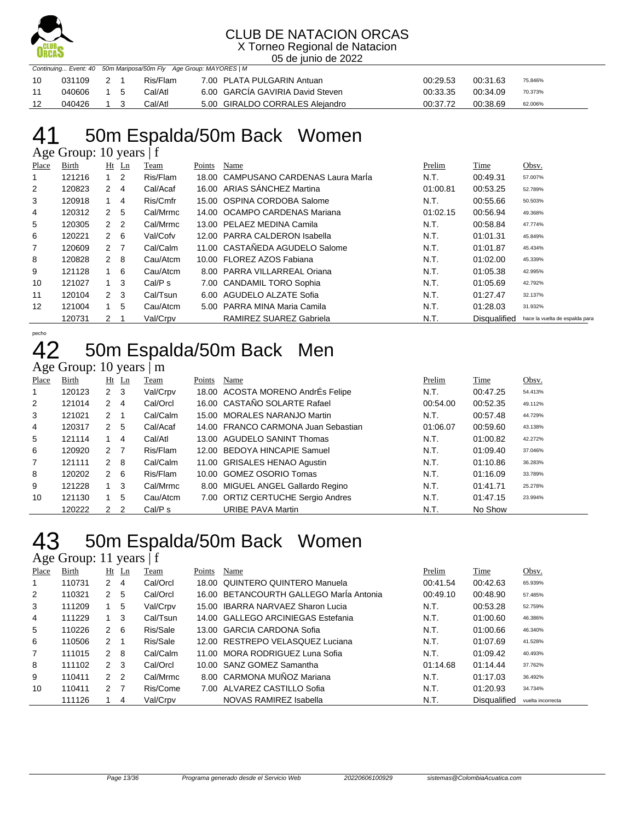

X Torneo Regional de Natacion 05 de junio de 2022

| Continuing Event: 40 50m Mariposa/50m Fly Age Group: MAYORES   M |        |           |  |          |                                  |          |          |         |  |  |  |
|------------------------------------------------------------------|--------|-----------|--|----------|----------------------------------|----------|----------|---------|--|--|--|
| 10                                                               | 031109 | 2 1       |  | Ris/Flam | 7.00 PLATA PULGARIN Antuan       | 00:29.53 | 00:31.63 | 75.846% |  |  |  |
| -11                                                              | 040606 | $1\quad5$ |  | Cal/Atl  | 6.00 GARCIA GAVIRIA David Steven | 00:33.35 | 00:34.09 | 70.373% |  |  |  |
| -12                                                              | 040426 |           |  | Cal/Atl  | 5.00 GIRALDO CORRALES Alejandro  | 00:37.72 | 00:38.69 | 62.006% |  |  |  |

## 41 50m Espalda/50m Back Women

Age Group: 10 years | f

| Place | Birth  |                | $Ht$ Ln | Team     | Points | Name                                 | Prelim   | Time                | Obsv.                          |
|-------|--------|----------------|---------|----------|--------|--------------------------------------|----------|---------------------|--------------------------------|
|       | 121216 |                | 2       | Ris/Flam |        | 18.00 CAMPUSANO CARDENAS Laura Marla | N.T.     | 00:49.31            | 57.007%                        |
| 2     | 120823 | $\mathbf{2}$   | 4       | Cal/Acaf |        | 16.00 ARIAS SANCHEZ Martina          | 01:00.81 | 00:53.25            | 52.789%                        |
| 3     | 120918 |                | 4       | Ris/Cmfr |        | 15.00 OSPINA CORDOBA Salome          | N.T.     | 00:55.66            | 50.503%                        |
| 4     | 120312 | 2              | 5       | Cal/Mrmc |        | 14.00 OCAMPO CARDENAS Mariana        | 01:02.15 | 00:56.94            | 49.368%                        |
| 5     | 120305 | 2 <sub>2</sub> |         | Cal/Mrmc |        | 13.00 PELAEZ MEDINA Camila           | N.T.     | 00:58.84            | 47.774%                        |
| 6     | 120221 | 2              | - 6     | Val/Cofv |        | 12.00 PARRA CALDERON Isabella        | N.T.     | 01:01.31            | 45.849%                        |
| 7     | 120609 | 2              | - 7     | Cal/Calm |        | 11.00 CASTAÑEDA AGUDELO Salome       | N.T.     | 01:01.87            | 45.434%                        |
| 8     | 120828 | $2 \quad 8$    |         | Cau/Atcm |        | 10.00 FLOREZ AZOS Fabiana            | N.T.     | 01:02.00            | 45.339%                        |
| 9     | 121128 |                | -6      | Cau/Atcm |        | 8.00 PARRA VILLARREAL Oriana         | N.T.     | 01:05.38            | 42.995%                        |
| 10    | 121027 |                | -3      | Cal/P s  |        | 7.00 CANDAMIL TORO Sophia            | N.T.     | 01:05.69            | 42.792%                        |
| 11    | 120104 | 2 <sub>3</sub> |         | Cal/Tsun |        | 6.00 AGUDELO ALZATE Sofia            | N.T.     | 01:27.47            | 32.137%                        |
| 12    | 121004 |                | 5       | Cau/Atcm |        | 5.00 PARRA MINA Maria Camila         | N.T.     | 01:28.03            | 31.932%                        |
|       | 120731 | 2              |         | Val/Crpv |        | RAMIREZ SUAREZ Gabriela              | N.T.     | <b>Disqualified</b> | hace la vuelta de espalda para |

#### pecho 50m Espalda/50m Back Men

#### Age Group: 10 years | m

| Place | Birth  |                | $Ht$ Ln        | Team     | Points | Name                                | Prelim   | Time     | Obsv.   |
|-------|--------|----------------|----------------|----------|--------|-------------------------------------|----------|----------|---------|
| 1     | 120123 | 2 <sub>3</sub> |                | Val/Crpv |        | 18.00 ACOSTA MORENO AndrEs Felipe   | N.T.     | 00:47.25 | 54.413% |
| 2     | 121014 | $\mathbf{2}$   | -4             | Cal/Orcl |        | 16.00 CASTAÑO SOLARTE Rafael        | 00:54.00 | 00:52.35 | 49.112% |
| 3     | 121021 | 2              |                | Cal/Calm |        | 15.00 MORALES NARANJO Martin        | N.T.     | 00:57.48 | 44.729% |
| 4     | 120317 | 2 5            |                | Cal/Acaf |        | 14.00 FRANCO CARMONA Juan Sebastian | 01:06.07 | 00:59.60 | 43.138% |
| 5     | 121114 | 1.             | 4              | Cal/Atl  |        | 13.00 AGUDELO SANINT Thomas         | N.T.     | 01:00.82 | 42.272% |
| 6     | 120920 | 2 <sub>7</sub> |                | Ris/Flam |        | 12.00 BEDOYA HINCAPIE Samuel        | N.T.     | 01:09.40 | 37.046% |
| 7     | 121111 | $2 \quad 8$    |                | Cal/Calm |        | 11.00 GRISALES HENAO Agustin        | N.T.     | 01:10.86 | 36.283% |
| 8     | 120202 | $2 \quad 6$    |                | Ris/Flam |        | 10.00 GOMEZ OSORIO Tomas            | N.T.     | 01:16.09 | 33.789% |
| 9     | 121228 | $1 \quad 3$    |                | Cal/Mrmc |        | 8.00 MIGUEL ANGEL Gallardo Regino   | N.T.     | 01:41.71 | 25.278% |
| 10    | 121130 |                | 5              | Cau/Atcm |        | 7.00 ORTIZ CERTUCHE Sergio Andres   | N.T.     | 01:47.15 | 23.994% |
|       | 120222 | 2              | $\overline{2}$ | Cal/P s  |        | <b>URIBE PAVA Martin</b>            | N.T.     | No Show  |         |

### 43 50m Espalda/50m Back Women

Age Group: 11 years | f

| Place | Birth  |                      | $Ht$ Ln        | Team     | Points | Name                                    | Prelim   | Time                | Obsv.             |
|-------|--------|----------------------|----------------|----------|--------|-----------------------------------------|----------|---------------------|-------------------|
|       | 110731 | $\mathbf{2}^{\circ}$ | 4              | Cal/Orcl |        | 18.00 QUINTERO QUINTERO Manuela         | 00:41.54 | 00:42.63            | 65.939%           |
| 2     | 110321 | 2                    | 5              | Cal/Orcl |        | 16.00 BETANCOURTH GALLEGO Marla Antonia | 00:49.10 | 00:48.90            | 57.485%           |
| 3     | 111209 |                      | 5              | Val/Crpv |        | 15.00 IBARRA NARVAEZ Sharon Lucia       | N.T.     | 00:53.28            | 52.759%           |
| 4     | 111229 |                      | 3              | Cal/Tsun |        | 14.00 GALLEGO ARCINIEGAS Estefania      | N.T.     | 01:00.60            | 46.386%           |
| 5     | 110226 | 2                    | - 6            | Ris/Sale |        | 13.00 GARCIA CARDONA Sofia              | N.T.     | 01:00.66            | 46.340%           |
| 6     | 110506 | 2                    | - 1            | Ris/Sale |        | 12.00 RESTREPO VELASQUEZ Luciana        | N.T.     | 01:07.69            | 41.528%           |
| 7     | 111015 | 2 8                  |                | Cal/Calm |        | 11.00 MORA RODRIGUEZ Luna Sofia         | N.T.     | 01:09.42            | 40.493%           |
| 8     | 111102 | $\mathcal{P}$        | - 3            | Cal/Orcl |        | 10.00 SANZ GOMEZ Samantha               | 01:14.68 | 01:14.44            | 37.762%           |
| 9     | 110411 | $\mathcal{P}$        | $\overline{2}$ | Cal/Mrmc |        | 8.00 CARMONA MUÑOZ Mariana              | N.T.     | 01:17.03            | 36.492%           |
| 10    | 110411 | $\mathcal{P}$        | $\overline{7}$ | Ris/Come |        | 7.00 ALVAREZ CASTILLO Sofia             | N.T.     | 01:20.93            | 34.734%           |
|       | 111126 |                      | 4              | Val/Crpv |        | NOVAS RAMIREZ Isabella                  | N.T.     | <b>Disqualified</b> | vuelta incorrecta |
|       |        |                      |                |          |        |                                         |          |                     |                   |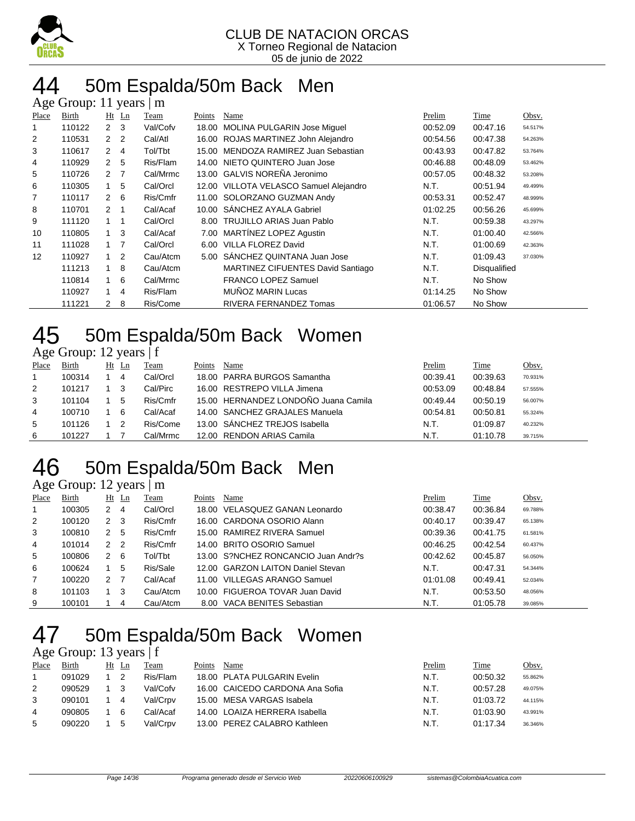

### 44 50m Espalda/50m Back Men

| Age Group: 11<br>years<br>m |        |                |                |          |        |                                          |          |              |         |  |  |  |  |
|-----------------------------|--------|----------------|----------------|----------|--------|------------------------------------------|----------|--------------|---------|--|--|--|--|
| Place                       | Birth  | Ht             | $\mathbf{L}$ n | Team     | Points | Name                                     | Prelim   | Time         | Obsv.   |  |  |  |  |
|                             | 110122 | $\mathbf{2}$   | 3              | Val/Cofv | 18.00  | <b>MOLINA PULGARIN Jose Miquel</b>       | 00:52.09 | 00:47.16     | 54.517% |  |  |  |  |
| 2                           | 110531 | 2              | $\overline{2}$ | Cal/Atl  | 16.00  | ROJAS MARTINEZ John Alejandro            | 00:54.56 | 00:47.38     | 54.263% |  |  |  |  |
| 3                           | 110617 | $\mathbf{2}$   | 4              | Tol/Tbt  | 15.00  | MENDOZA RAMIREZ Juan Sebastian           | 00:43.93 | 00:47.82     | 53.764% |  |  |  |  |
| 4                           | 110929 | $\mathcal{P}$  | 5              | Ris/Flam | 14.00  | NIETO QUINTERO Juan Jose                 | 00:46.88 | 00:48.09     | 53.462% |  |  |  |  |
| 5                           | 110726 | 2 <sub>7</sub> |                | Cal/Mrmc | 13.00  | <b>GALVIS NOREÑA Jeronimo</b>            | 00:57.05 | 00:48.32     | 53.208% |  |  |  |  |
| 6                           | 110305 | 1              | 5              | Cal/Orcl | 12.00  | VILLOTA VELASCO Samuel Alejandro         | N.T.     | 00:51.94     | 49.499% |  |  |  |  |
| 7                           | 110117 | $2\quad 6$     |                | Ris/Cmfr | 11.00  | SOLORZANO GUZMAN Andy                    | 00:53.31 | 00:52.47     | 48.999% |  |  |  |  |
| 8                           | 110701 | 2 <sub>1</sub> |                | Cal/Acaf | 10.00  | SÁNCHEZ AYALA Gabriel                    | 01:02.25 | 00:56.26     | 45.699% |  |  |  |  |
| 9                           | 111120 | $1 \quad 1$    |                | Cal/Orcl | 8.00   | <b>TRUJILLO ARIAS Juan Pablo</b>         | N.T.     | 00:59.38     | 43.297% |  |  |  |  |
| 10                          | 110805 | 1              | 3              | Cal/Acaf | 7.00   | <b>MARTINEZ LOPEZ Agustin</b>            | N.T.     | 01:00.40     | 42.566% |  |  |  |  |
| 11                          | 111028 | $1 \quad 7$    |                | Cal/Orcl | 6.00   | <b>VILLA FLOREZ David</b>                | N.T.     | 01:00.69     | 42.363% |  |  |  |  |
| 12                          | 110927 | 1              | 2              | Cau/Atcm | 5.00   | SÁNCHEZ QUINTANA Juan Jose               | N.T.     | 01:09.43     | 37.030% |  |  |  |  |
|                             | 111213 | $\mathbf{1}$   | 8              | Cau/Atcm |        | <b>MARTINEZ CIFUENTES David Santiago</b> | N.T.     | Disqualified |         |  |  |  |  |
|                             | 110814 | 1              | 6              | Cal/Mrmc |        | <b>FRANCO LOPEZ Samuel</b>               | N.T.     | No Show      |         |  |  |  |  |
|                             | 110927 | 1              | 4              | Ris/Flam |        | <b>MUNOZ MARIN Lucas</b>                 | 01:14.25 | No Show      |         |  |  |  |  |
|                             | 111221 | $\mathbf{2}$   | 8              | Ris/Come |        | RIVERA FERNANDEZ Tomas                   | 01:06.57 | No Show      |         |  |  |  |  |

### 45 50m Espalda/50m Back Women

#### Age Group: 12 years | f

| Place | Birth  | Ht | Ln | Team     | Points | Name                                 | Prelim   | Time     | Obsv.   |
|-------|--------|----|----|----------|--------|--------------------------------------|----------|----------|---------|
|       | 100314 |    | 4  | Cal/Orcl |        | 18.00 PARRA BURGOS Samantha          | 00:39.41 | 00:39.63 | 70.931% |
| 2     | 101217 |    |    | Cal/Pirc |        | 16.00 RESTREPO VILLA Jimena          | 00:53.09 | 00:48.84 | 57.555% |
| 3     | 101104 |    | 5  | Ris/Cmfr |        | 15.00 HERNANDEZ LONDOÑO Juana Camila | 00:49.44 | 00:50.19 | 56.007% |
| 4     | 100710 |    | 6  | Cal/Acaf |        | 14.00 SANCHEZ GRAJALES Manuela       | 00:54.81 | 00:50.81 | 55.324% |
| 5     | 101126 |    |    | Ris/Come |        | 13.00 SANCHEZ TREJOS Isabella        | N.T.     | 01:09.87 | 40.232% |
| 6     | 101227 |    |    | Cal/Mrmc |        | 12.00 RENDON ARIAS Camila            | N.T.     | 01:10.78 | 39.715% |

### 50m Espalda/50m Back Men

#### Age Group: 12 years | m

| Place | <b>Birth</b> | Ht            | Ln | Team     | Points | Name                                | Prelim   | <b>Time</b> | Obsv.   |
|-------|--------------|---------------|----|----------|--------|-------------------------------------|----------|-------------|---------|
|       |              |               |    |          |        |                                     |          |             |         |
|       | 100305       | 2             | 4  | Cal/Orcl |        | 18.00 VELASQUEZ GANAN Leonardo      | 00:38.47 | 00:36.84    | 69.788% |
| 2     | 100120       | 2             | 3  | Ris/Cmfr |        | 16.00 CARDONA OSORIO Alann          | 00:40.17 | 00:39.47    | 65.138% |
| 3     | 100810       | 2             | 5  | Ris/Cmfr |        | 15.00 RAMIREZ RIVERA Samuel         | 00:39.36 | 00:41.75    | 61.581% |
| 4     | 101014       | $\mathcal{P}$ | -2 | Ris/Cmfr |        | 14.00 BRITO OSORIO Samuel           | 00:46.25 | 00:42.54    | 60.437% |
| 5     | 100806       | 2             | -6 | Tol/Tbt  |        | 13.00 S?NCHEZ RONCANCIO Juan Andr?s | 00:42.62 | 00:45.87    | 56.050% |
| 6     | 100624       |               | 5  | Ris/Sale |        | 12.00 GARZON LAITON Daniel Stevan   | N.T.     | 00:47.31    | 54.344% |
| 7     | 100220       | 2             |    | Cal/Acaf |        | 11.00 VILLEGAS ARANGO Samuel        | 01:01.08 | 00:49.41    | 52.034% |
| 8     | 101103       |               | 3  | Cau/Atcm |        | 10.00 FIGUEROA TOVAR Juan David     | N.T.     | 00:53.50    | 48.056% |
| 9     | 100101       |               | 4  | Cau/Atcm | 8.00   | VACA BENITES Sebastian              | N.T.     | 01:05.78    | 39.085% |

### 50m Espalda/50m Back Women

#### Age Group: 13 years | f

| Place | <b>Birth</b> | Ht Ln |   | Team     | Points | Name                            | Prelim | Time     | Obsv.   |
|-------|--------------|-------|---|----------|--------|---------------------------------|--------|----------|---------|
|       | 091029       |       |   | Ris/Flam |        | 18.00 PLATA PULGARIN Evelin     | N.T.   | 00:50.32 | 55.862% |
| 2     | 090529       |       |   | Val/Cofv |        | 16.00 CAICEDO CARDONA Ana Sofia | N.T.   | 00:57.28 | 49.075% |
| 3     | 090101       |       | 4 | Val/Crpv |        | 15.00 MESA VARGAS Isabela       | N.T.   | 01:03.72 | 44.115% |
| 4     | 090805       |       | 6 | Cal/Acaf |        | 14.00 LOAIZA HERRERA Isabella   | N.T.   | 01:03.90 | 43.991% |
| 5     | 090220       |       | G | Val/Crpv |        | 13.00 PEREZ CALABRO Kathleen    | N.T.   | 01:17.34 | 36.346% |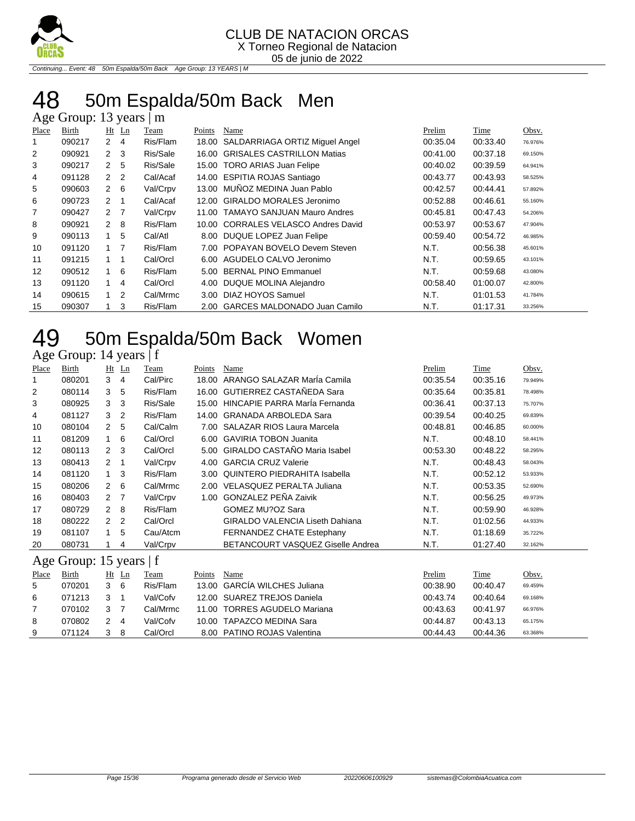

Continuing... Event: 48 50m Espalda/50m Back Age Group: 13 YEARS | M

### 48 50m Espalda/50m Back Men

| Age Group: 13 years  <br>m |              |                |                |          |        |                                     |          |             |         |  |  |  |  |
|----------------------------|--------------|----------------|----------------|----------|--------|-------------------------------------|----------|-------------|---------|--|--|--|--|
| <b>Place</b>               | <b>Birth</b> | $Ht$ Ln        |                | Team     | Points | Name                                | Prelim   | <b>Time</b> | Obsv.   |  |  |  |  |
|                            | 090217       | $\overline{2}$ | 4              | Ris/Flam | 18.00  | SALDARRIAGA ORTIZ Miguel Angel      | 00:35.04 | 00:33.40    | 76.976% |  |  |  |  |
| 2                          | 090921       | $\mathbf{2}$   | -3             | Ris/Sale | 16.00  | <b>GRISALES CASTRILLON Matias</b>   | 00:41.00 | 00:37.18    | 69.150% |  |  |  |  |
| 3                          | 090217       | $\overline{2}$ | 5              | Ris/Sale |        | 15.00 TORO ARIAS Juan Felipe        | 00:40.02 | 00:39.59    | 64.941% |  |  |  |  |
| 4                          | 091128       | $\overline{2}$ | $\overline{2}$ | Cal/Acaf |        | 14.00 ESPITIA ROJAS Santiago        | 00:43.77 | 00:43.93    | 58.525% |  |  |  |  |
| 5                          | 090603       | $\overline{2}$ | 6              | Val/Crpv |        | 13.00 MUÑOZ MEDINA Juan Pablo       | 00:42.57 | 00:44.41    | 57.892% |  |  |  |  |
| 6                          | 090723       | $\overline{2}$ | 1              | Cal/Acaf | 12.00  | GIRALDO MORALES Jeronimo            | 00:52.88 | 00:46.61    | 55.160% |  |  |  |  |
| 7                          | 090427       | 2 <sub>7</sub> |                | Val/Crpv | 11.00  | <b>TAMAYO SANJUAN Mauro Andres</b>  | 00:45.81 | 00:47.43    | 54.206% |  |  |  |  |
| 8                          | 090921       | $\overline{2}$ | -8             | Ris/Flam |        | 10.00 CORRALES VELASCO Andres David | 00:53.97 | 00:53.67    | 47.904% |  |  |  |  |
| 9                          | 090113       | $\mathbf 1$    | 5              | Cal/Atl  | 8.00   | DUQUE LOPEZ Juan Felipe             | 00:59.40 | 00:54.72    | 46.985% |  |  |  |  |
| 10                         | 091120       | 1              | $\overline{7}$ | Ris/Flam | 7.00   | POPAYAN BOVELO Devem Steven         | N.T.     | 00:56.38    | 45.601% |  |  |  |  |
| 11                         | 091215       | $\overline{1}$ |                | Cal/Orcl | 6.00   | AGUDELO CALVO Jeronimo              | N.T.     | 00:59.65    | 43.101% |  |  |  |  |
| 12                         | 090512       |                | 6              | Ris/Flam | 5.00   | <b>BERNAL PINO Emmanuel</b>         | N.T.     | 00:59.68    | 43.080% |  |  |  |  |
| 13                         | 091120       | 1              | 4              | Cal/Orcl | 4.00   | DUQUE MOLINA Alejandro              | 00:58.40 | 01:00.07    | 42.800% |  |  |  |  |
| 14                         | 090615       | $\overline{1}$ | 2              | Cal/Mrmc | 3.00   | DIAZ HOYOS Samuel                   | N.T.     | 01:01.53    | 41.784% |  |  |  |  |
| 15                         | 090307       |                | 3              | Ris/Flam | 2.00   | <b>GARCES MALDONADO Juan Camilo</b> | N.T.     | 01:17.31    | 33.256% |  |  |  |  |

## 49 50m Espalda/50m Back Women

Age Group: 14 years | f

| Place | <b>Birth</b>            | Ht             | Ln             | Team     | Points            | Name                                     | Prelim   | Time     | Obsv.   |
|-------|-------------------------|----------------|----------------|----------|-------------------|------------------------------------------|----------|----------|---------|
| 1     | 080201                  | 3              | 4              | Cal/Pirc | 18.00             | ARANGO SALAZAR Marla Camila              | 00:35.54 | 00:35.16 | 79.949% |
| 2     | 080114                  | 3              | 5              | Ris/Flam | 16.00             | <b>GUTIERREZ CASTAÑEDA Sara</b>          | 00:35.64 | 00:35.81 | 78.498% |
| 3     | 080925                  | 3              | 3              | Ris/Sale | 15.00             | HINCAPIE PARRA María Fernanda            | 00:36.41 | 00:37.13 | 75.707% |
| 4     | 081127                  | 3              | 2              | Ris/Flam | 14.00             | <b>GRANADA ARBOLEDA Sara</b>             | 00:39.54 | 00:40.25 | 69.839% |
| 10    | 080104                  | $\overline{2}$ | 5              | Cal/Calm | 7.00              | <b>SALAZAR RIOS Laura Marcela</b>        | 00:48.81 | 00:46.85 | 60.000% |
| 11    | 081209                  |                | 6              | Cal/Orcl | 6.00              | <b>GAVIRIA TOBON Juanita</b>             | N.T.     | 00:48.10 | 58.441% |
| 12    | 080113                  | $\mathbf{2}$   | 3              | Cal/Orcl | 5.00              | GIRALDO CASTAÑO Maria Isabel             | 00:53.30 | 00:48.22 | 58.295% |
| 13    | 080413                  | 2              | -1             | Val/Crpv | 4.00              | <b>GARCIA CRUZ Valerie</b>               | N.T.     | 00:48.43 | 58.043% |
| 14    | 081120                  | $\mathbf{1}$   | 3              | Ris/Flam | 3.00 <sub>1</sub> | QUINTERO PIEDRAHITA Isabella             | N.T.     | 00:52.12 | 53.933% |
| 15    | 080206                  | $\overline{2}$ | 6              | Cal/Mrmc | 2.00              | VELASQUEZ PERALTA Juliana                | N.T.     | 00:53.35 | 52.690% |
| 16    | 080403                  | 2 <sub>7</sub> |                | Val/Crpv | 1.00              | <b>GONZALEZ PEÑA Zaivik</b>              | N.T.     | 00:56.25 | 49.973% |
| 17    | 080729                  | $2 \quad 8$    |                | Ris/Flam |                   | GOMEZ MU?OZ Sara                         | N.T.     | 00:59.90 | 46.928% |
| 18    | 080222                  | $\mathcal{P}$  | $\overline{2}$ | Cal/Orcl |                   | <b>GIRALDO VALENCIA Liseth Dahiana</b>   | N.T.     | 01:02.56 | 44.933% |
| 19    | 081107                  |                | 5              | Cau/Atcm |                   | FERNANDEZ CHATE Estephany                | N.T.     | 01:18.69 | 35.722% |
| 20    | 080731                  |                | 4              | Val/Crpv |                   | <b>BETANCOURT VASQUEZ Giselle Andrea</b> | N.T.     | 01:27.40 | 32.162% |
|       | Age Group: 15 years   f |                |                |          |                   |                                          |          |          |         |
| Place | Birth                   |                | $Ht$ Ln        | Team     | Points            | Name                                     | Prelim   | Time     | Obsv.   |
| 5     | 070201                  | 3              | 6              | Ris/Flam | 13.00             | <b>GARCÍA WILCHES Juliana</b>            | 00:38.90 | 00:40.47 | 69.459% |

|    | 070201     | 36  | Ris/Flam | 13.00 GARCIA WILCHES Juliana | 00:38.90 | 00:40.47 | 69.459% |
|----|------------|-----|----------|------------------------------|----------|----------|---------|
| -6 | 071213 3 1 |     | Val/Cofv | 12.00 SUAREZ TREJOS Daniela  | 00:43.74 | 00:40.64 | 69.168% |
|    | 070102     | 3 7 | Cal/Mrmc | 11.00 TORRES AGUDELO Mariana | 00:43.63 | 00:41.97 | 66.976% |
| -8 | 070802     | 24  | Val/Cofv | 10.00 TAPAZCO MEDINA Sara    | 00:44.87 | 00:43.13 | 65.175% |
| -9 | 071124     | 38  | Cal/Orcl | 8.00 PATINO ROJAS Valentina  | 00:44.43 | 00:44.36 | 63.368% |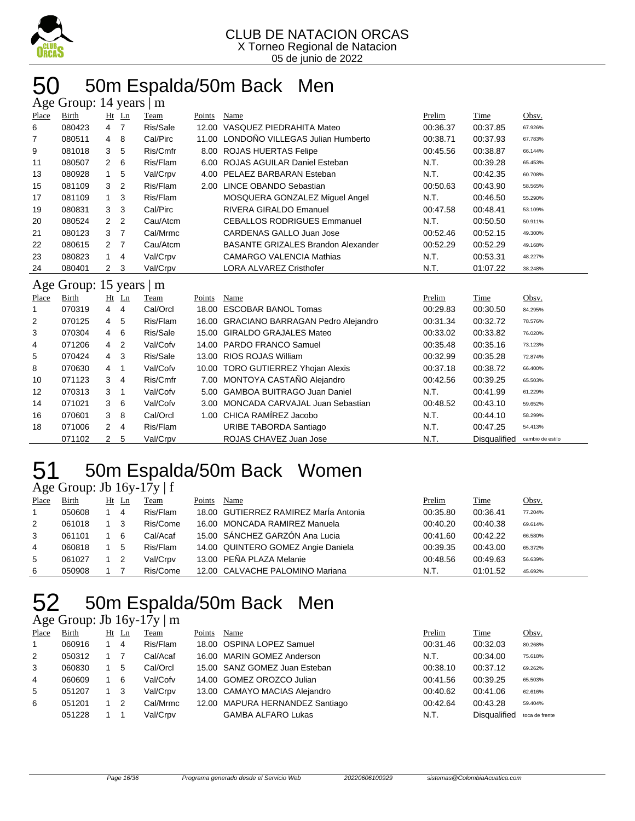

### 50 50m Espalda/50m Back Men

|       | Age Group: 14 years  <br>m |                |                |          |        |                                           |          |                     |                  |  |  |
|-------|----------------------------|----------------|----------------|----------|--------|-------------------------------------------|----------|---------------------|------------------|--|--|
| Place | Birth                      |                | Ht Ln          | Team     | Points | Name                                      | Prelim   | Time                | Obsv.            |  |  |
| 6     | 080423                     | 4              | $\overline{7}$ | Ris/Sale | 12.00  | VASQUEZ PIEDRAHITA Mateo                  | 00:36.37 | 00:37.85            | 67.926%          |  |  |
| 7     | 080511                     | 4              | 8              | Cal/Pirc | 11.00  | LONDOÑO VILLEGAS Julian Humberto          | 00:38.71 | 00:37.93            | 67.783%          |  |  |
| 9     | 081018                     | 3              | 5              | Ris/Cmfr | 8.00   | <b>ROJAS HUERTAS Felipe</b>               | 00:45.56 | 00:38.87            | 66.144%          |  |  |
| 11    | 080507                     | 2              | 6              | Ris/Flam | 6.00   | <b>ROJAS AGUILAR Daniel Esteban</b>       | N.T.     | 00:39.28            | 65.453%          |  |  |
| 13    | 080928                     | $\mathbf{1}$   | 5              | Val/Crpv | 4.00   | PELAEZ BARBARAN Esteban                   | N.T.     | 00:42.35            | 60.708%          |  |  |
| 15    | 081109                     | 3              | $\overline{2}$ | Ris/Flam | 2.00   | LINCE OBANDO Sebastian                    | 00:50.63 | 00:43.90            | 58.565%          |  |  |
| 17    | 081109                     | 1              | 3              | Ris/Flam |        | MOSQUERA GONZALEZ Miguel Angel            | N.T.     | 00:46.50            | 55.290%          |  |  |
| 19    | 080831                     | 3              | 3              | Cal/Pirc |        | <b>RIVERA GIRALDO Emanuel</b>             | 00:47.58 | 00:48.41            | 53.109%          |  |  |
| 20    | 080524                     | $\overline{2}$ | $\overline{2}$ | Cau/Atcm |        | <b>CEBALLOS RODRIGUES Emmanuel</b>        | N.T.     | 00:50.50            | 50.911%          |  |  |
| 21    | 080123                     | 3              | $\overline{7}$ | Cal/Mrmc |        | CARDENAS GALLO Juan Jose                  | 00:52.46 | 00:52.15            | 49.300%          |  |  |
| 22    | 080615                     | 2              | 7              | Cau/Atcm |        | <b>BASANTE GRIZALES Brandon Alexander</b> | 00:52.29 | 00:52.29            | 49.168%          |  |  |
| 23    | 080823                     | $\mathbf{1}$   | 4              | Val/Crpv |        | <b>CAMARGO VALENCIA Mathias</b>           | N.T.     | 00:53.31            | 48.227%          |  |  |
| 24    | 080401                     | 2              | 3              | Val/Crpv |        | <b>LORA ALVAREZ Cristhofer</b>            | N.T.     | 01:07.22            | 38.248%          |  |  |
|       | Age Group: 15 years        |                |                | m        |        |                                           |          |                     |                  |  |  |
| Place | Birth                      |                | $Ht$ Ln        | Team     | Points | Name                                      | Prelim   | Time                | Obsv.            |  |  |
| 1     | 070319                     | $\overline{4}$ | $\overline{4}$ | Cal/Orcl | 18.00  | <b>ESCOBAR BANOL Tomas</b>                | 00:29.83 | 00:30.50            | 84.295%          |  |  |
| 2     | 070125                     | $\overline{4}$ | 5              | Ris/Flam |        | 16.00 GRACIANO BARRAGAN Pedro Alejandro   | 00:31.34 | 00:32.72            | 78.576%          |  |  |
| 3     | 070304                     | 4              | 6              | Ris/Sale | 15.00  | <b>GIRALDO GRAJALES Mateo</b>             | 00:33.02 | 00:33.82            | 76.020%          |  |  |
| 4     | 071206                     | 4              | $\overline{2}$ | Val/Cofv | 14.00  | <b>PARDO FRANCO Samuel</b>                | 00:35.48 | 00:35.16            | 73.123%          |  |  |
| 5     | 070424                     | 4              | 3              | Ris/Sale | 13.00  | <b>RIOS ROJAS William</b>                 | 00:32.99 | 00:35.28            | 72.874%          |  |  |
| 8     | 070630                     | 4              | 1              | Val/Cofv |        | 10.00 TORO GUTIERREZ Yhojan Alexis        | 00:37.18 | 00:38.72            | 66.400%          |  |  |
| 10    | 071123                     | 3              | 4              | Ris/Cmfr |        | 7.00 MONTOYA CASTAÑO Alejandro            | 00:42.56 | 00:39.25            | 65.503%          |  |  |
| 12    | 070313                     | 3              | 1              | Val/Cofv | 5.00   | <b>GAMBOA BUITRAGO Juan Daniel</b>        | N.T.     | 00:41.99            | 61.229%          |  |  |
| 14    | 071021                     | 3              | 6              | Val/Cofv | 3.00   | MONCADA CARVAJAL Juan Sebastian           | 00:48.52 | 00:43.10            | 59.652%          |  |  |
| 16    | 070601                     | 3              | 8              | Cal/Orcl | 1.00   | CHICA RAMÍREZ Jacobo                      | N.T.     | 00:44.10            | 58.299%          |  |  |
| 18    | 071006                     | 2              | 4              | Ris/Flam |        | URIBE TABORDA Santiago                    | N.T.     | 00:47.25            | 54.413%          |  |  |
|       | 071102                     | 2              | 5              | Val/Crpv |        | ROJAS CHAVEZ Juan Jose                    | N.T.     | <b>Disqualified</b> | cambio de estilo |  |  |

### 51 50m Espalda/50m Back Women

#### Age Group: Jb 16y-17y | f

| Place | Birth  | $Ht$ Ln | Team     | Points | Name                                  | Prelim   | Time     | Obsv.   |
|-------|--------|---------|----------|--------|---------------------------------------|----------|----------|---------|
|       | 050608 | 4       | Ris/Flam |        | 18.00 GUTIERREZ RAMIREZ MarÍa Antonia | 00:35.80 | 00:36.41 | 77.204% |
| 2     | 061018 | -3      | Ris/Come |        | 16.00 MONCADA RAMIREZ Manuela         | 00:40.20 | 00:40.38 | 69.614% |
| 3     | 061101 | -6      | Cal/Acaf |        | 15.00 SÁNCHEZ GARZÓN Ana Lucia        | 00:41.60 | 00:42.22 | 66.580% |
| 4     | 060818 | 5       | Ris/Flam |        | 14.00 QUINTERO GOMEZ Angie Daniela    | 00:39.35 | 00:43.00 | 65.372% |
| 5     | 061027 |         | Val/Crpv |        | 13.00 PEÑA PLAZA Melanie              | 00:48.56 | 00:49.63 | 56.639% |
| 6     | 050908 |         | Ris/Come |        | 12.00 CALVACHE PALOMINO Mariana       | N.T.     | 01:01.52 | 45.692% |

## 52 50m Espalda/50m Back Men

#### Age Group: Jb 16y-17y | m

| Place        | Birth  | Ht Ln | Team     | Points | Name                            | Prelim   | Time                | Obsv.          |
|--------------|--------|-------|----------|--------|---------------------------------|----------|---------------------|----------------|
| $\mathbf{1}$ | 060916 | 4     | Ris/Flam |        | 18.00 OSPINA LOPEZ Samuel       | 00:31.46 | 00:32.03            | 80.268%        |
| 2            | 050312 |       | Cal/Acaf |        | 16.00 MARIN GOMEZ Anderson      | N.T.     | 00:34.00            | 75.618%        |
| 3            | 060830 | 5     | Cal/Orcl |        | 15.00 SANZ GOMEZ Juan Esteban   | 00:38.10 | 00:37.12            | 69.262%        |
| 4            | 060609 | 6     | Val/Cofv |        | 14.00 GOMEZ OROZCO Julian       | 00:41.56 | 00:39.25            | 65.503%        |
| 5            | 051207 | 3     | Val/Crpv |        | 13.00 CAMAYO MACIAS Alejandro   | 00:40.62 | 00:41.06            | 62.616%        |
| 6            | 051201 |       | Cal/Mrmc |        | 12.00 MAPURA HERNANDEZ Santiago | 00:42.64 | 00:43.28            | 59.404%        |
|              | 051228 |       | Val/Crpv |        | <b>GAMBA ALFARO Lukas</b>       | N.T.     | <b>Disqualified</b> | toca de frente |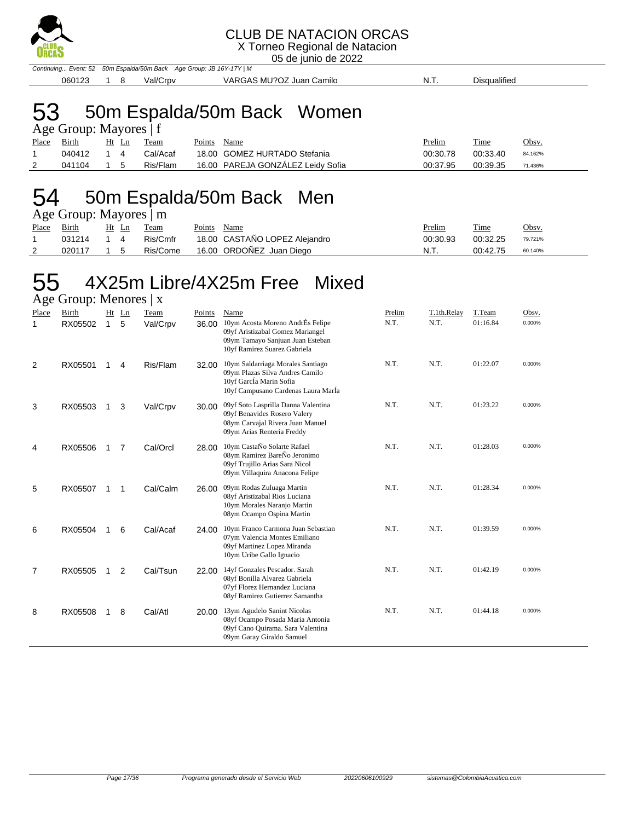

X Torneo Regional de Natacion

05 de junio de 2022

Continuing... Event: 52 50m Espalda/50m Back Age Group: JB 16Y-17Y | M 060123 1 8 Val/Crpv VARGAS MU?OZ Juan Camilo N.T. Disqualified

#### 53 50m Espalda/50m Back Women  $\alpha$ up: Mayores | f

| $\text{Age}$ Oroup. Maybes $\text{F}$ |            |  |  |                   |             |                                   |               |             |              |  |  |
|---------------------------------------|------------|--|--|-------------------|-------------|-----------------------------------|---------------|-------------|--------------|--|--|
| Place Birth                           |            |  |  | <u>Ht Ln Team</u> | Points Name |                                   | <u>Prelim</u> | <b>Time</b> | <u>Obsv.</u> |  |  |
|                                       | 040412 1 4 |  |  | Cal/Acaf          |             | 18.00 GOMEZ HURTADO Stefania      | 00:30.78      | 00:33.40    | 84.162%      |  |  |
|                                       | 041104 1 5 |  |  | Ris/Flam          |             | 16.00 PAREJA GONZÁLEZ Leidy Sofia | 00:37.95      | 00:39.35    | 71.436%      |  |  |

### 54 50m Espalda/50m Back Men

Age Group: Mayores | m

| Place | Birth      | Ht Ln      | Team     | Points<br>Name                | <u>Prelim</u> | Time     | Obsv.   |
|-------|------------|------------|----------|-------------------------------|---------------|----------|---------|
|       | 031214 1 4 |            | Ris/Cmfr | 18.00 CASTAÑO LOPEZ Alejandro | 00:30.93      | 00:32.25 | 79.721% |
|       | 020117     | $1\quad 5$ | Ris/Come | 16.00 ORDOÑEZ Juan Diego      | N.T.          | 00:42.75 | 60.140% |

### 55 4X25m Libre/4X25m Free Mixed

Age Group: Menores | x Place Birth Ht Ln Team Points Name **Prelim Prelim T.1th.Relay T.Team** Obsv. 1 RX05502 1 5 Val/Crpv 36.00 10ym Acosta Moreno AndrÉs Felipe N.T. N.T. 01:16.84 0.000% 09yf Aristizabal Gomez Mariangel 09ym Tamayo Sanjuan Juan Esteban 10yf Ramirez Suarez Gabriela 2 RX05501 1 4 Ris/Flam 32.00 10ym Saldarriaga Morales Santiago N.T. N.T. 01:22.07 0.000% 09ym Plazas Silva Andres Camilo 10yf GarcÍa Marin Sofia 10yf Campusano Cardenas Laura MarÍa 3 RX05503 1 3 Val/Crpv 30.00 09yf Soto Lasprilla Danna Valentina N.T. N.T. 01:23.22 0.000% 09yf Benavides Rosero Valery 08ym Carvajal Rivera Juan Manuel 09ym Arias Renteria Freddy 4 RX05506 1 7 Cal/Orcl 28.00 10ym CastaÑo Solarte Rafael N.T. N.T. 01:28.03 0.000% 08ym Ramirez BareÑo Jeronimo 09yf Trujillo Arias Sara Nicol 09ym Villaquira Anacona Felipe 5 RX05507 1 1 Cal/Calm 26.00 09ym Rodas Zuluaga Martin N.T. N.T. 01:28.34 0.000% 08yf Aristizabal Rios Luciana 10ym Morales Naranjo Martin 08ym Ocampo Ospina Martin 6 RX05504 1 6 Cal/Acaf 24.00 10ym Franco Carmona Juan Sebastian N.T. N.T. 01:39.59 0.000% 07ym Valencia Montes Emiliano 09yf Martinez Lopez Miranda 10ym Uribe Gallo Ignacio 7 RX05505 1 2 Cal/Tsun 22.00 14yf Gonzales Pescador. Sarah N.T. N.T. 01:42.19 0.000% 08yf Bonilla Alvarez Gabriela 07yf Florez Hernandez Luciana 08yf Ramirez Gutierrez Samantha 8 RX05508 1 8 Cal/Atl 20.00 13ym Agudelo Sanint Nicolas N.T. N.T. 01:44.18 0.000% 08yf Ocampo Posada Maria Antonia 09yf Cano Quirama. Sara Valentina 09ym Garay Giraldo Samuel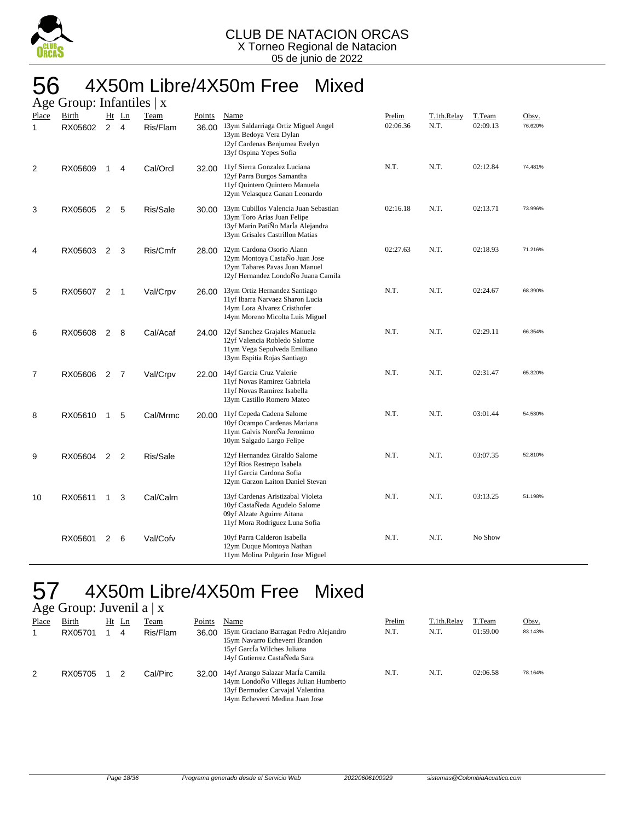

#### 56 4X50m Libre/4X50m Free Mixed Age Group: Infantiles | x

|                | $O(10\mu)$ . $M_1$ $M_2$ |                |                         |                  |                 |                                                                                                                                              |                    |                     |                    |                  |
|----------------|--------------------------|----------------|-------------------------|------------------|-----------------|----------------------------------------------------------------------------------------------------------------------------------------------|--------------------|---------------------|--------------------|------------------|
| Place<br>1     | Birth<br>RX05602         | $\overline{2}$ | Ht Ln<br>$\overline{4}$ | Team<br>Ris/Flam | Points<br>36.00 | Name<br>13ym Saldarriaga Ortiz Miguel Angel<br>13ym Bedoya Vera Dylan<br>12yf Cardenas Benjumea Evelyn<br>13yf Ospina Yepes Sofia            | Prelim<br>02:06.36 | T.1th.Relay<br>N.T. | T.Team<br>02:09.13 | Obsv.<br>76.620% |
| 2              | RX05609                  | $\mathbf 1$    | 4                       | Cal/Orcl         |                 | 32.00 11yf Sierra Gonzalez Luciana<br>12yf Parra Burgos Samantha<br>11yf Quintero Quintero Manuela<br>12ym Velasquez Ganan Leonardo          | N.T.               | N.T.                | 02:12.84           | 74.481%          |
| 3              | RX05605                  | 2              | 5                       | Ris/Sale         | 30.00           | 13ym Cubillos Valencia Juan Sebastian<br>13ym Toro Arias Juan Felipe<br>13yf Marin PatiÑo MarÍa Alejandra<br>13ym Grisales Castrillon Matias | 02:16.18           | N.T.                | 02:13.71           | 73.996%          |
| 4              | RX05603                  | 2              | 3                       | Ris/Cmfr         | 28.00           | 12ym Cardona Osorio Alann<br>12ym Montoya CastaÑo Juan Jose<br>12ym Tabares Pavas Juan Manuel<br>12yf Hernandez LondoÑo Juana Camila         | 02:27.63           | N.T.                | 02:18.93           | 71.216%          |
| 5              | RX05607                  | 2              | 1                       | Val/Crpv         | 26.00           | 13ym Ortiz Hernandez Santiago<br>11yf Ibarra Narvaez Sharon Lucia<br>14ym Lora Alvarez Cristhofer<br>14ym Moreno Micolta Luis Miguel         | N.T.               | N.T.                | 02:24.67           | 68.390%          |
| 6              | RX05608                  | $\overline{2}$ | 8                       | Cal/Acaf         | 24.00           | 12yf Sanchez Grajales Manuela<br>12yf Valencia Robledo Salome<br>11ym Vega Sepulveda Emiliano<br>13ym Espitia Rojas Santiago                 | N.T.               | N.T.                | 02:29.11           | 66.354%          |
| $\overline{7}$ | RX05606                  | 2              | 7                       | Val/Crpv         | 22.00           | 14yf Garcia Cruz Valerie<br>11yf Novas Ramirez Gabriela<br>11yf Novas Ramirez Isabella<br>13ym Castillo Romero Mateo                         | N.T.               | N.T.                | 02:31.47           | 65.320%          |
| 8              | RX05610                  | $\mathbf{1}$   | 5                       | Cal/Mrmc         | 20.00           | 11yf Cepeda Cadena Salome<br>10yf Ocampo Cardenas Mariana<br>11ym Galvis NoreÑa Jeronimo<br>10ym Salgado Largo Felipe                        | N.T.               | N.T.                | 03:01.44           | 54.530%          |
| 9              | RX05604                  | $\overline{2}$ | 2                       | Ris/Sale         |                 | 12yf Hernandez Giraldo Salome<br>12yf Rios Restrepo Isabela<br>11yf Garcia Cardona Sofia<br>12ym Garzon Laiton Daniel Stevan                 | N.T.               | N.T.                | 03:07.35           | 52.810%          |
| 10             | RX05611                  | $\mathbf{1}$   | 3                       | Cal/Calm         |                 | 13yf Cardenas Aristizabal Violeta<br>10yf CastaÑeda Agudelo Salome<br>09yf Alzate Aguirre Aitana<br>11yf Mora Rodriguez Luna Sofia           | N.T.               | N.T.                | 03:13.25           | 51.198%          |
|                | RX05601                  | 2              | 6                       | Val/Cofv         |                 | 10yf Parra Calderon Isabella<br>12ym Duque Montoya Nathan<br>11ym Molina Pulgarin Jose Miguel                                                | N.T.               | N.T.                | No Show            |                  |

#### 57 4X50m Libre/4X50m Free Mixed  $\omega$ in: Juvenil a  $\mathbf{v}$

|       | $A\&\in$ Oroup. Juvenil a $\Delta$ |       |          |        |                                                                                                                                                  |        |             |          |         |
|-------|------------------------------------|-------|----------|--------|--------------------------------------------------------------------------------------------------------------------------------------------------|--------|-------------|----------|---------|
| Place | Birth                              | Ht Ln | Team     | Points | Name                                                                                                                                             | Prelim | T.1th.Relay | T.Team   | Obsv.   |
|       | RX05701                            | 4     | Ris/Flam | 36.00  | 15ym Graciano Barragan Pedro Alejandro<br>15ym Navarro Echeverri Brandon<br>15yf García Wilches Juliana<br>14yf Gutierrez CastaÑeda Sara         | N.T.   | N.T.        | 01:59.00 | 83.143% |
| 2     | RX05705                            |       | Cal/Pirc | 32.00  | 14yf Arango Salazar MarÍa Camila<br>14ym LondoÑo Villegas Julian Humberto<br>13yf Bermudez Carvajal Valentina<br>14ym Echeverri Medina Juan Jose | N.T.   | N.T.        | 02:06.58 | 78.164% |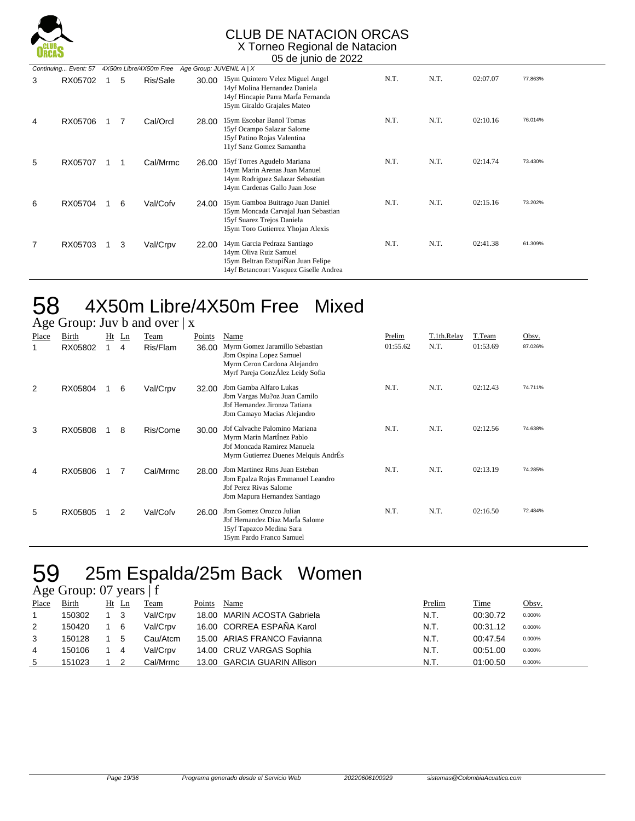

#### CLUB DE NATACION ORCAS X Torneo Regional de Natacion

05 de junio de 2022

|   | Continuing Event: 57 |   | 4X50m Libre/4X50m Free |       | Age Group: JUVENIL A   X                                                                                                                    |      |      |          |         |
|---|----------------------|---|------------------------|-------|---------------------------------------------------------------------------------------------------------------------------------------------|------|------|----------|---------|
| 3 | RX05702              | 5 | Ris/Sale               | 30.00 | 15ym Quintero Velez Miguel Angel<br>14yf Molina Hernandez Daniela<br>14yf Hincapie Parra Marla Fernanda<br>15ym Giraldo Grajales Mateo      | N.T. | N.T. | 02:07.07 | 77.863% |
| 4 | RX05706              | 7 | Cal/Orcl               | 28.00 | 15ym Escobar Banol Tomas<br>15yf Ocampo Salazar Salome<br>15yf Patino Rojas Valentina<br>11yf Sanz Gomez Samantha                           | N.T. | N.T. | 02:10.16 | 76.014% |
| 5 | RX05707              |   | Cal/Mrmc               | 26.00 | 15yf Torres Agudelo Mariana<br>14ym Marin Arenas Juan Manuel<br>14ym Rodriguez Salazar Sebastian<br>14ym Cardenas Gallo Juan Jose           | N.T. | N.T. | 02:14.74 | 73.430% |
| 6 | RX05704              | 6 | Val/Cofv               | 24.00 | 15ym Gamboa Buitrago Juan Daniel<br>15ym Moncada Carvajal Juan Sebastian<br>15yf Suarez Trejos Daniela<br>15ym Toro Gutierrez Yhojan Alexis | N.T. | N.T. | 02:15.16 | 73.202% |
| 7 | RX05703              | 3 | Val/Crpv               | 22.00 | 14ym Garcia Pedraza Santiago<br>14ym Oliva Ruiz Samuel<br>15ym Beltran EstupiÑan Juan Felipe<br>14yf Betancourt Vasquez Giselle Andrea      | N.T. | N.T. | 02:41.38 | 61.309% |

## 58 4X50m Libre/4X50m Free Mixed

|       | Age Group: Juv b and over $ x $ |  |         |          |        |                                                                                                                                      |          |             |          |         |  |  |
|-------|---------------------------------|--|---------|----------|--------|--------------------------------------------------------------------------------------------------------------------------------------|----------|-------------|----------|---------|--|--|
| Place | <b>Birth</b>                    |  | $Ht$ Ln | Team     | Points | Name                                                                                                                                 | Prelim   | T.1th.Relay | T.Team   | Obsv.   |  |  |
|       | RX05802                         |  | 4       | Ris/Flam | 36.00  | Myrm Gomez Jaramillo Sebastian<br>Jbm Ospina Lopez Samuel<br>Myrm Ceron Cardona Alejandro<br>Myrf Pareja GonzÁlez Leidy Sofia        | 01:55.62 | N.T.        | 01:53.69 | 87.026% |  |  |
| 2     | RX05804                         |  | 6       | Val/Crpv | 32.00  | Jbm Gamba Alfaro Lukas<br>Jbm Vargas Mu?oz Juan Camilo<br>Jbf Hernandez Jironza Tatiana<br>Jbm Camayo Macias Alejandro               | N.T.     | N.T.        | 02:12.43 | 74.711% |  |  |
| 3     | RX05808                         |  | 8       | Ris/Come | 30.00  | Jbf Calvache Palomino Mariana<br>Myrm Marin Martinez Pablo<br>Jbf Moncada Ramirez Manuela<br>Myrm Gutierrez Duenes Melquis AndrEs    | N.T.     | N.T.        | 02:12.56 | 74.638% |  |  |
| 4     | RX05806                         |  | 7       | Cal/Mrmc | 28.00  | Jbm Martinez Rms Juan Esteban<br>Jbm Epalza Rojas Emmanuel Leandro<br><b>Jbf Perez Rivas Salome</b><br>Jbm Mapura Hernandez Santiago | N.T.     | N.T.        | 02:13.19 | 74.285% |  |  |
| 5     | RX05805                         |  | 2       | Val/Cofv | 26.00  | Jbm Gomez Orozco Julian<br>Jbf Hernandez Diaz María Salome<br>15yf Tapazco Medina Sara<br>15ym Pardo Franco Samuel                   | N.T.     | N.T.        | 02:16.50 | 72.484% |  |  |

### 59 25m Espalda/25m Back Women

#### Age Group: 07 years | f

| Place | Birth  | $Ht$ Ln | Team     | Points | Name                        | Prelim | <b>Time</b> | Obsv.  |
|-------|--------|---------|----------|--------|-----------------------------|--------|-------------|--------|
|       | 150302 |         | Val/Crpv |        | 18.00 MARIN ACOSTA Gabriela | N.T.   | 00:30.72    | 0.000% |
| 2     | 150420 | 6       | Val/Crpv |        | 16.00 CORREA ESPAÑA Karol   | N.T.   | 00:31.12    | 0.000% |
| 3     | 150128 | 5       | Cau/Atcm |        | 15.00 ARIAS FRANCO Favianna | N.T.   | 00:47.54    | 0.000% |
| 4     | 150106 | 4       | Val/Crpv |        | 14.00 CRUZ VARGAS Sophia    | N.T.   | 00:51.00    | 0.000% |
| 5     | 151023 |         | Cal/Mrmc |        | 13.00 GARCIA GUARIN Allison | N.T.   | 01:00.50    | 0.000% |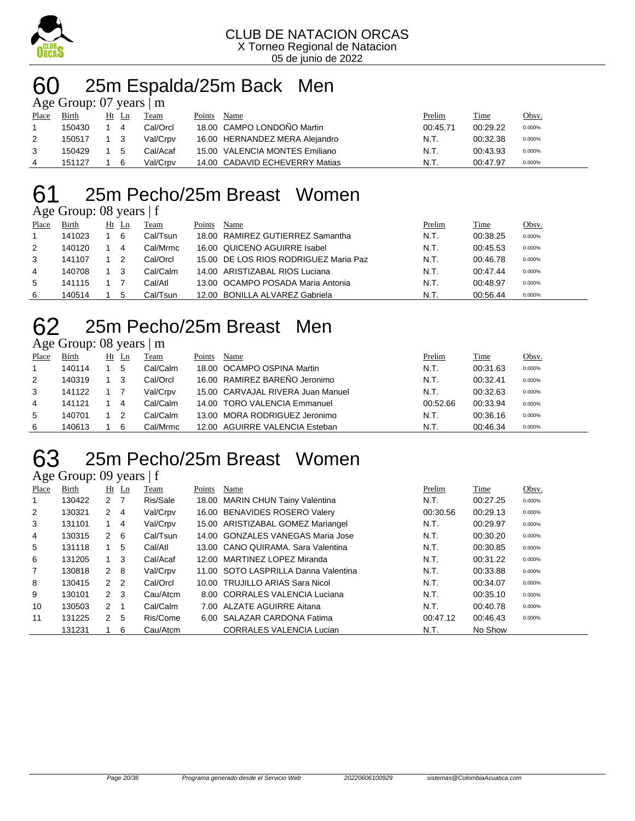

## 60 25m Espalda/25m Back Men

| Age Group: $07$ years $\mid$ m |        |  |       |          |        |                                |          |          |        |  |  |
|--------------------------------|--------|--|-------|----------|--------|--------------------------------|----------|----------|--------|--|--|
| Place                          | Birth  |  | Ht Ln | Team     | Points | Name                           | Prelim   | Time     | Obsv.  |  |  |
|                                | 150430 |  | 4     | Cal/Orcl |        | 18.00 CAMPO LONDOÑO Martin     | 00:45.71 | 00:29.22 | 0.000% |  |  |
| 2                              | 150517 |  | - 3   | Val/Crpv |        | 16.00 HERNANDEZ MERA Alejandro | N.T.     | 00:32.38 | 0.000% |  |  |
| 3                              | 150429 |  | 5     | Cal/Acaf |        | 15.00 VALENCIA MONTES Emiliano | N.T.     | 00:43.93 | 0.000% |  |  |
| 4                              | 151127 |  | - 6   | Val/Crpv |        | 14.00 CADAVID ECHEVERRY Matias | N.T.     | 00:47.97 | 0.000% |  |  |

## 25m Pecho/25m Breast Women

#### Age Group: 08 years | f

| ຼ     |              |           |          |        |                                       |        |          |        |
|-------|--------------|-----------|----------|--------|---------------------------------------|--------|----------|--------|
| Place | <b>Birth</b> | Ht<br>-Ln | Team     | Points | Name                                  | Prelim | Time     | Obsv.  |
|       | 141023       | 6         | Cal/Tsun |        | 18.00 RAMIREZ GUTIERREZ Samantha      | N.T.   | 00:38.25 | 0.000% |
| 2     | 140120       | 4         | Cal/Mrmc |        | 16.00 QUICENO AGUIRRE Isabel          | N.T.   | 00:45.53 | 0.000% |
| 3     | 141107       |           | Cal/Orcl |        | 15.00 DE LOS RIOS RODRIGUEZ Maria Paz | N.T.   | 00:46.78 | 0.000% |
| 4     | 140708       | 3         | Cal/Calm |        | 14.00 ARISTIZABAL RIOS Luciana        | N.T.   | 00:47.44 | 0.000% |
| 5     | 141115       |           | Cal/Atl  |        | 13.00 OCAMPO POSADA Maria Antonia     | N.T.   | 00:48.97 | 0.000% |
| 6     | 140514       | 5         | Cal/Tsun |        | 12.00 BONILLA ALVAREZ Gabriela        | N.T.   | 00:56.44 | 0.000% |

### 25m Pecho/25m Breast Men

#### Age Group: 08 years | m

| Place | <b>Birth</b> | Ht | Ln | Team     | Points | Name                              | Prelim   | <b>Time</b> | Obsv.  |
|-------|--------------|----|----|----------|--------|-----------------------------------|----------|-------------|--------|
|       | 140114       |    | 5  | Cal/Calm |        | 18.00 OCAMPO OSPINA Martin        | N.T.     | 00:31.63    | 0.000% |
| 2     | 140319       |    | 3  | Cal/Orcl |        | 16.00 RAMIREZ BAREÑO Jeronimo     | N.T.     | 00:32.41    | 0.000% |
| 3     | 141122       |    |    | Val/Crpv |        | 15.00 CARVAJAL RIVERA Juan Manuel | N.T.     | 00:32.63    | 0.000% |
| 4     | 141121       |    | -4 | Cal/Calm |        | 14.00 TORO VALENCIA Emmanuel      | 00:52.66 | 00:33.94    | 0.000% |
| 5     | 140701       |    |    | Cal/Calm |        | 13.00 MORA RODRIGUEZ Jeronimo     | N.T.     | 00:36.16    | 0.000% |
| 6     | 140613       |    | 6  | Cal/Mrmc |        | 12.00 AGUIRRE VALENCIA Esteban    | N.T.     | 00:46.34    | 0.000% |

## 25m Pecho/25m Breast Women

Age Group: 09 years | f

| Place          | Birth  |                | Ht Ln | Team     | Points | Name                                 | Prelim   | Time     | Obsv.  |
|----------------|--------|----------------|-------|----------|--------|--------------------------------------|----------|----------|--------|
| 1              | 130422 | 2 <sub>7</sub> |       | Ris/Sale |        | 18.00 MARIN CHUN Tainy Valentina     | N.T.     | 00:27.25 | 0.000% |
| $\overline{2}$ | 130321 | $\mathbf{2}$   | -4    | Val/Crpv |        | 16.00 BENAVIDES ROSERO Valery        | 00:30.56 | 00:29.13 | 0.000% |
| 3              | 131101 | $1 \quad 4$    |       | Val/Crpv |        | 15.00 ARISTIZABAL GOMEZ Mariangel    | N.T.     | 00:29.97 | 0.000% |
| 4              | 130315 | 2 6            |       | Cal/Tsun |        | 14.00 GONZALES VANEGAS Maria Jose    | N.T.     | 00:30.20 | 0.000% |
| 5              | 131118 |                | 5     | Cal/Atl  |        | 13.00 CANO QUIRAMA, Sara Valentina   | N.T.     | 00:30.85 | 0.000% |
| 6              | 131205 | $1 \quad 3$    |       | Cal/Acaf |        | 12.00 MARTINEZ LOPEZ Miranda         | N.T.     | 00:31.22 | 0.000% |
| 7              | 130818 | $2 \quad 8$    |       | Val/Crpv |        | 11.00 SOTO LASPRILLA Danna Valentina | N.T.     | 00:33.88 | 0.000% |
| 8              | 130415 | 2 <sub>2</sub> |       | Cal/Orcl |        | 10.00 TRUJILLO ARIAS Sara Nicol      | N.T.     | 00:34.07 | 0.000% |
| 9              | 130101 | $2 \quad 3$    |       | Cau/Atcm |        | 8.00 CORRALES VALENCIA Luciana       | N.T.     | 00:35.10 | 0.000% |
| 10             | 130503 | $2 \quad 1$    |       | Cal/Calm |        | 7.00 ALZATE AGUIRRE Aitana           | N.T.     | 00:40.78 | 0.000% |
| 11             | 131225 | $\mathbf{2}$   | -5    | Ris/Come |        | 6.00 SALAZAR CARDONA Fatima          | 00:47.12 | 00:46.43 | 0.000% |
|                | 131231 |                | -6    | Cau/Atcm |        | <b>CORRALES VALENCIA Lucian</b>      | N.T.     | No Show  |        |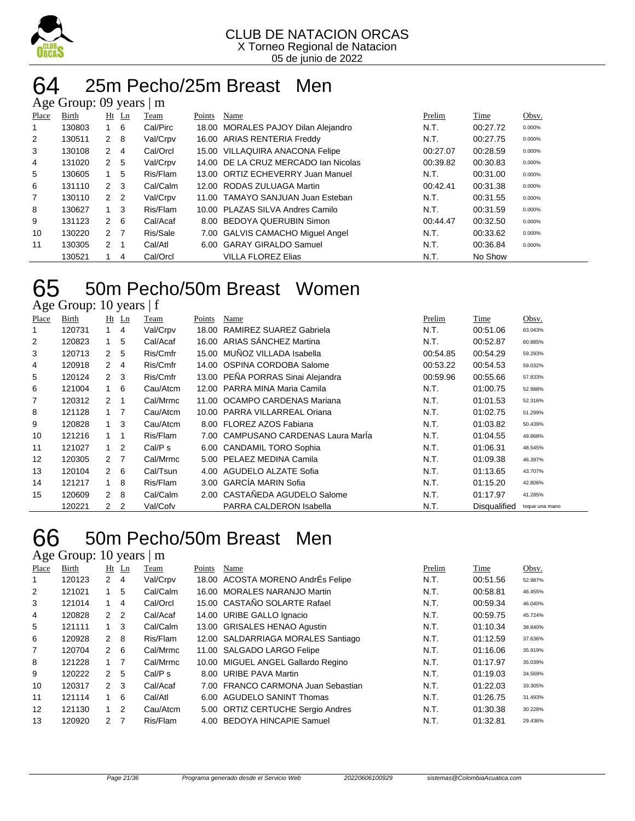

#### 64 25m Pecho/25m Breast Men  $\Omega$  years  $\mathbb{R}^n$

|       | $\Delta$ gu Oroup. 02 yuars $\parallel$ III |                |         |          |        |                                      |          |          |        |  |  |  |
|-------|---------------------------------------------|----------------|---------|----------|--------|--------------------------------------|----------|----------|--------|--|--|--|
| Place | Birth                                       |                | $Ht$ Ln | Team     | Points | Name                                 | Prelim   | Time     | Obsv.  |  |  |  |
|       | 130803                                      |                | -6      | Cal/Pirc | 18.00  | MORALES PAJOY Dilan Alejandro        | N.T.     | 00:27.72 | 0.000% |  |  |  |
| 2     | 130511                                      | $2 \quad 8$    |         | Val/Crpv |        | 16.00 ARIAS RENTERIA Freddy          | N.T.     | 00:27.75 | 0.000% |  |  |  |
| 3     | 130108                                      | $2 \quad 4$    |         | Cal/Orcl |        | 15.00 VILLAQUIRA ANACONA Felipe      | 00:27.07 | 00:28.59 | 0.000% |  |  |  |
| 4     | 131020                                      | 2 <sub>5</sub> |         | Val/Crpv |        | 14.00 DE LA CRUZ MERCADO Ian Nicolas | 00:39.82 | 00:30.83 | 0.000% |  |  |  |
| 5     | 130605                                      |                | 5       | Ris/Flam |        | 13.00 ORTIZ ECHEVERRY Juan Manuel    | N.T.     | 00:31.00 | 0.000% |  |  |  |
| 6     | 131110                                      | $2 \quad 3$    |         | Cal/Calm |        | 12.00 RODAS ZULUAGA Martin           | 00:42.41 | 00:31.38 | 0.000% |  |  |  |
| 7     | 130110                                      | 2 <sub>2</sub> |         | Val/Crpv |        | 11.00 TAMAYO SANJUAN Juan Esteban    | N.T.     | 00:31.55 | 0.000% |  |  |  |
| 8     | 130627                                      | $1 \quad 3$    |         | Ris/Flam |        | 10.00 PLAZAS SILVA Andres Camilo     | N.T.     | 00:31.59 | 0.000% |  |  |  |
| 9     | 131123                                      | $2 \quad 6$    |         | Cal/Acaf |        | 8.00 BEDOYA QUERUBIN Simon           | 00:44.47 | 00:32.50 | 0.000% |  |  |  |
| 10    | 130220                                      | 2 <sub>7</sub> |         | Ris/Sale |        | 7.00 GALVIS CAMACHO Miquel Angel     | N.T.     | 00:33.62 | 0.000% |  |  |  |
| 11    | 130305                                      | 2 <sub>1</sub> |         | Cal/Atl  |        | 6.00 GARAY GIRALDO Samuel            | N.T.     | 00:36.84 | 0.000% |  |  |  |
|       | 130521                                      |                | 4       | Cal/Orcl |        | <b>VILLA FLOREZ Elias</b>            | N.T.     | No Show  |        |  |  |  |

## 65 50m Pecho/50m Breast Women

| Age Group: 10 years   f |  |  |
|-------------------------|--|--|
|                         |  |  |

| <b>Place</b>   | Birth  |                | $Ht$ Ln        | <b>Team</b> | Points | Name                                | Prelim   | Time                | Obsv.          |
|----------------|--------|----------------|----------------|-------------|--------|-------------------------------------|----------|---------------------|----------------|
| 1              | 120731 |                | 4              | Val/Crpv    | 18.00  | RAMIREZ SUAREZ Gabriela             | N.T.     | 00:51.06            | 63.043%        |
| $\overline{2}$ | 120823 |                | 5              | Cal/Acaf    |        | 16.00 ARIAS SÁNCHEZ Martina         | N.T.     | 00:52.87            | 60.885%        |
| 3              | 120713 | $\overline{2}$ | 5              | Ris/Cmfr    |        | 15.00 MUNOZ VILLADA Isabella        | 00:54.85 | 00:54.29            | 59.293%        |
| 4              | 120918 | $\mathbf{2}$   | 4              | Ris/Cmfr    |        | 14.00 OSPINA CORDOBA Salome         | 00:53.22 | 00:54.53            | 59.032%        |
| 5              | 120124 | $\mathbf{2}$   | -3             | Ris/Cmfr    |        | 13.00 PEÑA PORRAS Sinai Alejandra   | 00:59.96 | 00:55.66            | 57.833%        |
| 6              | 121004 | $1 \quad$      | 6              | Cau/Atcm    |        | 12.00 PARRA MINA Maria Camila       | N.T.     | 01:00.75            | 52.988%        |
| 7              | 120312 | $\mathcal{P}$  | $\mathbf{1}$   | Cal/Mrmc    |        | 11.00 OCAMPO CARDENAS Mariana       | N.T.     | 01:01.53            | 52.316%        |
| 8              | 121128 | 1              | $\overline{7}$ | Cau/Atcm    |        | 10.00 PARRA VILLARREAL Oriana       | N.T.     | 01:02.75            | 51.299%        |
| 9              | 120828 | 1              | 3              | Cau/Atcm    |        | 8.00 FLOREZ AZOS Fabiana            | N.T.     | 01:03.82            | 50.439%        |
| 10             | 121216 | $\mathbf 1$    | -1             | Ris/Flam    |        | 7.00 CAMPUSANO CARDENAS Laura Marla | N.T.     | 01:04.55            | 49.868%        |
| 11             | 121027 | $\mathbf{1}$   | 2              | Cal/P s     |        | 6.00 CANDAMIL TORO Sophia           | N.T.     | 01:06.31            | 48.545%        |
| 12             | 120305 | 2              | $\overline{7}$ | Cal/Mrmc    |        | 5.00 PELAEZ MEDINA Camila           | N.T.     | 01:09.38            | 46.397%        |
| 13             | 120104 | $2\quad 6$     |                | Cal/Tsun    | 4.00   | <b>AGUDELO ALZATE Sofia</b>         | N.T.     | 01:13.65            | 43.707%        |
| 14             | 121217 | $\mathbf{1}$   | 8              | Ris/Flam    |        | 3.00 GARCÍA MARIN Sofia             | N.T.     | 01:15.20            | 42.806%        |
| 15             | 120609 | $\mathcal{P}$  | 8              | Cal/Calm    |        | 2.00 CASTAÑEDA AGUDELO Salome       | N.T.     | 01:17.97            | 41.285%        |
|                | 120221 | $\overline{2}$ | $\overline{2}$ | Val/Cofv    |        | PARRA CALDERON Isabella             | N.T.     | <b>Disqualified</b> | toque una mano |

### 50m Pecho/50m Breast Men

Age Group: 10 years | m

| Place | Birth  |               | $Ht$ Ln        | Team     | Points | Name                               | Prelim | Time     | Obsv.   |
|-------|--------|---------------|----------------|----------|--------|------------------------------------|--------|----------|---------|
|       | 120123 | 2             | 4              | Val/Crpv |        | 18.00 ACOSTA MORENO AndrEs Felipe  | N.T.   | 00:51.56 | 52.987% |
| 2     | 121021 |               | 5              | Cal/Calm |        | 16.00 MORALES NARANJO Martin       | N.T.   | 00:58.81 | 46.455% |
| 3     | 121014 |               | 4              | Cal/Orcl |        | 15.00 CASTAÑO SOLARTE Rafael       | N.T.   | 00:59.34 | 46.040% |
| 4     | 120828 | $\mathcal{P}$ | $\overline{2}$ | Cal/Acaf |        | 14.00 URIBE GALLO Ignacio          | N.T.   | 00:59.75 | 45.724% |
| 5     | 121111 | $\mathbf{1}$  | 3              | Cal/Calm |        | 13.00 GRISALES HENAO Agustin       | N.T.   | 01:10.34 | 38.840% |
| 6     | 120928 | $\mathcal{P}$ | -8             | Ris/Flam |        | 12.00 SALDARRIAGA MORALES Santiago | N.T.   | 01:12.59 | 37.636% |
| 7     | 120704 | $\mathcal{P}$ | -6             | Cal/Mrmc |        | 11.00 SALGADO LARGO Felipe         | N.T.   | 01:16.06 | 35.919% |
| 8     | 121228 | $1 \quad$     |                | Cal/Mrmc |        | 10.00 MIGUEL ANGEL Gallardo Regino | N.T.   | 01:17.97 | 35.039% |
| 9     | 120222 | $\mathcal{P}$ | 5              | Cal/Ps   |        | 8.00 URIBE PAVA Martin             | N.T.   | 01:19.03 | 34.569% |
| 10    | 120317 | $\mathcal{P}$ | -3             | Cal/Acaf |        | 7.00 FRANCO CARMONA Juan Sebastian | N.T.   | 01:22.03 | 33.305% |
| 11    | 121114 |               | 6              | Cal/Atl  |        | 6.00 AGUDELO SANINT Thomas         | N.T.   | 01:26.75 | 31.493% |
| 12    | 121130 | $\mathbf{1}$  | 2              | Cau/Atcm |        | 5.00 ORTIZ CERTUCHE Sergio Andres  | N.T.   | 01:30.38 | 30.228% |
| 13    | 120920 | $\mathcal{P}$ | 7              | Ris/Flam |        | 4.00 BEDOYA HINCAPIE Samuel        | N.T.   | 01:32.81 | 29.436% |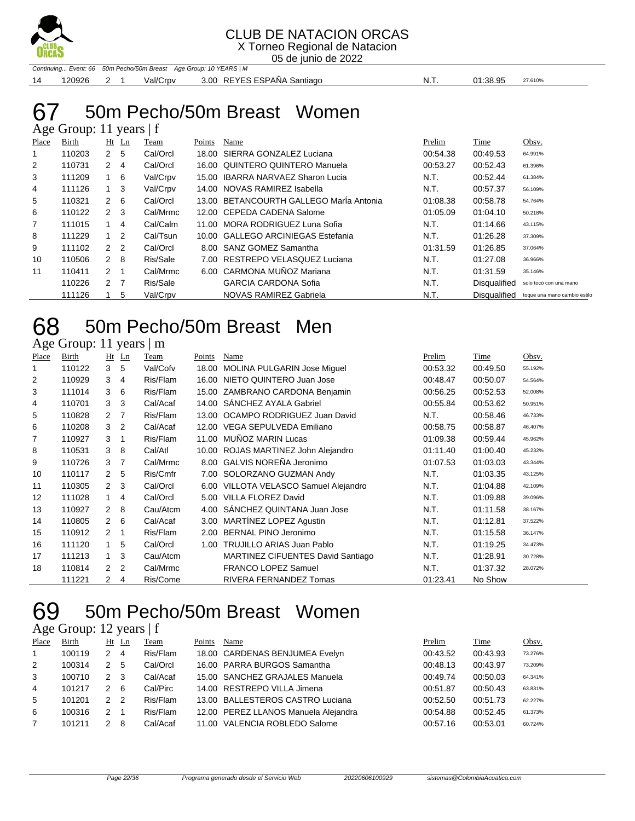

X Torneo Regional de Natacion

05 de junio de 2022

Continuing... Event: 66 50m Pecho/50m Breast Age Group: 10 YEARS | M 14 120926 2 1 Val/Crpv 3.00 REYES ESPAÑA Santiago N.T. 01:38.95 27.610%

#### 50m Pecho/50m Breast Women Age Group: 11 years | f

|                | $1.50$ Oroup. 11 $7.0$ and $1.7$ |                |     |          |        |                                         |          |                     |                              |  |  |  |
|----------------|----------------------------------|----------------|-----|----------|--------|-----------------------------------------|----------|---------------------|------------------------------|--|--|--|
| Place          | Birth                            | Ht             | Ln  | Team     | Points | Name                                    | Prelim   | Time                | Obsv.                        |  |  |  |
|                | 110203                           | 2              | 5   | Cal/Orcl |        | 18.00 SIERRA GONZALEZ Luciana           | 00:54.38 | 00:49.53            | 64.991%                      |  |  |  |
| 2              | 110731                           | 2              | -4  | Cal/Orcl |        | 16.00 QUINTERO QUINTERO Manuela         | 00:53.27 | 00:52.43            | 61.396%                      |  |  |  |
| 3              | 111209                           | 1              | - 6 | Val/Crpv |        | 15.00 IBARRA NARVAEZ Sharon Lucia       | N.T.     | 00:52.44            | 61.384%                      |  |  |  |
| 4              | 111126                           | $1 \quad 3$    |     | Val/Crpv |        | 14.00 NOVAS RAMIREZ Isabella            | N.T.     | 00:57.37            | 56.109%                      |  |  |  |
| 5              | 110321                           | 2              | - 6 | Cal/Orcl |        | 13.00 BETANCOURTH GALLEGO Marla Antonia | 01:08.38 | 00:58.78            | 54.764%                      |  |  |  |
| 6              | 110122                           | 2 <sub>3</sub> |     | Cal/Mrmc |        | 12.00 CEPEDA CADENA Salome              | 01:05.09 | 01:04.10            | 50.218%                      |  |  |  |
| $\overline{7}$ | 111015                           |                | 4   | Cal/Calm |        | 11.00 MORA RODRIGUEZ Luna Sofia         | N.T.     | 01:14.66            | 43.115%                      |  |  |  |
| 8              | 111229                           | 1.             | 2   | Cal/Tsun |        | 10.00 GALLEGO ARCINIEGAS Estefania      | N.T.     | 01:26.28            | 37.309%                      |  |  |  |
| 9              | 111102                           | 2 <sub>2</sub> |     | Cal/Orcl |        | 8.00 SANZ GOMEZ Samantha                | 01:31.59 | 01:26.85            | 37.064%                      |  |  |  |
| 10             | 110506                           | $2 \quad 8$    |     | Ris/Sale |        | 7.00 RESTREPO VELASQUEZ Luciana         | N.T.     | 01:27.08            | 36.966%                      |  |  |  |
| 11             | 110411                           | $2 \quad 1$    |     | Cal/Mrmc |        | 6.00 CARMONA MUÑOZ Mariana              | N.T.     | 01:31.59            | 35.146%                      |  |  |  |
|                | 110226                           | 2 <sub>7</sub> |     | Ris/Sale |        | <b>GARCIA CARDONA Sofia</b>             | N.T.     | <b>Disqualified</b> | solo tocó con una mano       |  |  |  |
|                | 111126                           |                | 5   | Val/Crpv |        | NOVAS RAMIREZ Gabriela                  | N.T.     | <b>Disqualified</b> | toque una mano cambio estilo |  |  |  |

### 50m Pecho/50m Breast Men

Age Group: 11 years | m

| <b>Place</b> | Birth  |                | $Ht$ Ln        | Team     | Points | <b>Name</b>                       | Prelim   | Time     | Obsv.   |
|--------------|--------|----------------|----------------|----------|--------|-----------------------------------|----------|----------|---------|
|              | 110122 | 3              | 5              | Val/Cofv | 18.00  | MOLINA PULGARIN Jose Miguel       | 00:53.32 | 00:49.50 | 55.192% |
| 2            | 110929 | 3              | 4              | Ris/Flam | 16.00  | NIETO QUINTERO Juan Jose          | 00:48.47 | 00:50.07 | 54.564% |
| 3            | 111014 | 3              | 6              | Ris/Flam | 15.00  | ZAMBRANO CARDONA Benjamin         | 00:56.25 | 00:52.53 | 52.008% |
| 4            | 110701 | 3              | 3              | Cal/Acaf | 14.00  | SÁNCHEZ AYALA Gabriel             | 00:55.84 | 00:53.62 | 50.951% |
| 5            | 110828 | 2              | 7              | Ris/Flam | 13.00  | OCAMPO RODRIGUEZ Juan David       | N.T.     | 00:58.46 | 46.733% |
| 6            | 110208 | 3              | $\overline{2}$ | Cal/Acaf | 12.00  | VEGA SEPULVEDA Emiliano           | 00:58.75 | 00:58.87 | 46.407% |
| 7            | 110927 | 3              | 1              | Ris/Flam | 11.00  | MUÑOZ MARIN Lucas                 | 01:09.38 | 00:59.44 | 45.962% |
| 8            | 110531 | 3              | 8              | Cal/Atl  | 10.00  | ROJAS MARTINEZ John Alejandro     | 01:11.40 | 01:00.40 | 45.232% |
| 9            | 110726 | 3              | 7              | Cal/Mrmc |        | 8.00 GALVIS NOREÑA Jeronimo       | 01:07.53 | 01:03.03 | 43.344% |
| 10           | 110117 | $\overline{2}$ | 5              | Ris/Cmfr | 7.00   | SOLORZANO GUZMAN Andy             | N.T.     | 01:03.35 | 43.125% |
| 11           | 110305 | $\mathbf{2}$   | -3             | Cal/Orcl | 6.00   | VILLOTA VELASCO Samuel Alejandro  | N.T.     | 01:04.88 | 42.109% |
| 12           | 111028 | $\mathbf{1}$   | 4              | Cal/Orcl | 5.00   | <b>VILLA FLOREZ David</b>         | N.T.     | 01:09.88 | 39.096% |
| 13           | 110927 | $\overline{2}$ | 8              | Cau/Atcm | 4.00   | SANCHEZ QUINTANA Juan Jose        | N.T.     | 01:11.58 | 38.167% |
| 14           | 110805 | $\mathbf{2}$   | 6              | Cal/Acaf | 3.00   | <b>MARTÍNEZ LOPEZ Agustin</b>     | N.T.     | 01:12.81 | 37.522% |
| 15           | 110912 | 2              | $\overline{1}$ | Ris/Flam | 2.00   | BERNAL PINO Jeronimo              | N.T.     | 01:15.58 | 36.147% |
| 16           | 111120 | $\mathbf{1}$   | 5              | Cal/Orcl | 1.00   | <b>TRUJILLO ARIAS Juan Pablo</b>  | N.T.     | 01:19.25 | 34.473% |
| 17           | 111213 | 1.             | 3              | Cau/Atcm |        | MARTINEZ CIFUENTES David Santiago | N.T.     | 01:28.91 | 30.728% |
| 18           | 110814 | $\overline{2}$ | $\overline{2}$ | Cal/Mrmc |        | <b>FRANCO LOPEZ Samuel</b>        | N.T.     | 01:37.32 | 28.072% |
|              | 111221 | 2              | 4              | Ris/Come |        | RIVERA FERNANDEZ Tomas            | 01:23.41 | No Show  |         |

### 50m Pecho/50m Breast Women

#### Age Group: 12 years | f

| Place          | Birth  |               | Ht Ln | Team     | Points | Name                                 | Prelim   | Time     | Obsv.   |
|----------------|--------|---------------|-------|----------|--------|--------------------------------------|----------|----------|---------|
| $\overline{1}$ | 100119 | $\mathcal{P}$ | 4     | Ris/Flam |        | 18.00 CARDENAS BENJUMEA Evelyn       | 00:43.52 | 00:43.93 | 73.276% |
| 2              | 100314 | $\mathcal{P}$ | 5     | Cal/Orcl |        | 16.00 PARRA BURGOS Samantha          | 00:48.13 | 00:43.97 | 73.209% |
| 3              | 100710 | $\mathcal{P}$ | -3    | Cal/Acaf |        | 15.00 SANCHEZ GRAJALES Manuela       | 00:49.74 | 00:50.03 | 64.341% |
| 4              | 101217 | $\mathcal{P}$ | -6    | Cal/Pirc |        | 14.00 RESTREPO VILLA Jimena          | 00:51.87 | 00:50.43 | 63.831% |
| 5              | 101201 | $\mathcal{P}$ | -2    | Ris/Flam |        | 13.00 BALLESTEROS CASTRO Luciana     | 00:52.50 | 00:51.73 | 62.227% |
| 6              | 100316 | $\mathcal{P}$ |       | Ris/Flam |        | 12.00 PEREZ LLANOS Manuela Alejandra | 00:54.88 | 00:52.45 | 61.373% |
|                | 101211 | $\mathcal{P}$ | 8     | Cal/Acaf |        | 11.00 VALENCIA ROBLEDO Salome        | 00:57.16 | 00:53.01 | 60.724% |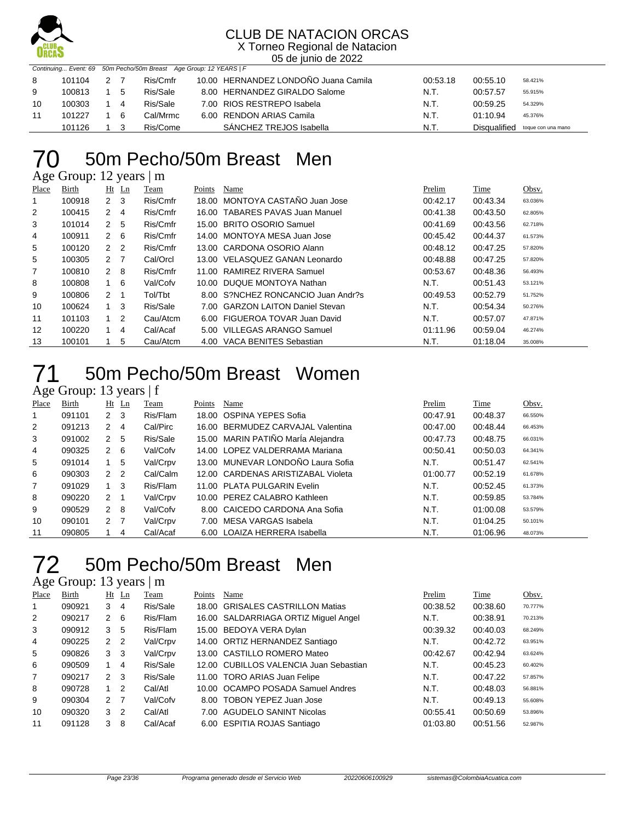

X Torneo Regional de Natacion 05 de junio de 2022

|    | Continuing Event: 69 50m Pecho/50m Breast Age Group: 12 YEARS   F |  |     |          |  |                                      |          |              |                    |  |  |
|----|-------------------------------------------------------------------|--|-----|----------|--|--------------------------------------|----------|--------------|--------------------|--|--|
| 8  | 101104                                                            |  |     | Ris/Cmfr |  | 10.00 HERNANDEZ LONDOÑO Juana Camila | 00:53.18 | 00:55.10     | 58.421%            |  |  |
| 9  | 100813                                                            |  | -5  | Ris/Sale |  | 8.00 HERNANDEZ GIRALDO Salome        | N.T.     | 00:57.57     | 55.915%            |  |  |
| 10 | 100303                                                            |  | 4   | Ris/Sale |  | 7.00 RIOS RESTREPO Isabela           | N.T.     | 00:59.25     | 54.329%            |  |  |
| 11 | 101227                                                            |  | - 6 | Cal/Mrmc |  | 6.00 RENDON ARIAS Camila             | N.T.     | 01:10.94     | 45.376%            |  |  |
|    | 101126                                                            |  |     | Ris/Come |  | SANCHEZ TREJOS Isabella              | N.T.     | Disgualified | toque con una mano |  |  |

### 50m Pecho/50m Breast Men

Age Group: 12 years | m

| Place          | Birth  |                | $Ht$ Ln        | Team     | Points | Name                               | Prelim   | Time     | Obsv.   |
|----------------|--------|----------------|----------------|----------|--------|------------------------------------|----------|----------|---------|
|                | 100918 | 2              | - 3            | Ris/Cmfr |        | 18.00 MONTOYA CASTAÑO Juan Jose    | 00:42.17 | 00:43.34 | 63.036% |
| $\overline{2}$ | 100415 | 2              | $\overline{4}$ | Ris/Cmfr |        | 16.00 TABARES PAVAS Juan Manuel    | 00:41.38 | 00:43.50 | 62.805% |
| 3              | 101014 | 2              | 5              | Ris/Cmfr |        | 15.00 BRITO OSORIO Samuel          | 00:41.69 | 00:43.56 | 62.718% |
| 4              | 100911 | $2 \quad 6$    |                | Ris/Cmfr |        | 14.00 MONTOYA MESA Juan Jose       | 00:45.42 | 00:44.37 | 61.573% |
| 5              | 100120 | 2 <sub>2</sub> |                | Ris/Cmfr |        | 13.00 CARDONA OSORIO Alann         | 00:48.12 | 00:47.25 | 57.820% |
| 5              | 100305 | 2 7            |                | Cal/Orcl |        | 13.00 VELASQUEZ GANAN Leonardo     | 00:48.88 | 00:47.25 | 57.820% |
| $\overline{7}$ | 100810 | $2 \quad 8$    |                | Ris/Cmfr |        | 11.00 RAMIREZ RIVERA Samuel        | 00:53.67 | 00:48.36 | 56.493% |
| 8              | 100808 |                | $1\quad 6$     | Val/Cofv |        | 10.00 DUQUE MONTOYA Nathan         | N.T.     | 00:51.43 | 53.121% |
| 9              | 100806 | 2              |                | Tol/Tbt  |        | 8.00 S?NCHEZ RONCANCIO Juan Andr?s | 00:49.53 | 00:52.79 | 51.752% |
| 10             | 100624 |                | $1 \quad 3$    | Ris/Sale |        | 7.00 GARZON LAITON Daniel Stevan   | N.T.     | 00:54.34 | 50.276% |
| 11             | 101103 |                | $\overline{2}$ | Cau/Atcm |        | 6.00 FIGUEROA TOVAR Juan David     | N.T.     | 00:57.07 | 47.871% |
| 12             | 100220 | 1.             | 4              | Cal/Acaf | 5.00   | VILLEGAS ARANGO Samuel             | 01:11.96 | 00:59.04 | 46.274% |
| 13             | 100101 |                | 5              | Cau/Atcm | 4.00   | VACA BENITES Sebastian             | N.T.     | 01:18.04 | 35.008% |

### 50m Pecho/50m Breast Women

Age Group: 13 years | f

| Place          | Birth  |                | $Ht$ Ln | Team     | Points | Name                               | Prelim   | Time     | Obsv.   |
|----------------|--------|----------------|---------|----------|--------|------------------------------------|----------|----------|---------|
|                | 091101 | $2 \quad 3$    |         | Ris/Flam |        | 18.00 OSPINA YEPES Sofia           | 00:47.91 | 00:48.37 | 66.550% |
| $\overline{2}$ | 091213 | 2              | -4      | Cal/Pirc |        | 16.00 BERMUDEZ CARVAJAL Valentina  | 00:47.00 | 00:48.44 | 66.453% |
| 3              | 091002 | 2              | -5      | Ris/Sale |        | 15.00 MARIN PATIÑO MarÍa Alejandra | 00:47.73 | 00:48.75 | 66.031% |
| 4              | 090325 | 2              | - 6     | Val/Cofv |        | 14.00 LOPEZ VALDERRAMA Mariana     | 00:50.41 | 00:50.03 | 64.341% |
| 5              | 091014 |                | 5       | Val/Crpv |        | 13.00 MUNEVAR LONDOÑO Laura Sofia  | N.T.     | 00:51.47 | 62.541% |
| 6              | 090303 | 2 <sub>2</sub> |         | Cal/Calm |        | 12.00 CARDENAS ARISTIZABAL Violeta | 01:00.77 | 00:52.19 | 61.678% |
| 7              | 091029 |                | -3      | Ris/Flam |        | 11.00 PLATA PULGARIN Evelin        | N.T.     | 00:52.45 | 61.373% |
| 8              | 090220 | $2 \quad 1$    |         | Val/Crpv |        | 10.00 PEREZ CALABRO Kathleen       | N.T.     | 00:59.85 | 53.784% |
| 9              | 090529 | $2 \quad 8$    |         | Val/Cofv |        | 8.00 CAICEDO CARDONA Ana Sofia     | N.T.     | 01:00.08 | 53.579% |
| 10             | 090101 | 2 7            |         | Val/Crpv |        | 7.00 MESA VARGAS Isabela           | N.T.     | 01:04.25 | 50.101% |
| 11             | 090805 |                | 4       | Cal/Acaf |        | 6.00 LOAIZA HERRERA Isabella       | N.T.     | 01:06.96 | 48.073% |

### 50m Pecho/50m Breast Men

#### Age Group: 13 years | m

| Place | <b>Birth</b> |                | $Ht$ Ln | Team     | Points | Name                                   | Prelim   | Time     | Obsv.   |
|-------|--------------|----------------|---------|----------|--------|----------------------------------------|----------|----------|---------|
| 1     | 090921       | 3              | 4       | Ris/Sale |        | 18.00 GRISALES CASTRILLON Matias       | 00:38.52 | 00:38.60 | 70.777% |
| 2     | 090217       | $\mathcal{P}$  | -6      | Ris/Flam |        | 16.00 SALDARRIAGA ORTIZ Miguel Angel   | N.T.     | 00:38.91 | 70.213% |
| 3     | 090912       | 3              | 5       | Ris/Flam |        | 15.00 BEDOYA VERA Dylan                | 00:39.32 | 00:40.03 | 68.249% |
| 4     | 090225       | 2 <sub>2</sub> |         | Val/Crpv |        | 14.00 ORTIZ HERNANDEZ Santiago         | N.T.     | 00:42.72 | 63.951% |
| 5     | 090826       | 3              | -3      | Val/Crpv |        | 13.00 CASTILLO ROMERO Mateo            | 00:42.67 | 00:42.94 | 63.624% |
| 6     | 090509       |                | 4       | Ris/Sale |        | 12.00 CUBILLOS VALENCIA Juan Sebastian | N.T.     | 00:45.23 | 60.402% |
| 7     | 090217       | $\mathcal{P}$  | -3      | Ris/Sale |        | 11.00 TORO ARIAS Juan Felipe           | N.T.     | 00:47.22 | 57.857% |
| 8     | 090728       | $\mathbf{1}$   | 2       | Cal/Atl  |        | 10.00 OCAMPO POSADA Samuel Andres      | N.T.     | 00:48.03 | 56.881% |
| 9     | 090304       | 2 7            |         | Val/Cofv |        | 8.00 TOBON YEPEZ Juan Jose             | N.T.     | 00:49.13 | 55.608% |
| 10    | 090320       | 3              | 2       | Cal/Atl  |        | 7.00 AGUDELO SANINT Nicolas            | 00:55.41 | 00:50.69 | 53.896% |
| 11    | 091128       | 3              | 8       | Cal/Acaf |        | 6.00 ESPITIA ROJAS Santiago            | 01:03.80 | 00:51.56 | 52.987% |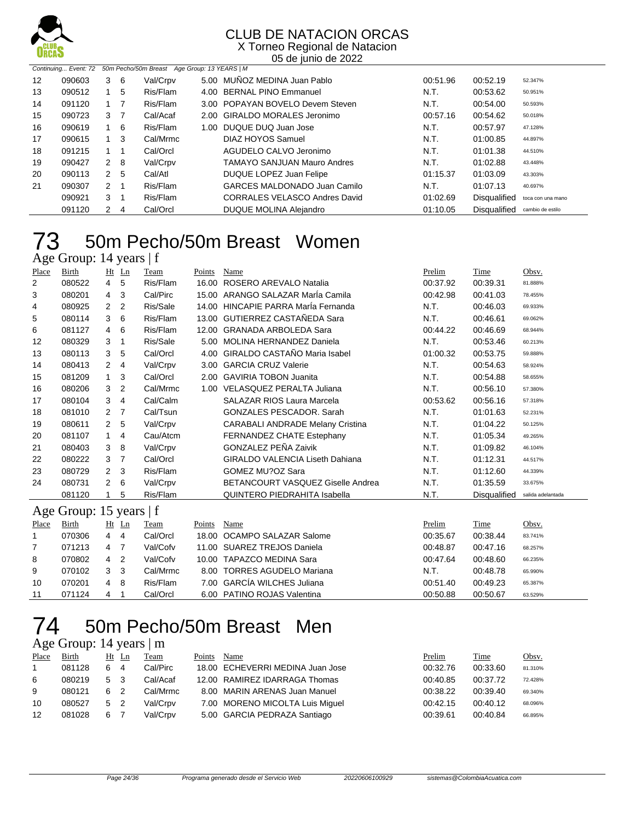

X Torneo Regional de Natacion 05 de junio de 2022

|                 | Continuing Event: 72 | 50m Pecho/50m Breast Age Group: 13 YEARS   M |     |          |  |                                    |          |                     |                   |  |
|-----------------|----------------------|----------------------------------------------|-----|----------|--|------------------------------------|----------|---------------------|-------------------|--|
| 12 <sup>2</sup> | 090603               | 3                                            | - 6 | Val/Crpv |  | 5.00 MUNOZ MEDINA Juan Pablo       | 00:51.96 | 00:52.19            | 52.347%           |  |
| 13              | 090512               |                                              | 5   | Ris/Flam |  | 4.00 BERNAL PINO Emmanuel          | N.T.     | 00:53.62            | 50.951%           |  |
| 14              | 091120               | $1 \quad 7$                                  |     | Ris/Flam |  | 3.00 POPAYAN BOVELO Devem Steven   | N.T.     | 00:54.00            | 50.593%           |  |
| 15              | 090723               | 3 <sub>7</sub>                               |     | Cal/Acaf |  | 2.00 GIRALDO MORALES Jeronimo      | 00:57.16 | 00:54.62            | 50.018%           |  |
| 16              | 090619               | $\mathbf{1}$                                 | -6  | Ris/Flam |  | 1.00 DUQUE DUQ Juan Jose           | N.T.     | 00:57.97            | 47.128%           |  |
| 17              | 090615               | 1                                            | 3   | Cal/Mrmc |  | DIAZ HOYOS Samuel                  | N.T.     | 01:00.85            | 44.897%           |  |
| 18              | 091215               | $1 \quad 1$                                  |     | Cal/Orcl |  | AGUDELO CALVO Jeronimo             | N.T.     | 01:01.38            | 44.510%           |  |
| 19              | 090427               | 2                                            | -8  | Val/Crpv |  | <b>TAMAYO SANJUAN Mauro Andres</b> | N.T.     | 01:02.88            | 43.448%           |  |
| 20              | 090113               | 2                                            | 5   | Cal/Atl  |  | DUQUE LOPEZ Juan Felipe            | 01:15.37 | 01:03.09            | 43.303%           |  |
| 21              | 090307               | 2                                            |     | Ris/Flam |  | GARCES MALDONADO Juan Camilo       | N.T.     | 01:07.13            | 40.697%           |  |
|                 | 090921               | 3                                            |     | Ris/Flam |  | CORRALES VELASCO Andres David      | 01:02.69 | Disqualified        | toca con una mano |  |
|                 | 091120               | 2                                            | 4   | Cal/Orcl |  | DUQUE MOLINA Alejandro             | 01:10.05 | <b>Disqualified</b> | cambio de estilo  |  |

#### 50m Pecho/50m Breast Women Age Group: 14 years | f

| 1.50         | O104p.11                |                | $, \, \mathrm{cm}$ |          |        |                                         |          |              |                   |
|--------------|-------------------------|----------------|--------------------|----------|--------|-----------------------------------------|----------|--------------|-------------------|
| Place        | Birth                   |                | $Ht$ Ln            | Team     | Points | Name                                    | Prelim   | Time         | Obsv.             |
| 2            | 080522                  | 4              | 5                  | Ris/Flam | 16.00  | ROSERO AREVALO Natalia                  | 00:37.92 | 00:39.31     | 81.888%           |
| 3            | 080201                  | 4              | 3                  | Cal/Pirc |        | 15.00 ARANGO SALAZAR MarÍa Camila       | 00:42.98 | 00:41.03     | 78.455%           |
| 4            | 080925                  | $\overline{2}$ | 2                  | Ris/Sale | 14.00  | HINCAPIE PARRA María Fernanda           | N.T.     | 00:46.03     | 69.933%           |
| 5            | 080114                  | 3              | 6                  | Ris/Flam | 13.00  | GUTIERREZ CASTAÑEDA Sara                | N.T.     | 00:46.61     | 69.062%           |
| 6            | 081127                  | 4              | 6                  | Ris/Flam | 12.00  | <b>GRANADA ARBOLEDA Sara</b>            | 00:44.22 | 00:46.69     | 68.944%           |
| 12           | 080329                  | 3              | 1                  | Ris/Sale | 5.00   | MOLINA HERNANDEZ Daniela                | N.T.     | 00:53.46     | 60.213%           |
| 13           | 080113                  | 3              | 5                  | Cal/Orcl | 4.00   | GIRALDO CASTAÑO Maria Isabel            | 01:00.32 | 00:53.75     | 59.888%           |
| 14           | 080413                  | $\overline{2}$ | 4                  | Val/Crpv | 3.00   | <b>GARCIA CRUZ Valerie</b>              | N.T.     | 00:54.63     | 58.924%           |
| 15           | 081209                  | $\mathbf{1}$   | 3                  | Cal/Orcl | 2.00   | <b>GAVIRIA TOBON Juanita</b>            | N.T.     | 00:54.88     | 58.655%           |
| 16           | 080206                  | 3              | 2                  | Cal/Mrmc |        | 1.00 VELASQUEZ PERALTA Juliana          | N.T.     | 00:56.10     | 57.380%           |
| 17           | 080104                  | 3              | 4                  | Cal/Calm |        | <b>SALAZAR RIOS Laura Marcela</b>       | 00:53.62 | 00:56.16     | 57.318%           |
| 18           | 081010                  | $\overline{2}$ | 7                  | Cal/Tsun |        | <b>GONZALES PESCADOR, Sarah</b>         | N.T.     | 01:01.63     | 52.231%           |
| 19           | 080611                  | 2              | 5                  | Val/Crpv |        | <b>CARABALI ANDRADE Melany Cristina</b> | N.T.     | 01:04.22     | 50.125%           |
| 20           | 081107                  | $\mathbf{1}$   | 4                  | Cau/Atcm |        | FERNANDEZ CHATE Estephany               | N.T.     | 01:05.34     | 49.265%           |
| 21           | 080403                  | 3              | 8                  | Val/Crpv |        | <b>GONZALEZ PEÑA Zaivik</b>             | N.T.     | 01:09.82     | 46.104%           |
| 22           | 080222                  | 3              | 7                  | Cal/Orcl |        | <b>GIRALDO VALENCIA Liseth Dahiana</b>  | N.T.     | 01:12.31     | 44.517%           |
| 23           | 080729                  | $\overline{2}$ | 3                  | Ris/Flam |        | GOMEZ MU?OZ Sara                        | N.T.     | 01:12.60     | 44.339%           |
| 24           | 080731                  | $\overline{2}$ | 6                  | Val/Crpv |        | BETANCOURT VASQUEZ Giselle Andrea       | N.T.     | 01:35.59     | 33.675%           |
|              | 081120                  | 1              | 5                  | Ris/Flam |        | <b>QUINTERO PIEDRAHITA Isabella</b>     | N.T.     | Disqualified | salida adelantada |
|              | Age Group: 15 years   f |                |                    |          |        |                                         |          |              |                   |
| Place        | Birth                   | Ht             | Ln                 | Team     | Points | Name                                    | Prelim   | Time         | Obsv.             |
| $\mathbf{1}$ | 070306                  | 4              | $\overline{4}$     | Cal/Orcl | 18.00  | OCAMPO SALAZAR Salome                   | 00:35.67 | 00:38.44     | 83.741%           |
| 7            | 071213                  | $\overline{4}$ | $\overline{7}$     | Val/Cofv | 11.00  | <b>SUAREZ TREJOS Daniela</b>            | 00:48.87 | 00:47.16     | 68.257%           |
| 8            | 070802                  | 4              | 2                  | Val/Cofv | 10.00  | <b>TAPAZCO MEDINA Sara</b>              | 00:47.64 | 00:48.60     | 66.235%           |
| 9            | 070102                  | 3              | 3                  | Cal/Mrmc | 8.00   | <b>TORRES AGUDELO Mariana</b>           | N.T.     | 00:48.78     | 65.990%           |
| 10           | 070201                  | 4              | 8                  | Ris/Flam | 7.00   | <b>GARCÍA WILCHES Juliana</b>           | 00:51.40 | 00:49.23     | 65.387%           |
| 11           | 071124                  | 4              | 1                  | Cal/Orcl |        | 6.00 PATINO ROJAS Valentina             | 00:50.88 | 00:50.67     | 63.529%           |

#### 50m Pecho/50m Breast Men 74 50m Pech<br>Age Group: 14 years | m

| Place | Birth  |    | Ht Ln | Team     | Points | Name                             | Prelim   | Time     | Obsv.   |
|-------|--------|----|-------|----------|--------|----------------------------------|----------|----------|---------|
|       | 081128 | 6. | 4     | Cal/Pirc |        | 18.00 ECHEVERRI MEDINA Juan Jose | 00:32.76 | 00:33.60 | 81.310% |
| 6     | 080219 | 5  | -3    | Cal/Acaf |        | 12.00 RAMIREZ IDARRAGA Thomas    | 00:40.85 | 00:37.72 | 72.428% |
| 9     | 080121 | 6  | 2     | Cal/Mrmc |        | 8.00 MARIN ARENAS Juan Manuel    | 00:38.22 | 00:39.40 | 69.340% |
| 10    | 080527 | 5  | -2    | Val/Crpv |        | 7.00 MORENO MICOLTA Luis Miguel  | 00:42.15 | 00:40.12 | 68.096% |
| 12    | 081028 | 6  |       | Val/Crpv |        | 5.00 GARCIA PEDRAZA Santiago     | 00:39.61 | 00:40.84 | 66.895% |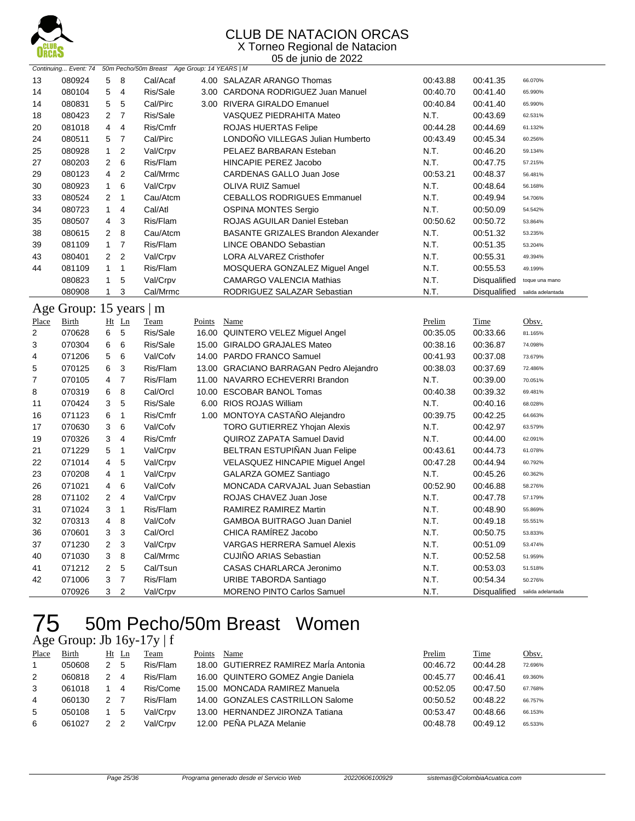

#### CLUB DE NATACION ORCAS X Torneo Regional de Natacion

05 de junio de 2022

|                   | Continuing Event: 74    |                         |                | 50m Pecho/50m Breast Age Group: 14 YEARS   M |        |                                           |          |                                |                   |
|-------------------|-------------------------|-------------------------|----------------|----------------------------------------------|--------|-------------------------------------------|----------|--------------------------------|-------------------|
| 13                | 080924                  | 5                       | 8              | Cal/Acaf                                     |        | 4.00 SALAZAR ARANGO Thomas                | 00:43.88 | 00:41.35                       | 66.070%           |
| 14                | 080104                  | 5                       | $\overline{4}$ | Ris/Sale                                     |        | 3.00 CARDONA RODRIGUEZ Juan Manuel        | 00:40.70 | 00:41.40                       | 65.990%           |
| 14                | 080831                  | 5                       | 5              | Cal/Pirc                                     |        | 3.00 RIVERA GIRALDO Emanuel               | 00:40.84 | 00:41.40                       | 65.990%           |
| 18                | 080423                  | 2                       | $\overline{7}$ | Ris/Sale                                     |        | VASQUEZ PIEDRAHITA Mateo                  | N.T.     | 00:43.69                       | 62.531%           |
| 20                | 081018                  | 4                       | $\overline{4}$ | Ris/Cmfr                                     |        | ROJAS HUERTAS Felipe                      | 00:44.28 | 00:44.69                       | 61.132%           |
| 24                | 080511                  | 5                       | $\overline{7}$ | Cal/Pirc                                     |        | LONDOÑO VILLEGAS Julian Humberto          | 00:43.49 | 00:45.34                       | 60.256%           |
| 25                | 080928                  | $\mathbf{1}$            | 2              | Val/Crpv                                     |        | PELAEZ BARBARAN Esteban                   | N.T.     | 00:46.20                       | 59.134%           |
| 27                | 080203                  | 2                       | 6              | Ris/Flam                                     |        | HINCAPIE PEREZ Jacobo                     | N.T.     | 00:47.75                       | 57.215%           |
| 29                | 080123                  | 4                       | $\overline{2}$ | Cal/Mrmc                                     |        | <b>CARDENAS GALLO Juan Jose</b>           | 00:53.21 | 00:48.37                       | 56.481%           |
| 30                | 080923                  | $\mathbf{1}$            | 6              | Val/Crpv                                     |        | <b>OLIVA RUIZ Samuel</b>                  | N.T.     | 00:48.64                       | 56.168%           |
| 33                | 080524                  | $\overline{2}$          | $\mathbf{1}$   | Cau/Atcm                                     |        | <b>CEBALLOS RODRIGUES Emmanuel</b>        | N.T.     | 00:49.94                       | 54.706%           |
| 34                | 080723                  | $\mathbf{1}$            | $\overline{4}$ | Cal/Atl                                      |        | <b>OSPINA MONTES Sergio</b>               | N.T.     | 00:50.09                       | 54.542%           |
| 35                | 080507                  | 4                       | 3              | Ris/Flam                                     |        | ROJAS AGUILAR Daniel Esteban              | 00:50.62 | 00:50.72                       | 53.864%           |
| 38                | 080615                  | 2                       | 8              | Cau/Atcm                                     |        | <b>BASANTE GRIZALES Brandon Alexander</b> | N.T.     | 00:51.32                       | 53.235%           |
| 39                | 081109                  | $\mathbf{1}$            | $\overline{7}$ | Ris/Flam                                     |        | LINCE OBANDO Sebastian                    | N.T.     | 00:51.35                       | 53.204%           |
| 43                | 080401                  | 2                       | $\overline{2}$ | Val/Crpv                                     |        | <b>LORA ALVAREZ Cristhofer</b>            | N.T.     | 00:55.31                       | 49.394%           |
| 44                | 081109                  | $\mathbf{1}$            | $\mathbf{1}$   | Ris/Flam                                     |        | MOSQUERA GONZALEZ Miguel Angel            | N.T.     | 00:55.53                       | 49.199%           |
|                   | 080823                  | $\mathbf{1}$            | 5              | Val/Crpv                                     |        | <b>CAMARGO VALENCIA Mathias</b>           | N.T.     | Disqualified                   | toque una mano    |
|                   | 080908                  | $\mathbf{1}$            | 3              | Cal/Mrmc                                     |        | RODRIGUEZ SALAZAR Sebastian               | N.T.     | Disqualified                   | salida adelantada |
|                   | Age Group: 15 years   m |                         |                |                                              |        |                                           |          |                                |                   |
|                   | Birth                   |                         | $Ht$ Ln        | Team                                         | Points | Name                                      | Prelim   | Time                           | Obsv.             |
| <b>Place</b><br>2 | 070628                  | 6                       | $\sqrt{5}$     | Ris/Sale                                     |        | 16.00 QUINTERO VELEZ Miguel Angel         | 00:35.05 | 00:33.66                       | 81.165%           |
| 3                 | 070304                  | 6                       | 6              | Ris/Sale                                     |        | 15.00 GIRALDO GRAJALES Mateo              | 00:38.16 | 00:36.87                       | 74.098%           |
| 4                 | 071206                  | 5                       | 6              | Val/Cofv                                     |        | 14.00 PARDO FRANCO Samuel                 | 00:41.93 | 00:37.08                       | 73.679%           |
| 5                 | 070125                  | 6                       | 3              | Ris/Flam                                     |        | 13.00 GRACIANO BARRAGAN Pedro Alejandro   | 00:38.03 | 00:37.69                       | 72.486%           |
| 7                 | 070105                  | 4                       | $\overline{7}$ | Ris/Flam                                     |        | 11.00 NAVARRO ECHEVERRI Brandon           | N.T.     | 00:39.00                       | 70.051%           |
| 8                 | 070319                  | 6                       | 8              | Cal/Orcl                                     |        | 10.00 ESCOBAR BANOL Tomas                 | 00:40.38 | 00:39.32                       | 69.481%           |
| 11                | 070424                  | 3                       | 5              | Ris/Sale                                     |        | 6.00 RIOS ROJAS William                   | N.T.     | 00:40.16                       | 68.028%           |
| 16                | 071123                  | 6                       | $\mathbf{1}$   | Ris/Cmfr                                     |        | 1.00 MONTOYA CASTAÑO Alejandro            | 00:39.75 | 00:42.25                       | 64.663%           |
| 17                | 070630                  | 3                       | 6              | Val/Cofv                                     |        | TORO GUTIERREZ Yhojan Alexis              | N.T.     | 00:42.97                       | 63.579%           |
| 19                | 070326                  | 3                       | $\overline{4}$ | Ris/Cmfr                                     |        | QUIROZ ZAPATA Samuel David                | N.T.     | 00:44.00                       | 62.091%           |
| 21                | 071229                  | 5                       | $\mathbf{1}$   | Val/Crpv                                     |        | BELTRAN ESTUPIÑAN Juan Felipe             | 00:43.61 | 00:44.73                       | 61.078%           |
| 22                | 071014                  | 4                       | 5              | Val/Crpv                                     |        | <b>VELASQUEZ HINCAPIE Miguel Angel</b>    | 00:47.28 | 00:44.94                       | 60.792%           |
| 23                | 070208                  | 4                       | $\mathbf{1}$   | Val/Crpv                                     |        | GALARZA GOMEZ Santiago                    | N.T.     | 00:45.26                       | 60.362%           |
| 26                | 071021                  | 4                       | 6              | Val/Cofv                                     |        | MONCADA CARVAJAL Juan Sebastian           | 00:52.90 | 00:46.88                       | 58.276%           |
| 28                | 071102                  | 2                       | $\overline{4}$ | Val/Crpv                                     |        | ROJAS CHAVEZ Juan Jose                    | N.T.     | 00:47.78                       | 57.179%           |
| 31                | 071024                  | 3                       | $\mathbf{1}$   | Ris/Flam                                     |        | RAMIREZ RAMIREZ Martin                    | N.T.     | 00:48.90                       | 55.869%           |
| 32                | 070313                  | 4                       | 8              | Val/Cofv                                     |        | <b>GAMBOA BUITRAGO Juan Daniel</b>        | N.T.     | 00:49.18                       | 55.551%           |
| 36                | 070601                  | 3                       | 3              | Cal/Orcl                                     |        | CHICA RAMÍREZ Jacobo                      | N.T.     | 00:50.75                       | 53.833%           |
| 37                | 071230                  | $\overline{\mathbf{c}}$ | 3              | Val/Crpv                                     |        | <b>VARGAS HERRERA Samuel Alexis</b>       | N.T.     | 00:51.09                       | 53.474%           |
| 40                | 071030                  | 3                       | 8              | Cal/Mrmc                                     |        | CUJIÑO ARIAS Sebastian                    | N.T.     | 00:52.58                       | 51.959%           |
| 41                | 071212                  | $\overline{2}$          | 5              | Cal/Tsun                                     |        | CASAS CHARLARCA Jeronimo                  | N.T.     | 00:53.03                       | 51.518%           |
| 42                | 071006                  | 3                       | $\overline{7}$ | Ris/Flam                                     |        | URIBE TABORDA Santiago                    | N.T.     | 00:54.34                       | 50.276%           |
|                   | 070926                  | 3                       | $\overline{2}$ | Val/Crpv                                     |        | <b>MORENO PINTO Carlos Samuel</b>         | N.T.     | Disqualified salida adelantada |                   |
|                   |                         |                         |                |                                              |        |                                           |          |                                |                   |

## 50m Pecho/50m Breast Women

#### Age Group: Jb 16y-17y | f

| Place | Birth  |               | Ht Ln | Team     | Points | Name                                  | Prelim   | Time     | Obsv.   |
|-------|--------|---------------|-------|----------|--------|---------------------------------------|----------|----------|---------|
|       | 050608 | $\mathcal{P}$ | 5     | Ris/Flam |        | 18.00 GUTIERREZ RAMIREZ Maria Antonia | 00:46.72 | 00:44.28 | 72.696% |
| 2     | 060818 |               | 4     | Ris/Flam |        | 16.00 QUINTERO GOMEZ Angie Daniela    | 00:45.77 | 00:46.41 | 69.360% |
| 3     | 061018 |               | 4     | Ris/Come |        | 15.00 MONCADA RAMIREZ Manuela         | 00:52.05 | 00:47.50 | 67.768% |
| 4     | 060130 |               |       | Ris/Flam |        | 14.00 GONZALES CASTRILLON Salome      | 00:50.52 | 00:48.22 | 66.757% |
| 5     | 050108 |               | 5     | Val/Crpv |        | 13.00 HERNANDEZ JIRONZA Tatiana       | 00:53.47 | 00:48.66 | 66.153% |
| 6     | 061027 | $\mathcal{P}$ |       | Val/Crpv |        | 12.00 PEÑA PLAZA Melanie              | 00:48.78 | 00:49.12 | 65.533% |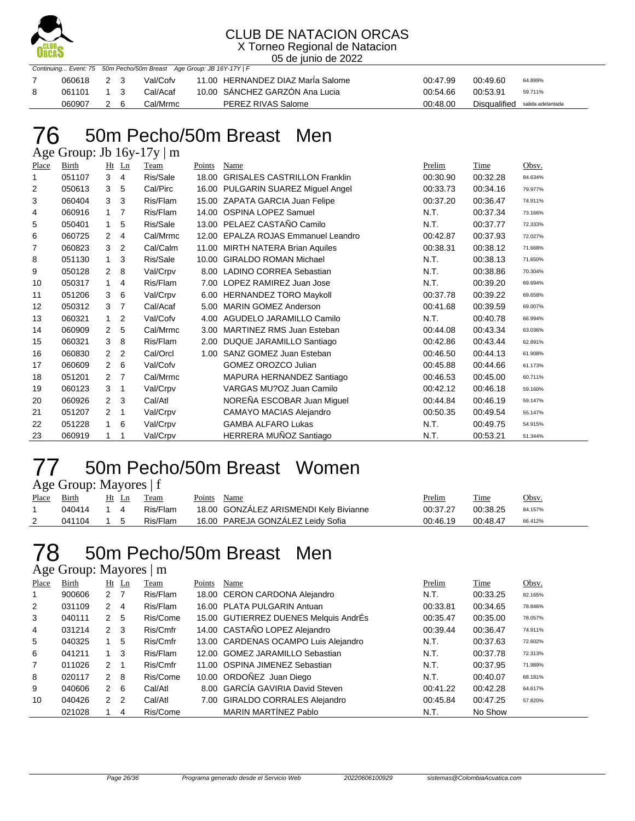

X Torneo Regional de Natacion 05 de junio de 2022

|            |    | Continuing Event: 75 50m Pecho/50m Breast Age Group: JB 16Y-17Y   F |                                   |          |                                |         |
|------------|----|---------------------------------------------------------------------|-----------------------------------|----------|--------------------------------|---------|
| 060618 2 3 |    | Val/Cofv                                                            | 11.00 HERNANDEZ DIAZ Marla Salome | 00:47.99 | 00:49.60                       | 64.899% |
| 061101 1 3 |    | Cal/Acaf                                                            | 10.00 SANCHEZ GARZÓN Ana Lucia    | 00:54.66 | 00:53.91                       | 59.711% |
| 060907     | 26 | Cal/Mrmc                                                            | PEREZ RIVAS Salome                | 00:48.00 | Disqualified salida adelantada |         |

## 50m Pecho/50m Breast Men

Age Group: Jb 16y-17y | m

| Place | <b>Birth</b> | Ht                   | $\mathbf{L}$ n | Team     | Points | Name                                 | Prelim   | Time     | Obsv.   |
|-------|--------------|----------------------|----------------|----------|--------|--------------------------------------|----------|----------|---------|
| 1     | 051107       | 3                    | $\overline{4}$ | Ris/Sale | 18.00  | <b>GRISALES CASTRILLON Franklin</b>  | 00:30.90 | 00:32.28 | 84.634% |
| 2     | 050613       | 3                    | 5              | Cal/Pirc |        | 16.00 PULGARIN SUAREZ Miguel Angel   | 00:33.73 | 00:34.16 | 79.977% |
| 3     | 060404       | 3                    | 3              | Ris/Flam |        | 15.00 ZAPATA GARCIA Juan Felipe      | 00:37.20 | 00:36.47 | 74.911% |
| 4     | 060916       | $\mathbf{1}$         | 7              | Ris/Flam | 14.00  | <b>OSPINA LOPEZ Samuel</b>           | N.T.     | 00:37.34 | 73.166% |
| 5     | 050401       | 1                    | 5              | Ris/Sale | 13.00  | PELAEZ CASTAÑO Camilo                | N.T.     | 00:37.77 | 72.333% |
| 6     | 060725       | 2                    | 4              | Cal/Mrmc | 12.00  | <b>EPALZA ROJAS Emmanuel Leandro</b> | 00:42.87 | 00:37.93 | 72.027% |
| 7     | 060823       | 3                    | 2              | Cal/Calm | 11.00  | <b>MIRTH NATERA Brian Aquiles</b>    | 00:38.31 | 00:38.12 | 71.668% |
| 8     | 051130       | 1                    | 3              | Ris/Sale | 10.00  | <b>GIRALDO ROMAN Michael</b>         | N.T.     | 00:38.13 | 71.650% |
| 9     | 050128       | 2                    | 8              | Val/Crpv | 8.00   | <b>LADINO CORREA Sebastian</b>       | N.T.     | 00:38.86 | 70.304% |
| 10    | 050317       | 1                    | 4              | Ris/Flam | 7.00   | LOPEZ RAMIREZ Juan Jose              | N.T.     | 00:39.20 | 69.694% |
| 11    | 051206       | 3                    | 6              | Val/Crpv | 6.00   | <b>HERNANDEZ TORO Maykoll</b>        | 00:37.78 | 00:39.22 | 69.658% |
| 12    | 050312       | 3                    | 7              | Cal/Acaf | 5.00   | <b>MARIN GOMEZ Anderson</b>          | 00:41.68 | 00:39.59 | 69.007% |
| 13    | 060321       | 1                    | 2              | Val/Cofv | 4.00   | AGUDELO JARAMILLO Camilo             | N.T.     | 00:40.78 | 66.994% |
| 14    | 060909       | $\overline{2}$       | 5              | Cal/Mrmc | 3.00   | <b>MARTINEZ RMS Juan Esteban</b>     | 00:44.08 | 00:43.34 | 63.036% |
| 15    | 060321       | 3                    | 8              | Ris/Flam | 2.00   | DUQUE JARAMILLO Santiago             | 00:42.86 | 00:43.44 | 62.891% |
| 16    | 060830       | $\overline{2}$       | $\overline{2}$ | Cal/Orcl | 1.00   | SANZ GOMEZ Juan Esteban              | 00:46.50 | 00:44.13 | 61.908% |
| 17    | 060609       | $\overline{2}$       | 6              | Val/Cofv |        | <b>GOMEZ OROZCO Julian</b>           | 00:45.88 | 00:44.66 | 61.173% |
| 18    | 051201       | 2                    | 7              | Cal/Mrmc |        | MAPURA HERNANDEZ Santiago            | 00:46.53 | 00:45.00 | 60.711% |
| 19    | 060123       | 3                    | 1              | Val/Crpv |        | VARGAS MU?OZ Juan Camilo             | 00:42.12 | 00:46.18 | 59.160% |
| 20    | 060926       | $\mathbf{2}^{\circ}$ | 3              | Cal/Atl  |        | NOREÑA ESCOBAR Juan Miguel           | 00:44.84 | 00:46.19 | 59.147% |
| 21    | 051207       | $\overline{2}$       | 1              | Val/Crpv |        | <b>CAMAYO MACIAS Alejandro</b>       | 00:50.35 | 00:49.54 | 55.147% |
| 22    | 051228       | $\mathbf{1}$         | 6              | Val/Crpv |        | <b>GAMBA ALFARO Lukas</b>            | N.T.     | 00:49.75 | 54.915% |
| 23    | 060919       | 1                    | 1              | Val/Crpv |        | HERRERA MUÑOZ Santiago               | N.T.     | 00:53.21 | 51.344% |

#### 50m Pecho/50m Breast Women Age Group: Mayores | f

| Place | <b>Birth</b> | $Ht$ Ln   | Team     | Points Name                            | <u>Prelim</u> | <b>Time</b> | Obsv.   |
|-------|--------------|-----------|----------|----------------------------------------|---------------|-------------|---------|
|       | 040414 1 4   |           | Ris/Flam | 18.00 GONZALEZ ARISMENDI Kely Bivianne | 00:37.27      | 00:38.25    | 84.157% |
|       | 041104       | $1\quad5$ | Ris/Flam | 16.00 PAREJA GONZALEZ Leidy Sofia      | 00:46.19      | 00:48.47    | 66.412% |

### 50m Pecho/50m Breast Men

#### Age Group: Mayores | m

| Place          | Birth  |                | $Ht$ Ln        | Team     | Points | Name                                  | Prelim   | Time     | Obsv.   |
|----------------|--------|----------------|----------------|----------|--------|---------------------------------------|----------|----------|---------|
| 1              | 900606 | 2 <sub>7</sub> |                | Ris/Flam |        | 18.00 CERON CARDONA Alejandro         | N.T.     | 00:33.25 | 82.165% |
| 2              | 031109 | $\overline{2}$ | -4             | Ris/Flam |        | 16.00 PLATA PULGARIN Antuan           | 00:33.81 | 00:34.65 | 78.846% |
| 3              | 040111 | 2 <sub>5</sub> |                | Ris/Come |        | 15.00 GUTIERREZ DUENES Melquis AndrÉs | 00:35.47 | 00:35.00 | 78.057% |
| $\overline{4}$ | 031214 | $2 \quad 3$    |                | Ris/Cmfr |        | 14.00 CASTAÑO LOPEZ Alejandro         | 00:39.44 | 00:36.47 | 74.911% |
| 5              | 040325 |                | 5              | Ris/Cmfr |        | 13.00 CARDENAS OCAMPO Luis Alejandro  | N.T.     | 00:37.63 | 72.602% |
| 6              | 041211 | $1 \quad 3$    |                | Ris/Flam |        | 12.00 GOMEZ JARAMILLO Sebastian       | N.T.     | 00:37.78 | 72.313% |
| $\overline{7}$ | 011026 | $\overline{2}$ | $\overline{1}$ | Ris/Cmfr |        | 11.00 OSPINA JIMENEZ Sebastian        | N.T.     | 00:37.95 | 71.989% |
| 8              | 020117 | 2              | - 8            | Ris/Come |        | 10.00 ORDOÑEZ Juan Diego              | N.T.     | 00:40.07 | 68.181% |
| 9              | 040606 | $2 \quad 6$    |                | Cal/Atl  |        | 8.00 GARCÍA GAVIRIA David Steven      | 00:41.22 | 00:42.28 | 64.617% |
| 10             | 040426 | 2 <sub>2</sub> |                | Cal/Atl  |        | 7.00 GIRALDO CORRALES Alejandro       | 00:45.84 | 00:47.25 | 57.820% |
|                | 021028 |                | 4              | Ris/Come |        | MARIN MARTÍNEZ Pablo                  | N.T.     | No Show  |         |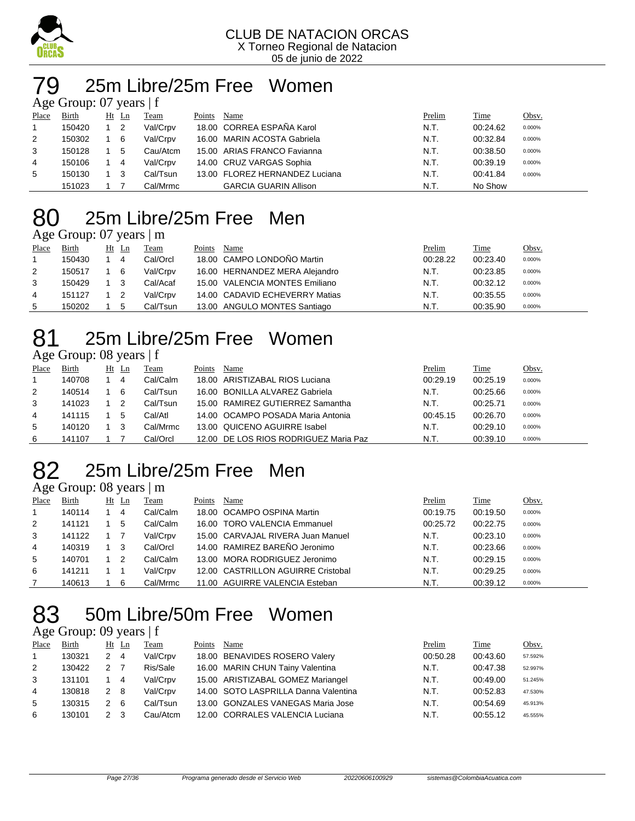

#### 25m Libre/25m Free Women  $G$ roup: 07 years  $\pm$

|       | $\Delta \ge 0$ Oroup. 07 years $\pm 1$ |    |                |          |        |                                |        |          |        |  |  |  |  |
|-------|----------------------------------------|----|----------------|----------|--------|--------------------------------|--------|----------|--------|--|--|--|--|
| Place | Birth                                  | Ht | Ln             | Team     | Points | Name                           | Prelim | Time     | Obsv.  |  |  |  |  |
|       | 150420                                 |    | $\overline{2}$ | Val/Crpv |        | 18.00 CORREA ESPAÑA Karol      | N.T.   | 00:24.62 | 0.000% |  |  |  |  |
| 2     | 150302                                 |    | 6              | Val/Crpv |        | 16.00 MARIN ACOSTA Gabriela    | N.T.   | 00:32.84 | 0.000% |  |  |  |  |
| 3     | 150128                                 |    | 5              | Cau/Atcm |        | 15.00 ARIAS FRANCO Favianna    | N.T.   | 00:38.50 | 0.000% |  |  |  |  |
| 4     | 150106                                 |    | 4              | Val/Crpv |        | 14.00 CRUZ VARGAS Sophia       | N.T.   | 00:39.19 | 0.000% |  |  |  |  |
| 5     | 150130                                 |    | 3              | Cal/Tsun |        | 13.00 FLOREZ HERNANDEZ Luciana | N.T.   | 00:41.84 | 0.000% |  |  |  |  |
|       | 151023                                 |    |                | Cal/Mrmc |        | <b>GARCIA GUARIN Allison</b>   | N.T.   | No Show  |        |  |  |  |  |

### 25m Libre/25m Free Men

#### Age Group: 07 years | m

| Place | Birth  | Ht Ln  | Team     | Points | Name                           | Prelim   | Time     | Obsv.  |
|-------|--------|--------|----------|--------|--------------------------------|----------|----------|--------|
|       | 150430 | 4      | Cal/Orcl |        | 18.00 CAMPO LONDOÑO Martin     | 00:28.22 | 00:23.40 | 0.000% |
| 2     | 150517 | - 6    | Val/Crpv |        | 16.00 HERNANDEZ MERA Alejandro | N.T.     | 00:23.85 | 0.000% |
| 3     | 150429 | $_{3}$ | Cal/Acaf |        | 15.00 VALENCIA MONTES Emiliano | N.T.     | 00:32.12 | 0.000% |
| 4     | 151127 |        | Val/Crpv |        | 14.00 CADAVID ECHEVERRY Matias | N.T.     | 00:35.55 | 0.000% |
| 5     | 150202 | 5      | Cal/Tsun |        | 13.00 ANGULO MONTES Santiago   | N.T.     | 00:35.90 | 0.000% |

## 25m Libre/25m Free Women

#### Age Group: 08 years | f

| Place | Birth  | Ht Ln | Team     | Points | Name                                  | Prelim   | Time     | Obsv.  |
|-------|--------|-------|----------|--------|---------------------------------------|----------|----------|--------|
|       | 140708 | 4     | Cal/Calm |        | 18.00 ARISTIZABAL RIOS Luciana        | 00:29.19 | 00:25.19 | 0.000% |
| 2     | 140514 | 6     | Cal/Tsun |        | 16.00 BONILLA ALVAREZ Gabriela        | N.T.     | 00:25.66 | 0.000% |
| 3     | 141023 |       | Cal/Tsun |        | 15.00 RAMIREZ GUTIERREZ Samantha      | N.T.     | 00:25.71 | 0.000% |
| 4     | 141115 | 5     | Cal/Atl  |        | 14.00 OCAMPO POSADA Maria Antonia     | 00:45.15 | 00:26.70 | 0.000% |
| 5     | 140120 | 3     | Cal/Mrmc |        | 13.00 QUICENO AGUIRRE Isabel          | N.T.     | 00:29.10 | 0.000% |
| 6     | 141107 |       | Cal/Orcl |        | 12.00 DE LOS RIOS RODRIGUEZ Maria Paz | N.T.     | 00:39.10 | 0.000% |

### 25m Libre/25m Free Men

#### Age Group: 08 years | m

| ັ     |        |       |          |        |                                    |          |          |        |
|-------|--------|-------|----------|--------|------------------------------------|----------|----------|--------|
| Place | Birth  | Ht Ln | Team     | Points | Name                               | Prelim   | Time     | Obsv.  |
|       | 140114 | 4     | Cal/Calm |        | 18.00 OCAMPO OSPINA Martin         | 00:19.75 | 00:19.50 | 0.000% |
| 2     | 141121 | 5     | Cal/Calm |        | 16.00 TORO VALENCIA Emmanuel       | 00:25.72 | 00:22.75 | 0.000% |
| 3     | 141122 |       | Val/Crpv |        | 15.00 CARVAJAL RIVERA Juan Manuel  | N.T.     | 00:23.10 | 0.000% |
| 4     | 140319 | - 3   | Cal/Orcl |        | 14.00 RAMIREZ BAREÑO Jeronimo      | N.T.     | 00:23.66 | 0.000% |
| 5     | 140701 | -2    | Cal/Calm |        | 13.00 MORA RODRIGUEZ Jeronimo      | N.T.     | 00:29.15 | 0.000% |
| 6     | 141211 |       | Val/Crpv |        | 12.00 CASTRILLON AGUIRRE Cristobal | N.T.     | 00:29.25 | 0.000% |
|       | 140613 | 6     | Cal/Mrmc |        | 11.00 AGUIRRE VALENCIA Esteban     | N.T.     | 00:39.12 | 0.000% |

## 50m Libre/50m Free Women

#### Age Group: 09 years | f

| Place | Birth  |               | Ht Ln          | Team     | Points | Name                                 | Prelim   | Time     | Obsv.   |
|-------|--------|---------------|----------------|----------|--------|--------------------------------------|----------|----------|---------|
|       | 130321 | 2             | $\overline{4}$ | Val/Crpv |        | 18.00 BENAVIDES ROSERO Valery        | 00:50.28 | 00:43.60 | 57.592% |
| 2     | 130422 | 2             |                | Ris/Sale |        | 16.00 MARIN CHUN Tainy Valentina     | N.T.     | 00:47.38 | 52.997% |
| 3     | 131101 |               | 4              | Val/Crpv |        | 15.00 ARISTIZABAL GOMEZ Mariangel    | N.T.     | 00:49.00 | 51.245% |
| 4     | 130818 | 2 8           |                | Val/Crpv |        | 14.00 SOTO LASPRILLA Danna Valentina | N.T.     | 00:52.83 | 47.530% |
| 5     | 130315 | 2             | -6             | Cal/Tsun |        | 13.00 GONZALES VANEGAS Maria Jose    | N.T.     | 00:54.69 | 45.913% |
| 6     | 130101 | $\mathcal{P}$ |                | Cau/Atcm |        | 12.00 CORRALES VALENCIA Luciana      | N.T.     | 00:55.12 | 45.555% |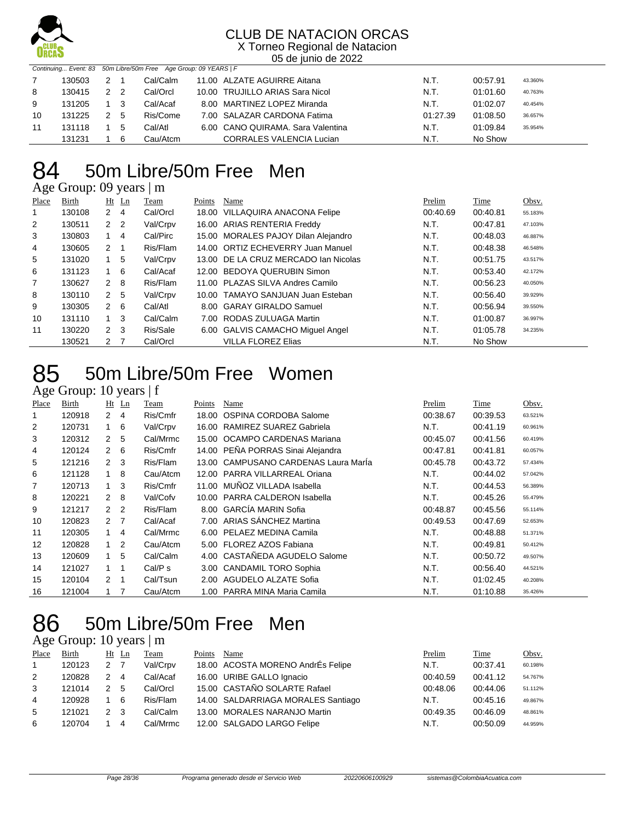

X Torneo Regional de Natacion 05 de junio de 2022

|    |        |               |                | Continuing Event: 83 50m Libre/50m Free Age Group: 09 YEARS   F |                                   |          |          |         |
|----|--------|---------------|----------------|-----------------------------------------------------------------|-----------------------------------|----------|----------|---------|
|    | 130503 | 2             |                | Cal/Calm                                                        | 11.00 ALZATE AGUIRRE Aitana       | N.T.     | 00:57.91 | 43.360% |
| 8  | 130415 | $\mathcal{P}$ | $\overline{2}$ | Cal/Orcl                                                        | 10.00 TRUJILLO ARIAS Sara Nicol   | N.T.     | 01:01.60 | 40.763% |
| 9  | 131205 |               | - 3            | Cal/Acaf                                                        | 8.00 MARTINEZ LOPEZ Miranda       | N.T.     | 01:02.07 | 40.454% |
| 10 | 131225 | 2 5           |                | Ris/Come                                                        | 7.00 SALAZAR CARDONA Fatima       | 01:27.39 | 01:08.50 | 36.657% |
| 11 | 131118 |               | 5              | Cal/Atl                                                         | 6.00 CANO QUIRAMA, Sara Valentina | N.T.     | 01:09.84 | 35.954% |
|    | 131231 |               | 6              | Cau/Atcm                                                        | <b>CORRALES VALENCIA Lucian</b>   | N.T.     | No Show  |         |

## 50m Libre/50m Free Men

Age Group: 09 years | m

| Place | Birth  |                | $Ht$ Ln | Team     | Points | Name                                 | Prelim   | Time     | Obsv.   |
|-------|--------|----------------|---------|----------|--------|--------------------------------------|----------|----------|---------|
| 1     | 130108 | $\mathbf{2}$   | -4      | Cal/Orcl |        | 18.00 VILLAQUIRA ANACONA Felipe      | 00:40.69 | 00:40.81 | 55.183% |
| 2     | 130511 | 2 <sub>2</sub> |         | Val/Crpv |        | 16.00 ARIAS RENTERIA Freddy          | N.T.     | 00:47.81 | 47.103% |
| 3     | 130803 | $1 \quad 4$    |         | Cal/Pirc |        | 15.00 MORALES PAJOY Dilan Alejandro  | N.T.     | 00:48.03 | 46.887% |
| 4     | 130605 | 2              |         | Ris/Flam |        | 14.00 ORTIZ ECHEVERRY Juan Manuel    | N.T.     | 00:48.38 | 46.548% |
| 5     | 131020 | $1\quad 5$     |         | Val/Crpv |        | 13.00 DE LA CRUZ MERCADO Ian Nicolas | N.T.     | 00:51.75 | 43.517% |
| 6     | 131123 | $1\quad 6$     |         | Cal/Acaf |        | 12.00 BEDOYA QUERUBIN Simon          | N.T.     | 00:53.40 | 42.172% |
| 7     | 130627 | $2 \quad 8$    |         | Ris/Flam |        | 11.00 PLAZAS SILVA Andres Camilo     | N.T.     | 00:56.23 | 40.050% |
| 8     | 130110 | 2 <sub>5</sub> |         | Val/Crpv |        | 10.00 TAMAYO SANJUAN Juan Esteban    | N.T.     | 00:56.40 | 39.929% |
| 9     | 130305 | $2\quad 6$     |         | Cal/Atl  |        | 8.00 GARAY GIRALDO Samuel            | N.T.     | 00:56.94 | 39.550% |
| 10    | 131110 | $1 \quad 3$    |         | Cal/Calm |        | 7.00 RODAS ZULUAGA Martin            | N.T.     | 01:00.87 | 36.997% |
| 11    | 130220 | $2 \quad 3$    |         | Ris/Sale |        | 6.00 GALVIS CAMACHO Miguel Angel     | N.T.     | 01:05.78 | 34.235% |
|       | 130521 | $\mathbf{2}$   |         | Cal/Orcl |        | <b>VILLA FLOREZ Elias</b>            | N.T.     | No Show  |         |

### 50m Libre/50m Free Women

Age Group: 10 years | f

| <b>Place</b>   | Birth  |                      | $Ht$ Ln        | Team     | Points | Name                                 | Prelim   | Time     | Obsv.   |
|----------------|--------|----------------------|----------------|----------|--------|--------------------------------------|----------|----------|---------|
| 1              | 120918 | $\mathbf{2}$         | 4              | Ris/Cmfr | 18.00  | OSPINA CORDOBA Salome                | 00:38.67 | 00:39.53 | 63.521% |
| $\overline{2}$ | 120731 | $1\quad 6$           |                | Val/Crpv |        | 16.00 RAMIREZ SUAREZ Gabriela        | N.T.     | 00:41.19 | 60.961% |
| 3              | 120312 | 2                    | 5              | Cal/Mrmc |        | 15.00 OCAMPO CARDENAS Mariana        | 00:45.07 | 00:41.56 | 60.419% |
| 4              | 120124 | $\mathbf{2}^{\circ}$ | - 6            | Ris/Cmfr |        | 14.00 PEÑA PORRAS Sinai Alejandra    | 00:47.81 | 00:41.81 | 60.057% |
| 5              | 121216 | $\mathbf{2}$         | $_{3}$         | Ris/Flam |        | 13.00 CAMPUSANO CARDENAS Laura Marla | 00:45.78 | 00:43.72 | 57.434% |
| 6              | 121128 |                      | 8              | Cau/Atcm |        | 12.00 PARRA VILLARREAL Oriana        | N.T.     | 00:44.02 | 57.042% |
| 7              | 120713 | 1                    | 3              | Ris/Cmfr |        | 11.00 MUÑOZ VILLADA Isabella         | N.T.     | 00:44.53 | 56.389% |
| 8              | 120221 | $\mathbf{2}$         | 8              | Val/Cofv |        | 10.00 PARRA CALDERON Isabella        | N.T.     | 00:45.26 | 55.479% |
| 9              | 121217 | 2 <sub>2</sub>       |                | Ris/Flam |        | 8.00 GARCÍA MARIN Sofia              | 00:48.87 | 00:45.56 | 55.114% |
| 10             | 120823 | $2 \overline{7}$     |                | Cal/Acaf |        | 7.00 ARIAS SÁNCHEZ Martina           | 00:49.53 | 00:47.69 | 52.653% |
| 11             | 120305 | 1                    | 4              | Cal/Mrmc | 6.00   | PELAEZ MEDINA Camila                 | N.T.     | 00:48.88 | 51.371% |
| 12             | 120828 | 1                    | $\overline{2}$ | Cau/Atcm |        | 5.00 FLOREZ AZOS Fabiana             | N.T.     | 00:49.81 | 50.412% |
| 13             | 120609 |                      | 5              | Cal/Calm |        | 4.00 CASTAÑEDA AGUDELO Salome        | N.T.     | 00:50.72 | 49.507% |
| 14             | 121027 |                      | -1             | Cal/P s  |        | 3.00 CANDAMIL TORO Sophia            | N.T.     | 00:56.40 | 44.521% |
| 15             | 120104 | 2                    | -1             | Cal/Tsun |        | 2.00 AGUDELO ALZATE Sofia            | N.T.     | 01:02.45 | 40.208% |
| 16             | 121004 |                      | $\overline{7}$ | Cau/Atcm | 1.00   | PARRA MINA Maria Camila              | N.T.     | 01:10.88 | 35.426% |

## 50m Libre/50m Free Men

#### Age Group: 10 years | m

| Place | Birth  |               | Ht Ln | Team     | Points | Name                               | Prelim   | Time     | Obsv.   |
|-------|--------|---------------|-------|----------|--------|------------------------------------|----------|----------|---------|
|       | 120123 | $\mathcal{P}$ |       | Val/Crpv |        | 18.00 ACOSTA MORENO AndrÉs Felipe  | N.T.     | 00:37.41 | 60.198% |
| 2     | 120828 | 2             | 4     | Cal/Acaf |        | 16.00 URIBE GALLO Ignacio          | 00:40.59 | 00:41.12 | 54.767% |
| 3     | 121014 | $\mathcal{P}$ | .5    | Cal/Orcl |        | 15.00 CASTAÑO SOLARTE Rafael       | 00:48.06 | 00:44.06 | 51.112% |
| 4     | 120928 |               | 6     | Ris/Flam |        | 14.00 SALDARRIAGA MORALES Santiago | N.T.     | 00:45.16 | 49.867% |
| 5     | 121021 | $\mathcal{P}$ | -3    | Cal/Calm |        | 13.00 MORALES NARANJO Martin       | 00:49.35 | 00:46.09 | 48.861% |
| 6     | 120704 |               | 4     | Cal/Mrmc |        | 12.00 SALGADO LARGO Felipe         | N.T.     | 00:50.09 | 44.959% |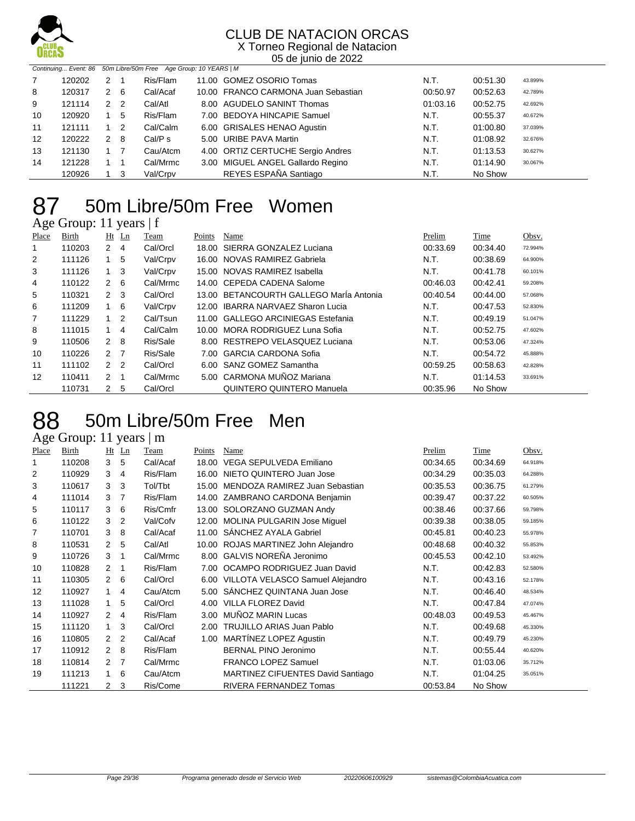

X Torneo Regional de Natacion 05 de junio de 2022

|    | Continuing Event: 86 50m Libre/50m Free Age Group: 10 YEARS   M |   |                |          |  |                                     |          |          |         |  |  |
|----|-----------------------------------------------------------------|---|----------------|----------|--|-------------------------------------|----------|----------|---------|--|--|
| 7  | 120202                                                          | 2 |                | Ris/Flam |  | 11.00 GOMEZ OSORIO Tomas            | N.T.     | 00:51.30 | 43.899% |  |  |
| 8  | 120317                                                          | 2 | - 6            | Cal/Acaf |  | 10.00 FRANCO CARMONA Juan Sebastian | 00:50.97 | 00:52.63 | 42.789% |  |  |
| 9  | 121114                                                          | 2 | $\overline{2}$ | Cal/Atl  |  | 8.00 AGUDELO SANINT Thomas          | 01:03.16 | 00:52.75 | 42.692% |  |  |
| 10 | 120920                                                          |   | 5              | Ris/Flam |  | 7.00 BEDOYA HINCAPIE Samuel         | N.T.     | 00:55.37 | 40.672% |  |  |
| 11 | 121111                                                          |   | -2             | Cal/Calm |  | 6.00 GRISALES HENAO Agustin         | N.T.     | 01:00.80 | 37.039% |  |  |
| 12 | 120222                                                          | 2 | -8             | Cal/Ps   |  | 5.00 URIBE PAVA Martin              | N.T.     | 01:08.92 | 32.676% |  |  |
| 13 | 121130                                                          |   |                | Cau/Atcm |  | 4.00 ORTIZ CERTUCHE Sergio Andres   | N.T.     | 01:13.53 | 30.627% |  |  |
| 14 | 121228                                                          |   |                | Cal/Mrmc |  | 3.00 MIGUEL ANGEL Gallardo Regino   | N.T.     | 01:14.90 | 30.067% |  |  |
|    | 120926                                                          |   | -3             | Val/Crpv |  | REYES ESPAÑA Santiago               | N.T.     | No Show  |         |  |  |

#### 87 50m Libre/50m Free Women Age Group: 11 years | f

| o     |        |                      |                |          |        |                                     |          |          |         |
|-------|--------|----------------------|----------------|----------|--------|-------------------------------------|----------|----------|---------|
| Place | Birth  | Ht                   | Ln             | Team     | Points | Name                                | Prelim   | Time     | Obsv.   |
|       | 110203 | 2                    | 4              | Cal/Orcl | 18.00  | SIERRA GONZALEZ Luciana             | 00:33.69 | 00:34.40 | 72.994% |
| 2     | 111126 |                      | 5              | Val/Crpv | 16.00  | NOVAS RAMIREZ Gabriela              | N.T.     | 00:38.69 | 64.900% |
| 3     | 111126 |                      | 3              | Val/Crpv |        | 15.00 NOVAS RAMIREZ Isabella        | N.T.     | 00:41.78 | 60.101% |
| 4     | 110122 | 2                    | 6              | Cal/Mrmc |        | 14.00 CEPEDA CADENA Salome          | 00:46.03 | 00:42.41 | 59.208% |
| 5     | 110321 | $\mathcal{P}$        | -3             | Cal/Orcl | 13.00  | BETANCOURTH GALLEGO Marla Antonia   | 00:40.54 | 00:44.00 | 57.068% |
| 6     | 111209 | 1.                   | -6             | Val/Crpv | 12.00  | <b>IBARRA NARVAEZ Sharon Lucia</b>  | N.T.     | 00:47.53 | 52.830% |
|       | 111229 |                      | 2              | Cal/Tsun | 11.00  | <b>GALLEGO ARCINIEGAS Estefania</b> | N.T.     | 00:49.19 | 51.047% |
| 8     | 111015 |                      | 4              | Cal/Calm | 10.00  | MORA RODRIGUEZ Luna Sofia           | N.T.     | 00:52.75 | 47.602% |
| 9     | 110506 | $\mathcal{P}$        | -8             | Ris/Sale | 8.00   | RESTREPO VELASQUEZ Luciana          | N.T.     | 00:53.06 | 47.324% |
| 10    | 110226 | $\mathcal{P} \equiv$ | $\overline{7}$ | Ris/Sale | 7.00   | <b>GARCIA CARDONA Sofia</b>         | N.T.     | 00:54.72 | 45.888% |
| 11    | 111102 | $\mathcal{P}$        | $\overline{2}$ | Cal/Orcl |        | 6.00 SANZ GOMEZ Samantha            | 00:59.25 | 00:58.63 | 42.828% |
| 12    | 110411 | $\mathcal{P}$        |                | Cal/Mrmc |        | 5.00 CARMONA MUÑOZ Mariana          | N.T.     | 01:14.53 | 33.691% |
|       | 110731 | 2                    | 5              | Cal/Orcl |        | QUINTERO QUINTERO Manuela           | 00:35.96 | No Show  |         |

### 50m Libre/50m Free Men

Age Group: 11 years | m

| Place | Birth  | Ht             | Ln | Team     | Points | Name                                  | Prelim   | <b>Time</b> | Obsv.   |
|-------|--------|----------------|----|----------|--------|---------------------------------------|----------|-------------|---------|
| 1     | 110208 | 3              | 5  | Cal/Acaf | 18.00  | VEGA SEPULVEDA Emiliano               | 00:34.65 | 00:34.69    | 64.918% |
| 2     | 110929 | 3              | 4  | Ris/Flam |        | 16.00 NIETO QUINTERO Juan Jose        | 00:34.29 | 00:35.03    | 64.288% |
| 3     | 110617 | 3              | 3  | Tol/Tbt  | 15.00  | MENDOZA RAMIREZ Juan Sebastian        | 00:35.53 | 00:36.75    | 61.279% |
| 4     | 111014 | 3              | 7  | Ris/Flam | 14.00  | ZAMBRANO CARDONA Benjamin             | 00:39.47 | 00:37.22    | 60.505% |
| 5     | 110117 | 3              | 6  | Ris/Cmfr |        | 13.00 SOLORZANO GUZMAN Andy           | 00:38.46 | 00:37.66    | 59.798% |
| 6     | 110122 | 3              | 2  | Val/Cofv |        | 12.00 MOLINA PULGARIN Jose Miguel     | 00:39.38 | 00:38.05    | 59.185% |
| 7     | 110701 | 3              | 8  | Cal/Acaf | 11.00  | SANCHEZ AYALA Gabriel                 | 00:45.81 | 00:40.23    | 55.978% |
| 8     | 110531 | $\mathbf{2}$   | 5  | Cal/Atl  |        | 10.00 ROJAS MARTINEZ John Alejandro   | 00:48.68 | 00:40.32    | 55.853% |
| 9     | 110726 | 3              | 1  | Cal/Mrmc |        | 8.00 GALVIS NOREÑA Jeronimo           | 00:45.53 | 00:42.10    | 53.492% |
| 10    | 110828 | $\mathbf{2}$   | 1  | Ris/Flam |        | 7.00 OCAMPO RODRIGUEZ Juan David      | N.T.     | 00:42.83    | 52.580% |
| 11    | 110305 | $\mathcal{P}$  | 6  | Cal/Orcl |        | 6.00 VILLOTA VELASCO Samuel Alejandro | N.T.     | 00:43.16    | 52.178% |
| 12    | 110927 | $\mathbf{1}$   | 4  | Cau/Atcm | 5.00   | SANCHEZ QUINTANA Juan Jose            | N.T.     | 00:46.40    | 48.534% |
| 13    | 111028 | $\mathbf{1}$   | 5  | Cal/Orcl | 4.00   | <b>VILLA FLOREZ David</b>             | N.T.     | 00:47.84    | 47.074% |
| 14    | 110927 | $\mathcal{P}$  | 4  | Ris/Flam | 3.00   | MUÑOZ MARIN Lucas                     | 00:48.03 | 00:49.53    | 45.467% |
| 15    | 111120 | $\mathbf{1}$   | 3  | Cal/Orcl | 2.00   | <b>TRUJILLO ARIAS Juan Pablo</b>      | N.T.     | 00:49.68    | 45.330% |
| 16    | 110805 | $\mathcal{P}$  | 2  | Cal/Acaf | 1.00   | <b>MARTINEZ LOPEZ Agustin</b>         | N.T.     | 00:49.79    | 45.230% |
| 17    | 110912 | $\mathcal{P}$  | 8  | Ris/Flam |        | <b>BERNAL PINO Jeronimo</b>           | N.T.     | 00:55.44    | 40.620% |
| 18    | 110814 | $\mathcal{P}$  | 7  | Cal/Mrmc |        | <b>FRANCO LOPEZ Samuel</b>            | N.T.     | 01:03.06    | 35.712% |
| 19    | 111213 | $\mathbf{1}$   | 6  | Cau/Atcm |        | MARTINEZ CIFUENTES David Santiago     | N.T.     | 01:04.25    | 35.051% |
|       | 111221 | $\overline{2}$ | 3  | Ris/Come |        | RIVERA FERNANDEZ Tomas                | 00:53.84 | No Show     |         |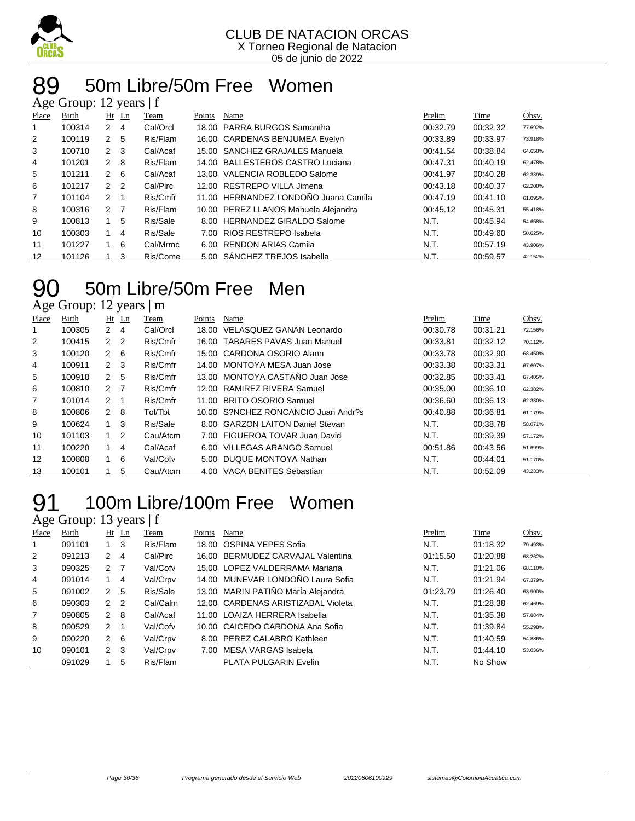

#### 50m Libre/50m Free Women Age Group: 12 years  $|f|$

| $T_{25}$ C OTOUP. 12 years   1 |        |                |         |          |        |                                      |          |          |         |  |  |
|--------------------------------|--------|----------------|---------|----------|--------|--------------------------------------|----------|----------|---------|--|--|
| Place                          | Birth  |                | $Ht$ Ln | Team     | Points | Name                                 | Prelim   | Time     | Obsv.   |  |  |
| 1                              | 100314 | 2              | -4      | Cal/Orcl |        | 18.00 PARRA BURGOS Samantha          | 00:32.79 | 00:32.32 | 77.692% |  |  |
| 2                              | 100119 | 2 <sub>5</sub> |         | Ris/Flam |        | 16.00 CARDENAS BENJUMEA Evelyn       | 00:33.89 | 00:33.97 | 73.918% |  |  |
| 3                              | 100710 | $2 \quad 3$    |         | Cal/Acaf |        | 15.00 SANCHEZ GRAJALES Manuela       | 00:41.54 | 00:38.84 | 64.650% |  |  |
| 4                              | 101201 | $2 \quad 8$    |         | Ris/Flam |        | 14.00 BALLESTEROS CASTRO Luciana     | 00:47.31 | 00:40.19 | 62.478% |  |  |
| 5                              | 101211 | $2\quad 6$     |         | Cal/Acaf |        | 13.00 VALENCIA ROBLEDO Salome        | 00:41.97 | 00:40.28 | 62.339% |  |  |
| 6                              | 101217 | 2 <sub>2</sub> |         | Cal/Pirc |        | 12.00 RESTREPO VILLA Jimena          | 00:43.18 | 00:40.37 | 62.200% |  |  |
| 7                              | 101104 | $2 \quad 1$    |         | Ris/Cmfr |        | 11.00 HERNANDEZ LONDOÑO Juana Camila | 00:47.19 | 00:41.10 | 61.095% |  |  |
| 8                              | 100316 | 2 7            |         | Ris/Flam |        | 10.00 PEREZ LLANOS Manuela Alejandra | 00:45.12 | 00:45.31 | 55.418% |  |  |
| 9                              | 100813 | 1              | 5       | Ris/Sale |        | 8.00 HERNANDEZ GIRALDO Salome        | N.T.     | 00:45.94 | 54.658% |  |  |
| 10                             | 100303 | 1              | 4       | Ris/Sale |        | 7.00 RIOS RESTREPO Isabela           | N.T.     | 00:49.60 | 50.625% |  |  |
| 11                             | 101227 | $1 \quad$      | 6       | Cal/Mrmc |        | 6.00 RENDON ARIAS Camila             | N.T.     | 00:57.19 | 43.906% |  |  |
| 12                             | 101126 |                | 3       | Ris/Come |        | 5.00 SANCHEZ TREJOS Isabella         | N.T.     | 00:59.57 | 42.152% |  |  |

## 50m Libre/50m Free Men

Age Group: 12 years | m

| Place          | Birth  |                | Ht Ln          | Team     | Points | Name                                | Prelim   | Time     | Obsv.   |
|----------------|--------|----------------|----------------|----------|--------|-------------------------------------|----------|----------|---------|
|                | 100305 | $\mathbf{2}$   | 4              | Cal/Orcl |        | 18.00 VELASQUEZ GANAN Leonardo      | 00:30.78 | 00:31.21 | 72.156% |
| 2              | 100415 | $\mathbf{2}$   | $\overline{2}$ | Ris/Cmfr |        | 16.00 TABARES PAVAS Juan Manuel     | 00:33.81 | 00:32.12 | 70.112% |
| 3              | 100120 | $2\quad 6$     |                | Ris/Cmfr |        | 15.00 CARDONA OSORIO Alann          | 00:33.78 | 00:32.90 | 68.450% |
| 4              | 100911 | $2 \quad 3$    |                | Ris/Cmfr |        | 14.00 MONTOYA MESA Juan Jose        | 00:33.38 | 00:33.31 | 67.607% |
| 5              | 100918 | $\mathbf{2}$   | 5              | Ris/Cmfr |        | 13.00 MONTOYA CASTAÑO Juan Jose     | 00:32.85 | 00:33.41 | 67.405% |
| 6              | 100810 | 2 7            |                | Ris/Cmfr |        | 12.00 RAMIREZ RIVERA Samuel         | 00:35.00 | 00:36.10 | 62.382% |
| $\overline{7}$ | 101014 | $\overline{2}$ |                | Ris/Cmfr |        | 11.00 BRITO OSORIO Samuel           | 00:36.60 | 00:36.13 | 62.330% |
| 8              | 100806 | $\mathbf{2}$   | - 8            | Tol/Tbt  |        | 10.00 S?NCHEZ RONCANCIO Juan Andr?s | 00:40.88 | 00:36.81 | 61.179% |
| 9              | 100624 | $1 \quad 3$    |                | Ris/Sale |        | 8.00 GARZON LAITON Daniel Stevan    | N.T.     | 00:38.78 | 58.071% |
| 10             | 101103 | $\mathbf 1$    | 2              | Cau/Atcm |        | 7.00 FIGUEROA TOVAR Juan David      | N.T.     | 00:39.39 | 57.172% |
| 11             | 100220 |                | 4              | Cal/Acaf |        | 6.00 VILLEGAS ARANGO Samuel         | 00:51.86 | 00:43.56 | 51.699% |
| 12             | 100808 | $\mathbf{1}$   | - 6            | Val/Cofv |        | 5.00 DUQUE MONTOYA Nathan           | N.T.     | 00:44.01 | 51.170% |
| 13             | 100101 |                | 5              | Cau/Atcm |        | 4.00 VACA BENITES Sebastian         | N.T.     | 00:52.09 | 43.233% |

#### 100m Libre/100m Free Women 91 100m Lib<br>Age Group: 13 years | f

| Place | Birth  |                | $Ht$ Ln        | Team     | Points | Name                               | Prelim   | Time     | Obsv.   |
|-------|--------|----------------|----------------|----------|--------|------------------------------------|----------|----------|---------|
|       | 091101 | $1 \quad 3$    |                | Ris/Flam |        | 18.00 OSPINA YEPES Sofia           | N.T.     | 01:18.32 | 70.493% |
| 2     | 091213 | 2              | $\overline{4}$ | Cal/Pirc |        | 16.00 BERMUDEZ CARVAJAL Valentina  | 01:15.50 | 01:20.88 | 68.262% |
| 3     | 090325 | 2 <sub>7</sub> |                | Val/Cofv |        | 15.00 LOPEZ VALDERRAMA Mariana     | N.T.     | 01:21.06 | 68.110% |
| 4     | 091014 | $1 \quad 4$    |                | Val/Crpv |        | 14.00 MUNEVAR LONDOÑO Laura Sofia  | N.T.     | 01:21.94 | 67.379% |
| 5     | 091002 | 2              | 5              | Ris/Sale |        | 13.00 MARIN PATIÑO MarÍa Alejandra | 01:23.79 | 01:26.40 | 63.900% |
| 6     | 090303 | 2 <sub>2</sub> |                | Cal/Calm |        | 12.00 CARDENAS ARISTIZABAL Violeta | N.T.     | 01:28.38 | 62.469% |
| 7     | 090805 | $2 \quad 8$    |                | Cal/Acaf |        | 11.00 LOAIZA HERRERA Isabella      | N.T.     | 01:35.38 | 57.884% |
| 8     | 090529 | $\overline{2}$ | $\overline{1}$ | Val/Cofv |        | 10.00 CAICEDO CARDONA Ana Sofia    | N.T.     | 01:39.84 | 55.298% |
| 9     | 090220 | $2\quad 6$     |                | Val/Crpv |        | 8.00 PEREZ CALABRO Kathleen        | N.T.     | 01:40.59 | 54.886% |
| 10    | 090101 | $2 \quad 3$    |                | Val/Crpv | 7.00   | MESA VARGAS Isabela                | N.T.     | 01:44.10 | 53.036% |
|       | 091029 |                | 5              | Ris/Flam |        | <b>PLATA PULGARIN Evelin</b>       | N.T.     | No Show  |         |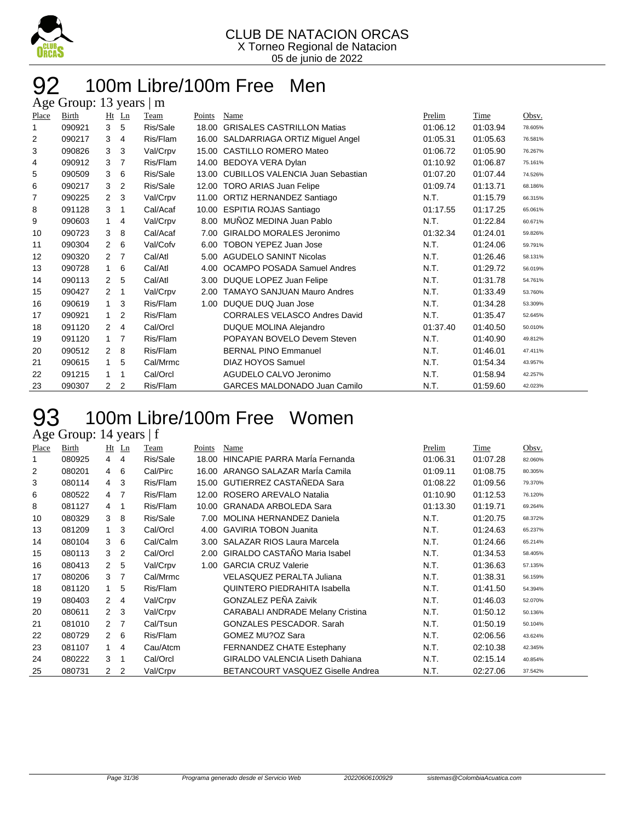

#### 100m Libre/100m Free Men Age Group: 13 years | m

| - -0  |        |                      |                |          |        |                                         |          |          |         |
|-------|--------|----------------------|----------------|----------|--------|-----------------------------------------|----------|----------|---------|
| Place | Birth  | Ht                   | $_{\text{Ln}}$ | Team     | Points | Name                                    | Prelim   | Time     | Obsv.   |
| 1     | 090921 | 3                    | 5              | Ris/Sale | 18.00  | <b>GRISALES CASTRILLON Matias</b>       | 01:06.12 | 01:03.94 | 78.605% |
| 2     | 090217 | 3                    | 4              | Ris/Flam | 16.00  | SALDARRIAGA ORTIZ Miguel Angel          | 01:05.31 | 01:05.63 | 76.581% |
| 3     | 090826 | 3                    | 3              | Val/Crpv | 15.00  | <b>CASTILLO ROMERO Mateo</b>            | 01:06.72 | 01:05.90 | 76.267% |
| 4     | 090912 | 3                    | 7              | Ris/Flam | 14.00  | BEDOYA VERA Dylan                       | 01:10.92 | 01:06.87 | 75.161% |
| 5     | 090509 | 3                    | 6              | Ris/Sale | 13.00  | <b>CUBILLOS VALENCIA Juan Sebastian</b> | 01:07.20 | 01:07.44 | 74.526% |
| 6     | 090217 | 3                    | 2              | Ris/Sale | 12.00  | <b>TORO ARIAS Juan Felipe</b>           | 01:09.74 | 01:13.71 | 68.186% |
| 7     | 090225 | $\mathcal{P}$        | 3              | Val/Crpv | 11.00  | ORTIZ HERNANDEZ Santiago                | N.T.     | 01:15.79 | 66.315% |
| 8     | 091128 | 3                    | 1              | Cal/Acaf | 10.00  | <b>ESPITIA ROJAS Santiago</b>           | 01:17.55 | 01:17.25 | 65.061% |
| 9     | 090603 | $\mathbf 1$          | 4              | Val/Crpv | 8.00   | MUÑOZ MEDINA Juan Pablo                 | N.T.     | 01:22.84 | 60.671% |
| 10    | 090723 | 3                    | 8              | Cal/Acaf | 7.00   | GIRALDO MORALES Jeronimo                | 01:32.34 | 01:24.01 | 59.826% |
| 11    | 090304 | $\overline{2}$       | 6              | Val/Cofv | 6.00   | <b>TOBON YEPEZ Juan Jose</b>            | N.T.     | 01:24.06 | 59.791% |
| 12    | 090320 | $\mathbf{2}$         | 7              | Cal/Atl  | 5.00   | <b>AGUDELO SANINT Nicolas</b>           | N.T.     | 01:26.46 | 58.131% |
| 13    | 090728 | $\mathbf{1}$         | 6              | Cal/Atl  | 4.00   | OCAMPO POSADA Samuel Andres             | N.T.     | 01:29.72 | 56.019% |
| 14    | 090113 | $\mathbf{2}$         | 5              | Cal/Atl  | 3.00   | DUQUE LOPEZ Juan Felipe                 | N.T.     | 01:31.78 | 54.761% |
| 15    | 090427 | 2                    | 1              | Val/Crpv | 2.00   | <b>TAMAYO SANJUAN Mauro Andres</b>      | N.T.     | 01:33.49 | 53.760% |
| 16    | 090619 | $\mathbf{1}$         | 3              | Ris/Flam | 1.00   | DUQUE DUQ Juan Jose                     | N.T.     | 01:34.28 | 53.309% |
| 17    | 090921 | $\mathbf{1}$         | 2              | Ris/Flam |        | <b>CORRALES VELASCO Andres David</b>    | N.T.     | 01:35.47 | 52.645% |
| 18    | 091120 | 2                    | 4              | Cal/Orcl |        | DUQUE MOLINA Alejandro                  | 01:37.40 | 01:40.50 | 50.010% |
| 19    | 091120 | $\mathbf{1}$         | 7              | Ris/Flam |        | POPAYAN BOVELO Devem Steven             | N.T.     | 01:40.90 | 49.812% |
| 20    | 090512 | $\mathcal{P}$        | 8              | Ris/Flam |        | <b>BERNAL PINO Emmanuel</b>             | N.T.     | 01:46.01 | 47.411% |
| 21    | 090615 | $\mathbf{1}$         | 5              | Cal/Mrmc |        | <b>DIAZ HOYOS Samuel</b>                | N.T.     | 01:54.34 | 43.957% |
| 22    | 091215 | 1                    | 1              | Cal/Orcl |        | AGUDELO CALVO Jeronimo                  | N.T.     | 01:58.94 | 42.257% |
| 23    | 090307 | $\mathbf{2}^{\circ}$ | $\overline{2}$ | Ris/Flam |        | <b>GARCES MALDONADO Juan Camilo</b>     | N.T.     | 01:59.60 | 42.023% |
|       |        |                      |                |          |        |                                         |          |          |         |

#### 100m Libre/100m Free Women 93 100m Lib<br>Age Group: 14 years | f

| Place | Birth  |                      | $Ht$ Ln        | Team     | Points | Name                                    | Prelim   | Time     | Obsv.   |
|-------|--------|----------------------|----------------|----------|--------|-----------------------------------------|----------|----------|---------|
| 1     | 080925 | 4                    | 4              | Ris/Sale | 18.00  | HINCAPIE PARRA Maria Fernanda           | 01:06.31 | 01:07.28 | 82.060% |
| 2     | 080201 | 4                    | 6              | Cal/Pirc | 16.00  | ARANGO SALAZAR MarÍa Camila             | 01:09.11 | 01:08.75 | 80.305% |
| 3     | 080114 | 4                    | 3              | Ris/Flam |        | 15.00 GUTIERREZ CASTAÑEDA Sara          | 01:08.22 | 01:09.56 | 79.370% |
| 6     | 080522 | 4                    | - 7            | Ris/Flam |        | 12.00 ROSERO AREVALO Natalia            | 01:10.90 | 01:12.53 | 76.120% |
| 8     | 081127 | 4                    | -1             | Ris/Flam | 10.00  | <b>GRANADA ARBOLEDA Sara</b>            | 01:13.30 | 01:19.71 | 69.264% |
| 10    | 080329 | 3                    | -8             | Ris/Sale | 7.00   | MOLINA HERNANDEZ Daniela                | N.T.     | 01:20.75 | 68.372% |
| 13    | 081209 | $\mathbf 1$          | -3             | Cal/Orcl | 4.00   | <b>GAVIRIA TOBON Juanita</b>            | N.T.     | 01:24.63 | 65.237% |
| 14    | 080104 | 3                    | 6              | Cal/Calm | 3.00   | <b>SALAZAR RIOS Laura Marcela</b>       | N.T.     | 01:24.66 | 65.214% |
| 15    | 080113 | 3                    | $\overline{2}$ | Cal/Orcl | 2.00   | <b>GIRALDO CASTAÑO Maria Isabel</b>     | N.T.     | 01:34.53 | 58.405% |
| 16    | 080413 | $\mathbf{2}$         | 5              | Val/Crpv | 1.00   | <b>GARCIA CRUZ Valerie</b>              | N.T.     | 01:36.63 | 57.135% |
| 17    | 080206 | 3                    | -7             | Cal/Mrmc |        | VELASQUEZ PERALTA Juliana               | N.T.     | 01:38.31 | 56.159% |
| 18    | 081120 | 1                    | 5              | Ris/Flam |        | <b>QUINTERO PIEDRAHITA Isabella</b>     | N.T.     | 01:41.50 | 54.394% |
| 19    | 080403 | $\mathbf{2}^{\circ}$ | $\overline{4}$ | Val/Crpv |        | <b>GONZALEZ PEÑA Zaivik</b>             | N.T.     | 01:46.03 | 52.070% |
| 20    | 080611 | $\overline{2}$       | 3 <sup>5</sup> | Val/Crpv |        | <b>CARABALI ANDRADE Melany Cristina</b> | N.T.     | 01:50.12 | 50.136% |
| 21    | 081010 | $\mathbf{2}$         | $\overline{7}$ | Cal/Tsun |        | <b>GONZALES PESCADOR, Sarah</b>         | N.T.     | 01:50.19 | 50.104% |
| 22    | 080729 | $2\quad 6$           |                | Ris/Flam |        | GOMEZ MU?OZ Sara                        | N.T.     | 02:06.56 | 43.624% |
| 23    | 081107 | $\mathbf 1$          | $\overline{4}$ | Cau/Atcm |        | FERNANDEZ CHATE Estephany               | N.T.     | 02:10.38 | 42.345% |
| 24    | 080222 | 3                    | -1             | Cal/Orcl |        | <b>GIRALDO VALENCIA Liseth Dahiana</b>  | N.T.     | 02:15.14 | 40.854% |
| 25    | 080731 | $\mathbf{2}$         | $\overline{2}$ | Val/Crpv |        | BETANCOURT VASQUEZ Giselle Andrea       | N.T.     | 02:27.06 | 37.542% |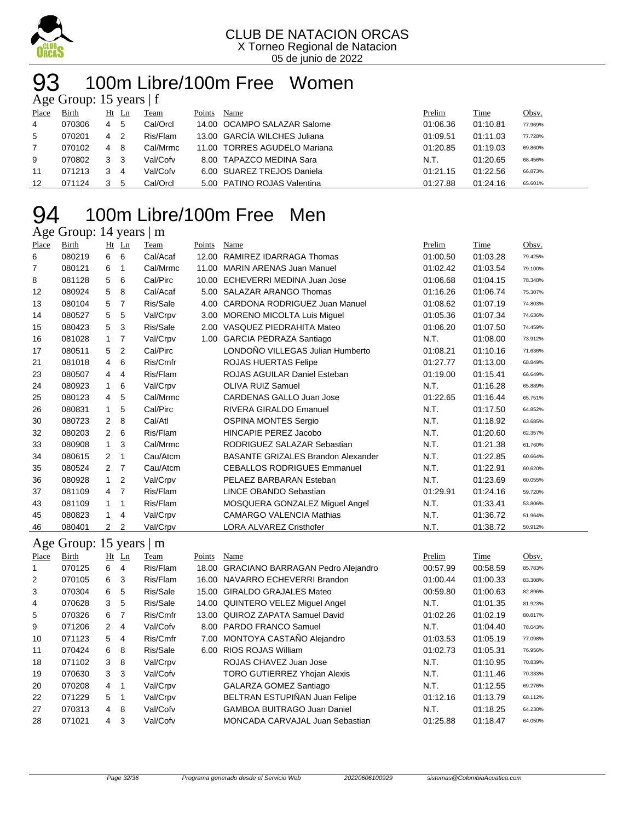

05 de junio de 2022

#### 100m Libre/100m Free Women years 15

| $\Delta \ge 0$ Oroup. To years   I |        |    |    |          |        |                              |          |          |              |  |  |
|------------------------------------|--------|----|----|----------|--------|------------------------------|----------|----------|--------------|--|--|
| Place                              | Birth  | Ht | Ln | Team     | Points | Name                         | Prelim   | Time     | <u>Obsv.</u> |  |  |
| 4                                  | 070306 | 4  | 5  | Cal/Orcl |        | 14.00 OCAMPO SALAZAR Salome  | 01:06.36 | 01:10.81 | 77.969%      |  |  |
| 5                                  | 070201 | 4  | 2  | Ris/Flam |        | 13.00 GARCIA WILCHES Juliana | 01:09.51 | 01:11.03 | 77.728%      |  |  |
|                                    | 070102 | 4  | 8  | Cal/Mrmc |        | 11.00 TORRES AGUDELO Mariana | 01:20.85 | 01:19.03 | 69.860%      |  |  |
| 9                                  | 070802 | 3  | 3  | Val/Cofv |        | 8.00 TAPAZCO MEDINA Sara     | N.T.     | 01:20.65 | 68.456%      |  |  |
| 11                                 | 071213 |    | 4  | Val/Cofv |        | 6.00 SUAREZ TREJOS Daniela   | 01:21.15 | 01:22.56 | 66.873%      |  |  |
| 12                                 | 071124 |    | 5  | Cal/Orcl |        | 5.00 PATINO ROJAS Valentina  | 01:27.88 | 01:24.16 | 65.601%      |  |  |

### 100m Libre/100m Free Men

#### Age Group: 14 years | m

| Place | Birth                   |                | Ht Ln          | Team     | Points | Name                                      | Prelim   | Time     | Obsv.   |
|-------|-------------------------|----------------|----------------|----------|--------|-------------------------------------------|----------|----------|---------|
| 6     | 080219                  | 6              | 6              | Cal/Acaf |        | 12.00 RAMIREZ IDARRAGA Thomas             | 01:00.50 | 01:03.28 | 79.425% |
| 7     | 080121                  | 6              | $\mathbf{1}$   | Cal/Mrmc |        | 11.00 MARIN ARENAS Juan Manuel            | 01:02.42 | 01:03.54 | 79.100% |
| 8     | 081128                  | 5              | 6              | Cal/Pirc |        | 10.00 ECHEVERRI MEDINA Juan Jose          | 01:06.68 | 01:04.15 | 78.348% |
| 12    | 080924                  | 5              | 8              | Cal/Acaf | 5.00   | <b>SALAZAR ARANGO Thomas</b>              | 01:16.26 | 01:06.74 | 75.307% |
| 13    | 080104                  | 5              | $\overline{7}$ | Ris/Sale |        | 4.00 CARDONA RODRIGUEZ Juan Manuel        | 01:08.62 | 01:07.19 | 74.803% |
| 14    | 080527                  | 5              | 5              | Val/Crpv |        | 3.00 MORENO MICOLTA Luis Miguel           | 01:05.36 | 01:07.34 | 74.636% |
| 15    | 080423                  | 5              | 3              | Ris/Sale |        | 2.00 VASQUEZ PIEDRAHITA Mateo             | 01:06.20 | 01:07.50 | 74.459% |
| 16    | 081028                  | $\mathbf{1}$   | $\overline{7}$ | Val/Crpv | 1.00   | <b>GARCIA PEDRAZA Santiago</b>            | N.T.     | 01:08.00 | 73.912% |
| 17    | 080511                  | 5              | $\overline{2}$ | Cal/Pirc |        | LONDOÑO VILLEGAS Julian Humberto          | 01:08.21 | 01:10.16 | 71.636% |
| 21    | 081018                  | 4              | 6              | Ris/Cmfr |        | ROJAS HUERTAS Felipe                      | 01:27.77 | 01:13.00 | 68.849% |
| 23    | 080507                  | 4              | $\overline{4}$ | Ris/Flam |        | ROJAS AGUILAR Daniel Esteban              | 01:19.00 | 01:15.41 | 66.649% |
| 24    | 080923                  | $\mathbf{1}$   | 6              | Val/Crpv |        | <b>OLIVA RUIZ Samuel</b>                  | N.T.     | 01:16.28 | 65.889% |
| 25    | 080123                  | 4              | 5              | Cal/Mrmc |        | <b>CARDENAS GALLO Juan Jose</b>           | 01:22.65 | 01:16.44 | 65.751% |
| 26    | 080831                  | $\mathbf{1}$   | 5              | Cal/Pirc |        | <b>RIVERA GIRALDO Emanuel</b>             | N.T.     | 01:17.50 | 64.852% |
| 30    | 080723                  | $\overline{2}$ | 8              | Cal/Atl  |        | <b>OSPINA MONTES Sergio</b>               | N.T.     | 01:18.92 | 63.685% |
| 32    | 080203                  | $\overline{2}$ | 6              | Ris/Flam |        | HINCAPIE PEREZ Jacobo                     | N.T.     | 01:20.60 | 62.357% |
| 33    | 080908                  | $\mathbf{1}$   | 3              | Cal/Mrmc |        | RODRIGUEZ SALAZAR Sebastian               | N.T.     | 01:21.38 | 61.760% |
| 34    | 080615                  | $\overline{2}$ | $\mathbf{1}$   | Cau/Atcm |        | <b>BASANTE GRIZALES Brandon Alexander</b> | N.T.     | 01:22.85 | 60.664% |
| 35    | 080524                  | $\overline{2}$ | $\overline{7}$ | Cau/Atcm |        | <b>CEBALLOS RODRIGUES Emmanuel</b>        | N.T.     | 01:22.91 | 60.620% |
| 36    | 080928                  | $\mathbf{1}$   | $\overline{2}$ | Val/Crpv |        | PELAEZ BARBARAN Esteban                   | N.T.     | 01:23.69 | 60.055% |
| 37    | 081109                  | 4              | $\overline{7}$ | Ris/Flam |        | <b>LINCE OBANDO Sebastian</b>             | 01:29.91 | 01:24.16 | 59.720% |
| 43    | 081109                  | $\mathbf{1}$   | $\mathbf{1}$   | Ris/Flam |        | MOSQUERA GONZALEZ Miguel Angel            | N.T.     | 01:33.41 | 53.806% |
| 45    | 080823                  | $\mathbf{1}$   | $\overline{4}$ | Val/Crpv |        | <b>CAMARGO VALENCIA Mathias</b>           | N.T.     | 01:36.72 | 51.964% |
| 46    | 080401                  | $\overline{2}$ | $\overline{2}$ | Val/Crpv |        | <b>LORA ALVAREZ Cristhofer</b>            | N.T.     | 01:38.72 | 50.912% |
|       | Age Group: 15 years   m |                |                |          |        |                                           |          |          |         |
| Place | Birth                   |                | Ht Ln          | Team     | Points | Name                                      | Prelim   | Time     | Obsv.   |
| 1     | 070125                  | 6              | $\overline{4}$ | Ris/Flam |        | 18.00 GRACIANO BARRAGAN Pedro Alejandro   | 00:57.99 | 00:58.59 | 85.783% |
| 2     | 070105                  | 6              | 3              | Ris/Flam |        | 16.00 NAVARRO ECHEVERRI Brandon           | 01:00.44 | 01:00.33 | 83.308% |
| 3     | 070304                  | 6              | 5              | Ris/Sale |        | 15.00 GIRALDO GRAJALES Mateo              | 00:59.80 | 01:00.63 | 82.896% |
| 4     | 070628                  | 3              | 5              | Ris/Sale |        | 14.00 QUINTERO VELEZ Miguel Angel         | N.T.     | 01:01.35 | 81.923% |
| 5     | 070326                  | 6              | $\overline{7}$ | Ris/Cmfr |        | 13.00 QUIROZ ZAPATA Samuel David          | 01:02.26 | 01:02.19 | 80.817% |
| 9     | 071206                  | 2              | $\overline{4}$ | Val/Cofv |        | 8.00 PARDO FRANCO Samuel                  | N.T.     | 01:04.40 | 78.043% |
| 10    | 071123                  | 5              | 4              | Ris/Cmfr |        | 7.00 MONTOYA CASTAÑO Alejandro            | 01:03.53 | 01:05.19 | 77.098% |
| 11    | 070424                  | 6              | 8              | Ris/Sale |        | 6.00 RIOS ROJAS William                   | 01:02.73 | 01:05.31 | 76.956% |
| 18    | 071102                  | 3              | 8              | Val/Crpv |        | ROJAS CHAVEZ Juan Jose                    | N.T.     | 01:10.95 | 70.839% |
| 19    | 070630                  | 3              | 3              | Val/Cofv |        | <b>TORO GUTIERREZ Yhojan Alexis</b>       | N.T.     | 01:11.46 | 70.333% |

 070208 4 1 Val/Crpv GALARZA GOMEZ Santiago N.T. 01:12.55 69.276% 071229 5 1 Val/Crpv BELTRAN ESTUPIÑAN Juan Felipe 01:12.16 01:13.79 68.112% 27 070313 4 8 Val/Cofv GAMBOA BUITRAGO Juan Daniel N.T. 01:18.25 64.230% 071021 4 3 Val/Cofv MONCADA CARVAJAL Juan Sebastian 01:25.88 01:18.47 64.050%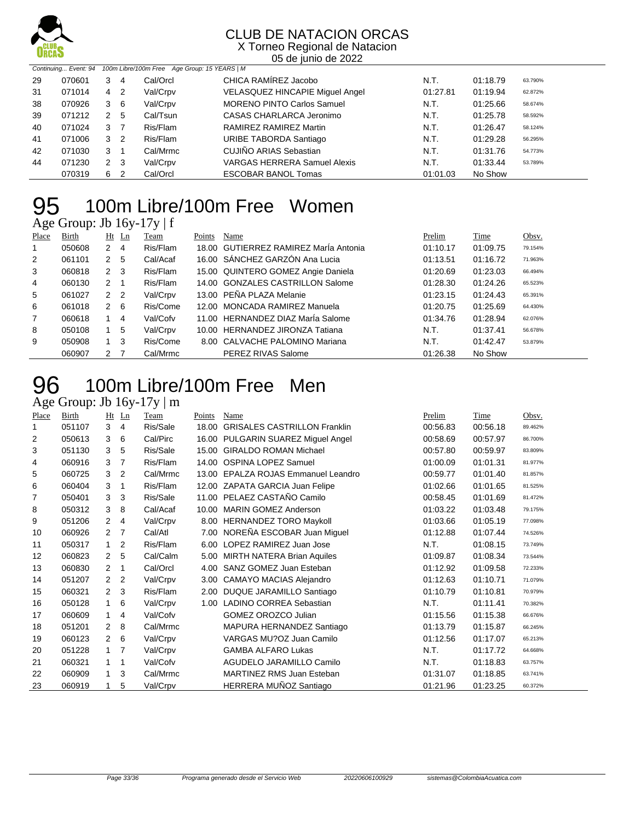

X Torneo Regional de Natacion 05 de junio de 2022

| Continuing Event: 94 100m Libre/100m Free Age Group: 15 YEARS   M |        |   |                |          |                                        |          |          |         |
|-------------------------------------------------------------------|--------|---|----------------|----------|----------------------------------------|----------|----------|---------|
| 29                                                                | 070601 | 3 | 4              | Cal/Orcl | CHICA RAMIREZ Jacobo                   | N.T.     | 01:18.79 | 63.790% |
| 31                                                                | 071014 | 4 | -2             | Val/Crpv | <b>VELASQUEZ HINCAPIE Miguel Angel</b> | 01:27.81 | 01:19.94 | 62.872% |
| 38                                                                | 070926 | 3 | - 6            | Val/Crpv | <b>MORENO PINTO Carlos Samuel</b>      | N.T.     | 01:25.66 | 58.674% |
| 39                                                                | 071212 | 2 | 5              | Cal/Tsun | CASAS CHARLARCA Jeronimo               | N.T.     | 01:25.78 | 58.592% |
| 40                                                                | 071024 | 3 | $\overline{7}$ | Ris/Flam | RAMIREZ RAMIREZ Martin                 | N.T.     | 01:26.47 | 58.124% |
| 41                                                                | 071006 | 3 | $\overline{2}$ | Ris/Flam | URIBE TABORDA Santiago                 | N.T.     | 01:29.28 | 56.295% |
| 42                                                                | 071030 | 3 | -1             | Cal/Mrmc | CUJIÑO ARIAS Sebastian                 | N.T.     | 01:31.76 | 54.773% |
| 44                                                                | 071230 |   | $2 \quad 3$    | Val/Crpv | <b>VARGAS HERRERA Samuel Alexis</b>    | N.T.     | 01:33.44 | 53.789% |
|                                                                   | 070319 | 6 | -2             | Cal/Orcl | <b>ESCOBAR BANOL Tomas</b>             | 01:01.03 | No Show  |         |

# 95 100m Libre/100m Free Women

| Age Group: Jb 16y-17y   f |  |  |
|---------------------------|--|--|
|                           |  |  |

| Place | <b>Birth</b> | Ht            | $\mathbf{L}$ n | Team     | Points | Name                                  | Prelim   | Time     | Obsv.   |
|-------|--------------|---------------|----------------|----------|--------|---------------------------------------|----------|----------|---------|
|       | 050608       | 2             | 4              | Ris/Flam |        | 18.00 GUTIERREZ RAMIREZ Marla Antonia | 01:10.17 | 01:09.75 | 79.154% |
| 2     | 061101       | 2             | 5              | Cal/Acaf |        | 16.00 SÁNCHEZ GARZÓN Ana Lucia        | 01:13.51 | 01:16.72 | 71.963% |
| 3     | 060818       | $\mathcal{P}$ | 3              | Ris/Flam |        | 15.00 QUINTERO GOMEZ Angie Daniela    | 01:20.69 | 01:23.03 | 66.494% |
| 4     | 060130       | $2^{\circ}$   |                | Ris/Flam |        | 14.00 GONZALES CASTRILLON Salome      | 01:28.30 | 01:24.26 | 65.523% |
| 5     | 061027       | 2             | $\overline{2}$ | Val/Crpv |        | 13.00 PEÑA PLAZA Melanie              | 01:23.15 | 01:24.43 | 65.391% |
| 6     | 061018       | $\mathcal{P}$ | 6              | Ris/Come |        | 12.00 MONCADA RAMIREZ Manuela         | 01:20.75 | 01:25.69 | 64.430% |
| 7     | 060618       |               | 4              | Val/Cofv |        | 11.00 HERNANDEZ DIAZ Maria Salome     | 01:34.76 | 01:28.94 | 62.076% |
| 8     | 050108       | 1             | 5              | Val/Crpv |        | 10.00 HERNANDEZ JIRONZA Tatiana       | N.T.     | 01:37.41 | 56.678% |
| 9     | 050908       | 1             | 3              | Ris/Come |        | 8.00 CALVACHE PALOMINO Mariana        | N.T.     | 01:42.47 | 53.879% |
|       | 060907       | 2             |                | Cal/Mrmc |        | PEREZ RIVAS Salome                    | 01:26.38 | No Show  |         |

#### 100m Libre/100m Free Men **96** 100m Libre/<br>Age Group: Jb 16y-17y | m

| Place | Birth  | Ht                   | $_{\text{Ln}}$ | Team     | Points | Name                                | Prelim   | Time     | Obsv.   |
|-------|--------|----------------------|----------------|----------|--------|-------------------------------------|----------|----------|---------|
| 1     | 051107 | 3                    | 4              | Ris/Sale | 18.00  | <b>GRISALES CASTRILLON Franklin</b> | 00:56.83 | 00:56.18 | 89.462% |
| 2     | 050613 | 3                    | 6              | Cal/Pirc |        | 16.00 PULGARIN SUAREZ Miguel Angel  | 00:58.69 | 00:57.97 | 86.700% |
| 3     | 051130 | 3                    | 5              | Ris/Sale | 15.00  | <b>GIRALDO ROMAN Michael</b>        | 00:57.80 | 00:59.97 | 83.809% |
| 4     | 060916 | 3                    | $\overline{7}$ | Ris/Flam | 14.00  | <b>OSPINA LOPEZ Samuel</b>          | 01:00.09 | 01:01.31 | 81.977% |
| 5     | 060725 | 3                    | 2              | Cal/Mrmc | 13.00  | EPALZA ROJAS Emmanuel Leandro       | 00:59.77 | 01:01.40 | 81.857% |
| 6     | 060404 | 3                    | 1              | Ris/Flam |        | 12.00 ZAPATA GARCIA Juan Felipe     | 01:02.66 | 01:01.65 | 81.525% |
| 7     | 050401 | 3                    | 3              | Ris/Sale |        | 11.00 PELAEZ CASTAÑO Camilo         | 00:58.45 | 01:01.69 | 81.472% |
| 8     | 050312 | 3                    | 8              | Cal/Acaf | 10.00  | <b>MARIN GOMEZ Anderson</b>         | 01:03.22 | 01:03.48 | 79.175% |
| 9     | 051206 | $\overline{2}$       | 4              | Val/Crpv | 8.00   | <b>HERNANDEZ TORO Maykoll</b>       | 01:03.66 | 01:05.19 | 77.098% |
| 10    | 060926 | $\mathbf{2}^{\circ}$ | $\overline{7}$ | Cal/Atl  | 7.00   | NOREÑA ESCOBAR Juan Miguel          | 01:12.88 | 01:07.44 | 74.526% |
| 11    | 050317 | $\mathbf{1}$         | $\overline{2}$ | Ris/Flam | 6.00   | LOPEZ RAMIREZ Juan Jose             | N.T.     | 01:08.15 | 73.749% |
| 12    | 060823 | 2                    | 5              | Cal/Calm | 5.00   | MIRTH NATERA Brian Aquiles          | 01:09.87 | 01:08.34 | 73.544% |
| 13    | 060830 | 2                    | 1              | Cal/Orcl | 4.00   | SANZ GOMEZ Juan Esteban             | 01:12.92 | 01:09.58 | 72.233% |
| 14    | 051207 | $\overline{2}$       | $\overline{2}$ | Val/Crpv | 3.00   | <b>CAMAYO MACIAS Alejandro</b>      | 01:12.63 | 01:10.71 | 71.079% |
| 15    | 060321 | $\overline{2}$       | 3              | Ris/Flam | 2.00   | DUQUE JARAMILLO Santiago            | 01:10.79 | 01:10.81 | 70.979% |
| 16    | 050128 | 1                    | 6              | Val/Crpv | 1.00   | <b>LADINO CORREA Sebastian</b>      | N.T.     | 01:11.41 | 70.382% |
| 17    | 060609 | 1.                   | 4              | Val/Cofv |        | GOMEZ OROZCO Julian                 | 01:15.56 | 01:15.38 | 66.676% |
| 18    | 051201 | 2                    | 8              | Cal/Mrmc |        | MAPURA HERNANDEZ Santiago           | 01:13.79 | 01:15.87 | 66.245% |
| 19    | 060123 | $\overline{2}$       | 6              | Val/Crpv |        | VARGAS MU?OZ Juan Camilo            | 01:12.56 | 01:17.07 | 65.213% |
| 20    | 051228 | 1                    | $\overline{7}$ | Val/Crpv |        | <b>GAMBA ALFARO Lukas</b>           | N.T.     | 01:17.72 | 64.668% |
| 21    | 060321 | 1                    | 1              | Val/Cofv |        | AGUDELO JARAMILLO Camilo            | N.T.     | 01:18.83 | 63.757% |
| 22    | 060909 | $\mathbf{1}$         | 3              | Cal/Mrmc |        | <b>MARTINEZ RMS Juan Esteban</b>    | 01:31.07 | 01:18.85 | 63.741% |
| 23    | 060919 | 1                    | 5              | Val/Crpv |        | HERRERA MUÑOZ Santiago              | 01:21.96 | 01:23.25 | 60.372% |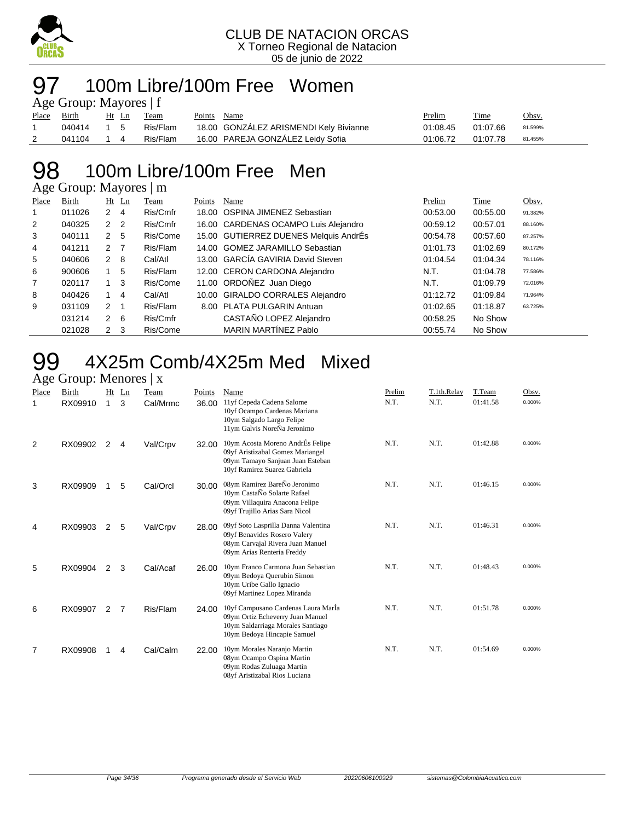

#### 100m Libre/100m Free Women  $\alpha$  Group: Mayores | f

| $\Delta g$ c Oroup. Mayorcs   1 |        |           |  |          |        |                                        |          |          |         |  |  |  |
|---------------------------------|--------|-----------|--|----------|--------|----------------------------------------|----------|----------|---------|--|--|--|
| Place Birth                     |        | Ht Ln     |  | Team     | Points | Name                                   | Prelim   | Time     | Obsv.   |  |  |  |
|                                 | 040414 | $1\quad5$ |  | Ris/Flam |        | 18.00 GONZALEZ ARISMENDI Kely Bivianne | 01:08.45 | 01:07.66 | 81.599% |  |  |  |
| 2                               | 041104 |           |  | Ris/Flam |        | 16.00 PAREJA GONZALEZ Leidy Sofia      | 01:06.72 | 01:07.78 | 81.455% |  |  |  |

#### 98 100m Libre/100m Free Men Age Group: Mayores | m

|                | $T_{\rm AC}$ Oroup. They ones $\rm _{\odot}$ m |                |     |          |        |                                       |          |          |         |  |  |  |
|----------------|------------------------------------------------|----------------|-----|----------|--------|---------------------------------------|----------|----------|---------|--|--|--|
| Place          | Birth                                          | $Ht$ Ln        |     | Team     | Points | Name                                  | Prelim   | Time     | Obsv.   |  |  |  |
|                | 011026                                         | 2              | 4   | Ris/Cmfr |        | 18.00 OSPINA JIMENEZ Sebastian        | 00:53.00 | 00:55.00 | 91.382% |  |  |  |
| $\overline{2}$ | 040325                                         | 2 <sub>2</sub> |     | Ris/Cmfr |        | 16.00 CARDENAS OCAMPO Luis Alejandro  | 00:59.12 | 00:57.01 | 88.160% |  |  |  |
| 3              | 040111                                         | 2              | 5   | Ris/Come |        | 15.00 GUTIERREZ DUENES Melquis AndrÉs | 00:54.78 | 00:57.60 | 87.257% |  |  |  |
| 4              | 041211                                         | 2 7            |     | Ris/Flam |        | 14.00 GOMEZ JARAMILLO Sebastian       | 01:01.73 | 01:02.69 | 80.172% |  |  |  |
| 5              | 040606                                         | 2 8            |     | Cal/Atl  |        | 13.00 GARCÍA GAVIRIA David Steven     | 01:04.54 | 01:04.34 | 78.116% |  |  |  |
| 6              | 900606                                         |                | 5   | Ris/Flam |        | 12.00 CERON CARDONA Alejandro         | N.T.     | 01:04.78 | 77.586% |  |  |  |
| $\overline{7}$ | 020117                                         | $1 \quad 3$    |     | Ris/Come |        | 11.00 ORDOÑEZ Juan Diego              | N.T.     | 01:09.79 | 72.016% |  |  |  |
| 8              | 040426                                         | $\mathbf{1}$   | 4   | Cal/Atl  |        | 10.00 GIRALDO CORRALES Alejandro      | 01:12.72 | 01:09.84 | 71.964% |  |  |  |
| 9              | 031109                                         | $\overline{2}$ | -1  | Ris/Flam |        | 8.00 PLATA PULGARIN Antuan            | 01:02.65 | 01:18.87 | 63.725% |  |  |  |
|                | 031214                                         | 2              | - 6 | Ris/Cmfr |        | CASTAÑO LOPEZ Alejandro               | 00:58.25 | No Show  |         |  |  |  |
|                | 021028                                         | $2 \quad 3$    |     | Ris/Come |        | MARIN MARTÍNEZ Pablo                  | 00:55.74 | No Show  |         |  |  |  |

#### 99 4X25m Comb/4X25m Med Mixed Age Group: Menores | x

| ັ          |                  |         |         |                  |                        |                                                                                                                                             |                |                     |                    |                 |
|------------|------------------|---------|---------|------------------|------------------------|---------------------------------------------------------------------------------------------------------------------------------------------|----------------|---------------------|--------------------|-----------------|
| Place<br>1 | Birth<br>RX09910 | Ht<br>1 | Ln<br>3 | Team<br>Cal/Mrmc | <b>Points</b><br>36.00 | Name<br>11yf Cepeda Cadena Salome<br>10yf Ocampo Cardenas Mariana<br>10ym Salgado Largo Felipe<br>11ym Galvis NoreÑa Jeronimo               | Prelim<br>N.T. | T.1th.Relay<br>N.T. | T.Team<br>01:41.58 | Obsv.<br>0.000% |
| 2          | RX09902          | 2       | 4       | Val/Crpv         | 32.00                  | 10ym Acosta Moreno AndrÉs Felipe<br>09yf Aristizabal Gomez Mariangel<br>09ym Tamayo Sanjuan Juan Esteban<br>10yf Ramirez Suarez Gabriela    | N.T.           | N.T.                | 01:42.88           | 0.000%          |
| 3          | RX09909          |         | 5       | Cal/Orcl         | 30.00                  | 08ym Ramirez BareÑo Jeronimo<br>10ym CastaÑo Solarte Rafael<br>09ym Villaquira Anacona Felipe<br>09yf Trujillo Arias Sara Nicol             | N.T.           | N.T.                | 01:46.15           | 0.000%          |
| 4          | RX09903          | 2       | 5       | Val/Crpv         | 28.00                  | 09yf Soto Lasprilla Danna Valentina<br>09yf Benavides Rosero Valery<br>08ym Carvajal Rivera Juan Manuel<br>09ym Arias Renteria Freddy       | N.T.           | N.T.                | 01:46.31           | 0.000%          |
| 5          | RX09904          | 2       | 3       | Cal/Acaf         | 26.00                  | 10ym Franco Carmona Juan Sebastian<br>09ym Bedoya Querubin Simon<br>10ym Uribe Gallo Ignacio<br>09yf Martinez Lopez Miranda                 | N.T.           | N.T.                | 01:48.43           | 0.000%          |
| 6          | RX09907          | 2       | 7       | Ris/Flam         | 24.00                  | 10yf Campusano Cardenas Laura Marla<br>09ym Ortiz Echeverry Juan Manuel<br>10ym Saldarriaga Morales Santiago<br>10ym Bedoya Hincapie Samuel | N.T.           | N.T.                | 01:51.78           | 0.000%          |
| 7          | RX09908          |         | 4       | Cal/Calm         | 22.00                  | 10ym Morales Naranjo Martin<br>08ym Ocampo Ospina Martin<br>09ym Rodas Zuluaga Martin<br>08vf Aristizabal Rios Luciana                      | N.T.           | N.T.                | 01:54.69           | 0.000%          |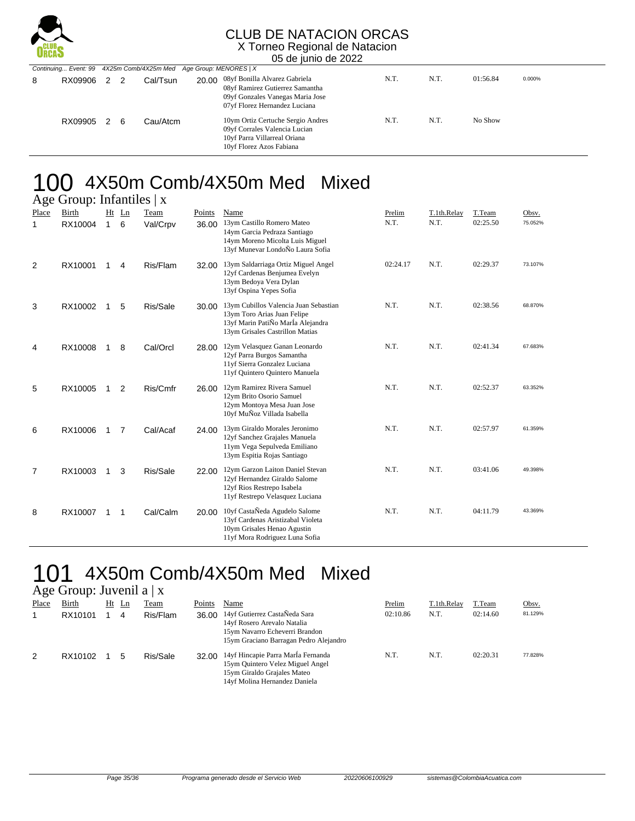

#### CLUB DE NATACION ORCAS X Torneo Regional de Natacion

05 de junio de 2022

|   |         | Continuing Event: 99 4X25m Comb/4X25m Med Age Group: MENORES   X |    |           |  |                                                                                                                                             |      |      |          |        |  |
|---|---------|------------------------------------------------------------------|----|-----------|--|---------------------------------------------------------------------------------------------------------------------------------------------|------|------|----------|--------|--|
| 8 | RX09906 | $\mathcal{P}$                                                    |    | Cal/Tsun. |  | 20.00 08yf Bonilla Alvarez Gabriela<br>08yf Ramirez Gutierrez Samantha<br>09yf Gonzales Vanegas Maria Jose<br>07yf Florez Hernandez Luciana | N.T. | N.T. | 01:56.84 | 0.000% |  |
|   | RX09905 | $\mathcal{P}$                                                    | -6 | Cau/Atcm  |  | 10ym Ortiz Certuche Sergio Andres<br>09yf Corrales Valencia Lucian<br>10yf Parra Villarreal Oriana<br>10yf Florez Azos Fabiana              | N.T. | N.T. | No Show  |        |  |

## 100 4X50m Comb/4X50m Med Mixed

|                | Age Group: Infantiles $\vert x \vert$ |                    |         |                  |                 |                                                                                                                                              |                |                     |                    |                  |  |  |  |  |
|----------------|---------------------------------------|--------------------|---------|------------------|-----------------|----------------------------------------------------------------------------------------------------------------------------------------------|----------------|---------------------|--------------------|------------------|--|--|--|--|
| Place<br>1     | Birth<br>RX10004                      | Ht<br>$\mathbf{1}$ | Ln<br>6 | Team<br>Val/Crpv | Points<br>36.00 | Name<br>13ym Castillo Romero Mateo<br>14ym Garcia Pedraza Santiago<br>14ym Moreno Micolta Luis Miguel<br>13yf Munevar LondoÑo Laura Sofia    | Prelim<br>N.T. | T.1th.Relay<br>N.T. | T.Team<br>02:25.50 | Obsv.<br>75.052% |  |  |  |  |
| 2              | RX10001                               | 1                  | 4       | Ris/Flam         | 32.00           | 13ym Saldarriaga Ortiz Miguel Angel<br>12yf Cardenas Benjumea Evelyn<br>13ym Bedoya Vera Dylan<br>13yf Ospina Yepes Sofia                    | 02:24.17       | N.T.                | 02:29.37           | 73.107%          |  |  |  |  |
| 3              | RX10002                               | 1                  | 5       | Ris/Sale         | 30.00           | 13ym Cubillos Valencia Juan Sebastian<br>13ym Toro Arias Juan Felipe<br>13yf Marin PatiÑo MarÍa Alejandra<br>13ym Grisales Castrillon Matias | N.T.           | N.T.                | 02:38.56           | 68.870%          |  |  |  |  |
| 4              | RX10008                               | 1                  | 8       | Cal/Orcl         | 28.00           | 12ym Velasquez Ganan Leonardo<br>12yf Parra Burgos Samantha<br>11yf Sierra Gonzalez Luciana<br>11yf Quintero Quintero Manuela                | N.T.           | N.T.                | 02:41.34           | 67.683%          |  |  |  |  |
| 5              | RX10005                               | 1                  | 2       | Ris/Cmfr         | 26.00           | 12ym Ramirez Rivera Samuel<br>12ym Brito Osorio Samuel<br>12ym Montoya Mesa Juan Jose<br>10yf MuÑoz Villada Isabella                         | N.T.           | N.T.                | 02:52.37           | 63.352%          |  |  |  |  |
| 6              | RX10006                               | 1                  | 7       | Cal/Acaf         | 24.00           | 13ym Giraldo Morales Jeronimo<br>12yf Sanchez Grajales Manuela<br>11ym Vega Sepulveda Emiliano<br>13ym Espitia Rojas Santiago                | N.T.           | N.T.                | 02:57.97           | 61.359%          |  |  |  |  |
| $\overline{7}$ | RX10003                               | 1                  | 3       | Ris/Sale         | 22.00           | 12ym Garzon Laiton Daniel Stevan<br>12yf Hernandez Giraldo Salome<br>12yf Rios Restrepo Isabela<br>11yf Restrepo Velasquez Luciana           | N.T.           | N.T.                | 03:41.06           | 49.398%          |  |  |  |  |
| 8              | RX10007                               | 1                  | 1       | Cal/Calm         |                 | 20.00 10yf CastaÑeda Agudelo Salome<br>13yf Cardenas Aristizabal Violeta<br>10ym Grisales Henao Agustin<br>11yf Mora Rodriguez Luna Sofia    | N.T.           | N.T.                | 04:11.79           | 43.369%          |  |  |  |  |

### 101 4X50m Comb/4X50m Med Mixed

#### Age Group: Juvenil a  $|x|$

| Place | Birth<br>RX10101 | Ht | Ln<br>4 | Team<br>Ris/Flam | Points<br>36.00 | Name<br>14yf Gutierrez CastaÑeda Sara<br>14yf Rosero Arevalo Natalia<br>15ym Navarro Echeverri Brandon<br>15ym Graciano Barragan Pedro Alejandro | Prelim<br>02:10.86 | T.1th.Relay<br>N.T. | T.Team<br>02:14.60 | Obsv.<br>81.129% |
|-------|------------------|----|---------|------------------|-----------------|--------------------------------------------------------------------------------------------------------------------------------------------------|--------------------|---------------------|--------------------|------------------|
| 2     | RX10102          |    |         | Ris/Sale         | 32.00           | 14yf Hincapie Parra Marla Fernanda<br>15ym Quintero Velez Miguel Angel<br>15ym Giraldo Grajales Mateo<br>14yf Molina Hernandez Daniela           | N.T.               | N.T.                | 02:20.31           | 77.828%          |